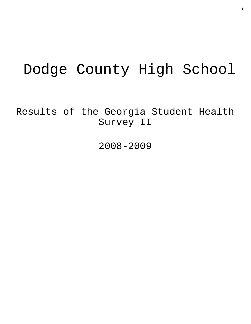# Dodge County High School

Results of the Georgia Student Health Survey II

2008-2009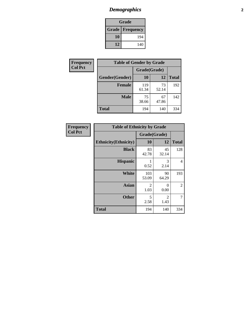## *Demographics* **2**

| Grade                    |     |  |  |
|--------------------------|-----|--|--|
| <b>Grade   Frequency</b> |     |  |  |
| 10                       | 194 |  |  |
| 12                       | 140 |  |  |

| Frequency      | <b>Table of Gender by Grade</b> |              |             |              |  |  |
|----------------|---------------------------------|--------------|-------------|--------------|--|--|
| <b>Col Pct</b> |                                 | Grade(Grade) |             |              |  |  |
|                | Gender(Gender)                  | 10           | 12          | <b>Total</b> |  |  |
|                | <b>Female</b>                   | 119<br>61.34 | 73<br>52.14 | 192          |  |  |
|                | <b>Male</b>                     | 75<br>38.66  | 67<br>47.86 | 142          |  |  |
|                | <b>Total</b>                    | 194          | 140         | 334          |  |  |

| Frequency<br>Col Pct |
|----------------------|

| <b>Table of Ethnicity by Grade</b> |              |              |              |  |  |  |
|------------------------------------|--------------|--------------|--------------|--|--|--|
|                                    |              | Grade(Grade) |              |  |  |  |
| <b>Ethnicity</b> (Ethnicity)       | 10           | 12           | <b>Total</b> |  |  |  |
| <b>Black</b>                       | 83<br>42.78  | 45<br>32.14  | 128          |  |  |  |
| <b>Hispanic</b>                    | 0.52         | 3<br>2.14    | 4            |  |  |  |
| White                              | 103<br>53.09 | 90<br>64.29  | 193          |  |  |  |
| <b>Asian</b>                       | 2<br>1.03    | 0<br>0.00    | 2            |  |  |  |
| <b>Other</b>                       | 5<br>2.58    | 2<br>1.43    | 7            |  |  |  |
| <b>Total</b>                       | 194          | 140          | 334          |  |  |  |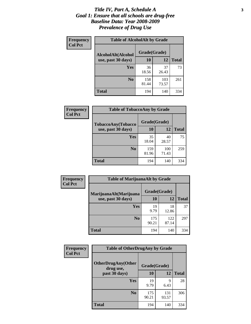#### *Title IV, Part A, Schedule A* **3** *Goal 1: Ensure that all schools are drug-free Baseline Data: Year 2008-2009 Prevalence of Drug Use*

| Frequency<br><b>Col Pct</b> | <b>Table of AlcoholAlt by Grade</b> |              |              |              |  |
|-----------------------------|-------------------------------------|--------------|--------------|--------------|--|
|                             | AlcoholAlt(Alcohol                  | Grade(Grade) |              |              |  |
|                             | use, past 30 days)                  | <b>10</b>    | 12           | <b>Total</b> |  |
|                             | Yes                                 | 36<br>18.56  | 37<br>26.43  | 73           |  |
|                             | N <sub>0</sub>                      | 158<br>81.44 | 103<br>73.57 | 261          |  |
|                             | Total                               | 194          | 140          | 334          |  |

| Frequency<br><b>Col Pct</b> | <b>Table of TobaccoAny by Grade</b> |              |              |              |  |  |
|-----------------------------|-------------------------------------|--------------|--------------|--------------|--|--|
|                             | TobaccoAny(Tobacco                  | Grade(Grade) |              |              |  |  |
|                             | use, past 30 days)                  | 10           | 12           | <b>Total</b> |  |  |
|                             | <b>Yes</b>                          | 35<br>18.04  | 40<br>28.57  | 75           |  |  |
|                             | N <sub>0</sub>                      | 159<br>81.96 | 100<br>71.43 | 259          |  |  |
|                             | <b>Total</b>                        | 194          | 140          | 334          |  |  |

| Frequency<br><b>Col Pct</b> | <b>Table of MarijuanaAlt by Grade</b> |              |              |              |  |  |
|-----------------------------|---------------------------------------|--------------|--------------|--------------|--|--|
|                             | MarijuanaAlt(Marijuana                | Grade(Grade) |              |              |  |  |
|                             | use, past 30 days)                    | 10           | 12           | <b>Total</b> |  |  |
|                             | <b>Yes</b>                            | 19<br>9.79   | 18<br>12.86  | 37           |  |  |
|                             | N <sub>0</sub>                        | 175<br>90.21 | 122<br>87.14 | 297          |  |  |
|                             | <b>Total</b>                          | 194          | 140          | 334          |  |  |

| Frequency<br><b>Col Pct</b> | <b>Table of OtherDrugAny by Grade</b>  |              |              |              |  |
|-----------------------------|----------------------------------------|--------------|--------------|--------------|--|
|                             | <b>OtherDrugAny(Other</b><br>drug use, | Grade(Grade) |              |              |  |
|                             | past 30 days)                          | 10           | 12           | <b>Total</b> |  |
|                             | <b>Yes</b>                             | 19<br>9.79   | 9<br>6.43    | 28           |  |
|                             | N <sub>0</sub>                         | 175<br>90.21 | 131<br>93.57 | 306          |  |
|                             | <b>Total</b>                           | 194          | 140          | 334          |  |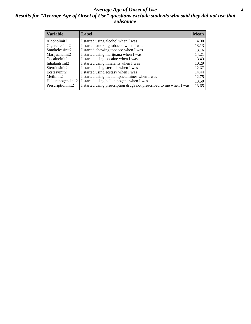#### *Average Age of Onset of Use* **4** *Results for "Average Age of Onset of Use" questions exclude students who said they did not use that substance*

| <b>Variable</b>    | Label                                                              | <b>Mean</b> |
|--------------------|--------------------------------------------------------------------|-------------|
| Alcoholinit2       | I started using alcohol when I was                                 | 14.00       |
| Cigarettesinit2    | I started smoking tobacco when I was                               | 13.13       |
| Smokelessinit2     | I started chewing tobacco when I was                               | 13.16       |
| Marijuanainit2     | I started using marijuana when I was                               | 14.21       |
| Cocaineinit2       | I started using cocaine when I was                                 | 13.43       |
| Inhalantsinit2     | I started using inhalants when I was                               | 10.29       |
| Steroidsinit2      | I started using steroids when I was                                | 12.67       |
| Ecstasyinit2       | I started using ecstasy when I was                                 | 14.44       |
| Methinit2          | I started using methamphetamines when I was                        | 12.75       |
| Hallucinogensinit2 | I started using hallucinogens when I was                           | 13.50       |
| Prescriptioninit2  | I started using prescription drugs not prescribed to me when I was | 13.65       |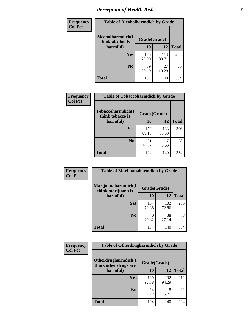## *Perception of Health Risk* **5**

| Frequency      | <b>Table of Alcoholharmdich by Grade</b> |              |              |              |  |
|----------------|------------------------------------------|--------------|--------------|--------------|--|
| <b>Col Pct</b> | Alcoholharmdich(I<br>think alcohol is    | Grade(Grade) |              |              |  |
|                | harmful)                                 | 10           | 12           | <b>Total</b> |  |
|                | <b>Yes</b>                               | 155<br>79.90 | 113<br>80.71 | 268          |  |
|                | N <sub>0</sub>                           | 39<br>20.10  | 27<br>19.29  | 66           |  |
|                | <b>Total</b>                             | 194          | 140          | 334          |  |

| Frequency      | <b>Table of Tobaccoharmdich by Grade</b> |              |              |              |  |
|----------------|------------------------------------------|--------------|--------------|--------------|--|
| <b>Col Pct</b> | Tobaccoharmdich(I<br>think tobacco is    | Grade(Grade) |              |              |  |
|                | harmful)                                 | 10           | 12           | <b>Total</b> |  |
|                | Yes                                      | 173<br>89.18 | 133<br>95.00 | 306          |  |
|                | N <sub>0</sub>                           | 21<br>10.82  | 5.00         | 28           |  |
|                | <b>Total</b>                             | 194          | 140          | 334          |  |

| <b>Frequency</b> | <b>Table of Marijuanaharmdich by Grade</b>                |              |              |              |  |  |
|------------------|-----------------------------------------------------------|--------------|--------------|--------------|--|--|
| <b>Col Pct</b>   | Marijuanaharmdich(I<br>Grade(Grade)<br>think marijuana is |              |              |              |  |  |
|                  | harmful)                                                  | 10           | 12           | <b>Total</b> |  |  |
|                  | Yes                                                       | 154<br>79.38 | 102<br>72.86 | 256          |  |  |
|                  | N <sub>0</sub>                                            | 40<br>20.62  | 38<br>27.14  | 78           |  |  |
|                  | <b>Total</b>                                              | 194          | 140          | 334          |  |  |

| <b>Frequency</b> | <b>Table of Otherdrugharmdich by Grade</b>   |              |              |              |  |  |  |  |
|------------------|----------------------------------------------|--------------|--------------|--------------|--|--|--|--|
| <b>Col Pct</b>   | Otherdrugharmdich(I<br>think other drugs are | Grade(Grade) |              |              |  |  |  |  |
|                  | harmful)                                     | 10           | 12           | <b>Total</b> |  |  |  |  |
|                  | <b>Yes</b>                                   | 180<br>92.78 | 132<br>94.29 | 312          |  |  |  |  |
|                  | N <sub>0</sub>                               | 14<br>7.22   | 8<br>5.71    | 22           |  |  |  |  |
|                  | <b>Total</b>                                 | 194          | 140          | 334          |  |  |  |  |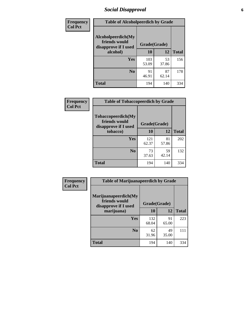### *Social Disapproval* **6**

| Frequency      | <b>Table of Alcoholpeerdich by Grade</b>                    |              |             |              |
|----------------|-------------------------------------------------------------|--------------|-------------|--------------|
| <b>Col Pct</b> | Alcoholpeerdich(My<br>friends would<br>disapprove if I used | Grade(Grade) |             |              |
|                | alcohol)                                                    | 10           | 12          | <b>Total</b> |
|                | <b>Yes</b>                                                  | 103<br>53.09 | 53<br>37.86 | 156          |
|                | N <sub>0</sub>                                              | 91<br>46.91  | 87<br>62.14 | 178          |
|                | <b>Total</b>                                                | 194          | 140         | 334          |

| <b>Frequency</b> |
|------------------|
| <b>Col Pct</b>   |

| <b>Table of Tobaccopeerdich by Grade</b>                    |              |             |              |  |  |  |  |
|-------------------------------------------------------------|--------------|-------------|--------------|--|--|--|--|
| Tobaccopeerdich(My<br>friends would<br>disapprove if I used | Grade(Grade) |             |              |  |  |  |  |
| tobacco)                                                    | 10           | 12          | <b>Total</b> |  |  |  |  |
| Yes                                                         | 121<br>62.37 | 81<br>57.86 | 202          |  |  |  |  |
| N <sub>0</sub>                                              | 73<br>37.63  | 59<br>42.14 | 132          |  |  |  |  |
| <b>Total</b>                                                | 194          | 140         | 334          |  |  |  |  |

| <b>Frequency</b> | <b>Table of Marijuanapeerdich by Grade</b>                    |              |             |              |  |  |  |  |
|------------------|---------------------------------------------------------------|--------------|-------------|--------------|--|--|--|--|
| <b>Col Pct</b>   | Marijuanapeerdich(My<br>friends would<br>disapprove if I used | Grade(Grade) |             |              |  |  |  |  |
|                  | marijuana)                                                    | 10           | 12          | <b>Total</b> |  |  |  |  |
|                  | <b>Yes</b>                                                    | 132<br>68.04 | 91<br>65.00 | 223          |  |  |  |  |
|                  | N <sub>0</sub>                                                | 62<br>31.96  | 49<br>35.00 | 111          |  |  |  |  |
|                  | <b>Total</b>                                                  | 194          | 140         | 334          |  |  |  |  |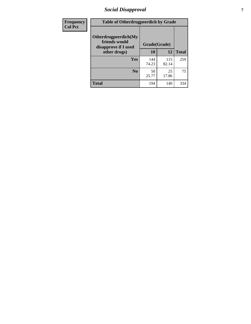### *Social Disapproval* **7**

| Frequency      | <b>Table of Otherdrugpeerdich by Grade</b>                    |              |              |              |  |  |  |  |
|----------------|---------------------------------------------------------------|--------------|--------------|--------------|--|--|--|--|
| <b>Col Pct</b> | Otherdrugpeerdich(My<br>friends would<br>disapprove if I used | Grade(Grade) |              |              |  |  |  |  |
|                | other drugs)                                                  | 10           | 12           | <b>Total</b> |  |  |  |  |
|                | Yes                                                           | 144<br>74.23 | 115<br>82.14 | 259          |  |  |  |  |
|                | N <sub>0</sub>                                                | 50<br>25.77  | 25<br>17.86  | 75           |  |  |  |  |
|                | <b>Total</b>                                                  | 194          | 140          | 334          |  |  |  |  |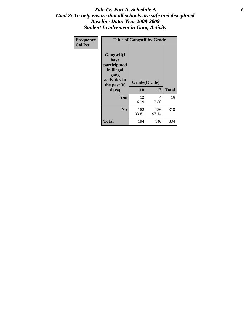#### Title IV, Part A, Schedule A **8** *Goal 2: To help ensure that all schools are safe and disciplined Baseline Data: Year 2008-2009 Student Involvement in Gang Activity*

| Frequency      | <b>Table of Gangself by Grade</b>                                                                 |                    |              |              |
|----------------|---------------------------------------------------------------------------------------------------|--------------------|--------------|--------------|
| <b>Col Pct</b> | Gangself(I<br>have<br>participated<br>in illegal<br>gang<br>activities in<br>the past 30<br>days) | Grade(Grade)<br>10 | 12           | <b>Total</b> |
|                | Yes                                                                                               | 12<br>6.19         | 4<br>2.86    | 16           |
|                | N <sub>0</sub>                                                                                    | 182<br>93.81       | 136<br>97.14 | 318          |
|                | <b>Total</b>                                                                                      | 194                | 140          | 334          |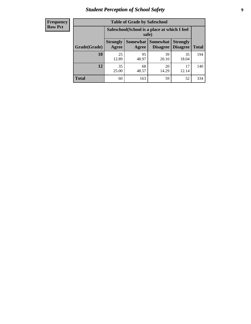### *Student Perception of School Safety* **9**

| <b>Frequency</b><br>Row Pct |
|-----------------------------|
|                             |

| <b>Table of Grade by Safeschool</b> |                                                        |                          |                             |                                    |              |  |  |
|-------------------------------------|--------------------------------------------------------|--------------------------|-----------------------------|------------------------------------|--------------|--|--|
|                                     | Safeschool (School is a place at which I feel<br>safe) |                          |                             |                                    |              |  |  |
| Grade(Grade)                        | <b>Strongly</b><br>Agree                               | <b>Somewhat</b><br>Agree | <b>Somewhat</b><br>Disagree | <b>Strongly</b><br><b>Disagree</b> | <b>Total</b> |  |  |
| 10                                  | 25<br>12.89                                            | 95<br>48.97              | 39<br>20.10                 | 35<br>18.04                        | 194          |  |  |
| 12                                  | 35<br>25.00                                            | 68<br>48.57              | 20<br>14.29                 | 17<br>12.14                        | 140          |  |  |
| <b>Total</b>                        | 60                                                     | 163                      | 59                          | 52                                 | 334          |  |  |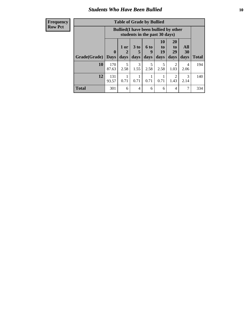### *Students Who Have Been Bullied* **10**

| <b>Frequency</b> |
|------------------|
| Row Pct          |

| <b>Table of Grade by Bullied</b> |                             |                                                                               |                              |                   |                        |                        |                          |              |
|----------------------------------|-----------------------------|-------------------------------------------------------------------------------|------------------------------|-------------------|------------------------|------------------------|--------------------------|--------------|
|                                  |                             | <b>Bullied</b> (I have been bullied by other<br>students in the past 30 days) |                              |                   |                        |                        |                          |              |
| Grade(Grade)                     | $\mathbf{0}$<br><b>Days</b> | 1 or<br>2<br>days                                                             | 3 <sub>to</sub><br>5<br>days | 6 to<br>9<br>days | 10<br>to<br>19<br>days | 20<br>to<br>29<br>days | <b>All</b><br>30<br>days | <b>Total</b> |
| 10                               | 170<br>87.63                | 5<br>2.58                                                                     | 3<br>1.55                    | 5<br>2.58         | 5<br>2.58              | $\overline{2}$<br>1.03 | 4<br>2.06                | 194          |
| 12                               | 131<br>93.57                | 0.71                                                                          | 0.71                         | 0.71              | 0.71                   | 2<br>1.43              | 3<br>2.14                | 140          |
| <b>Total</b>                     | 301                         | 6                                                                             | 4                            | 6                 | 6                      | 4                      | 7                        | 334          |

 $\blacksquare$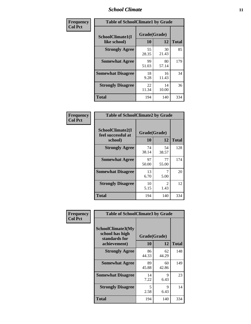### *School Climate* **11**

| <b>Frequency</b> | <b>Table of SchoolClimate1 by Grade</b> |                    |             |              |  |  |
|------------------|-----------------------------------------|--------------------|-------------|--------------|--|--|
| <b>Col Pct</b>   | SchoolClimate1(I<br>like school)        | Grade(Grade)<br>10 | 12          | <b>Total</b> |  |  |
|                  | <b>Strongly Agree</b>                   | 55<br>28.35        | 30<br>21.43 | 85           |  |  |
|                  | <b>Somewhat Agree</b>                   | 99<br>51.03        | 80<br>57.14 | 179          |  |  |
|                  | <b>Somewhat Disagree</b>                | 18<br>9.28         | 16<br>11.43 | 34           |  |  |
|                  | <b>Strongly Disagree</b>                | 22<br>11.34        | 14<br>10.00 | 36           |  |  |
|                  | <b>Total</b>                            | 194                | 140         | 334          |  |  |

| <b>Table of SchoolClimate2 by Grade</b>           |                    |                       |              |  |  |
|---------------------------------------------------|--------------------|-----------------------|--------------|--|--|
| SchoolClimate2(I<br>feel successful at<br>school) | Grade(Grade)<br>10 | 12                    | <b>Total</b> |  |  |
| <b>Strongly Agree</b>                             | 74<br>38.14        | 54<br>38.57           | 128          |  |  |
| <b>Somewhat Agree</b>                             | 97<br>50.00        | 77<br>55.00           | 174          |  |  |
| <b>Somewhat Disagree</b>                          | 13<br>6.70         | 7<br>5.00             | 20           |  |  |
| <b>Strongly Disagree</b>                          | 10<br>5.15         | $\mathcal{L}$<br>1.43 | 12           |  |  |
| <b>Total</b>                                      | 194                | 140                   | 334          |  |  |

| Frequency      | <b>Table of SchoolClimate3 by Grade</b>                                      |                    |             |              |
|----------------|------------------------------------------------------------------------------|--------------------|-------------|--------------|
| <b>Col Pct</b> | <b>SchoolClimate3(My</b><br>school has high<br>standards for<br>achievement) | Grade(Grade)<br>10 | 12          | <b>Total</b> |
|                |                                                                              |                    |             |              |
|                | <b>Strongly Agree</b>                                                        | 86<br>44.33        | 62<br>44.29 | 148          |
|                | <b>Somewhat Agree</b>                                                        | 89<br>45.88        | 60<br>42.86 | 149          |
|                | <b>Somewhat Disagree</b>                                                     | 14<br>7.22         | 9<br>6.43   | 23           |
|                | <b>Strongly Disagree</b>                                                     | 5<br>2.58          | 9<br>6.43   | 14           |
|                | Total                                                                        | 194                | 140         | 334          |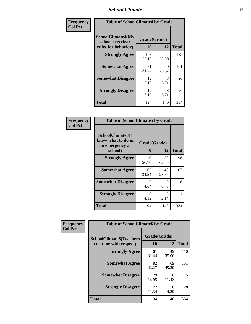### *School Climate* **12**

| Frequency      | <b>Table of SchoolClimate4 by Grade</b>                              |                    |             |              |
|----------------|----------------------------------------------------------------------|--------------------|-------------|--------------|
| <b>Col Pct</b> | <b>SchoolClimate4(My</b><br>school sets clear<br>rules for behavior) | Grade(Grade)<br>10 | 12          | <b>Total</b> |
|                | <b>Strongly Agree</b>                                                | 109<br>56.19       | 84<br>60.00 | 193          |
|                | <b>Somewhat Agree</b>                                                | 61<br>31.44        | 40<br>28.57 | 101          |
|                | <b>Somewhat Disagree</b>                                             | 12<br>6.19         | 8<br>5.71   | 20           |
|                | <b>Strongly Disagree</b>                                             | 12<br>6.19         | 8<br>5.71   | 20           |
|                | <b>Total</b>                                                         | 194                | 140         | 334          |

| <b>Table of SchoolClimate5 by Grade</b>                   |              |             |              |  |  |
|-----------------------------------------------------------|--------------|-------------|--------------|--|--|
| SchoolClimate5(I<br>know what to do in<br>an emergency at | Grade(Grade) |             |              |  |  |
| school)                                                   | 10           | 12          | <b>Total</b> |  |  |
| <b>Strongly Agree</b>                                     | 110<br>56.70 | 88<br>62.86 | 198          |  |  |
| <b>Somewhat Agree</b>                                     | 67<br>34.54  | 40<br>28.57 | 107          |  |  |
| <b>Somewhat Disagree</b>                                  | 9<br>4.64    | 9<br>6.43   | 18           |  |  |
| <b>Strongly Disagree</b>                                  | 8<br>4.12    | 3<br>2.14   | 11           |  |  |
| Total                                                     | 194          | 140         | 334          |  |  |

| Frequency      | <b>Table of SchoolClimate6 by Grade</b>                  |                    |             |              |
|----------------|----------------------------------------------------------|--------------------|-------------|--------------|
| <b>Col Pct</b> | <b>SchoolClimate6(Teachers</b><br>treat me with respect) | Grade(Grade)<br>10 | 12          | <b>Total</b> |
|                | <b>Strongly Agree</b>                                    | 61<br>31.44        | 49<br>35.00 | 110          |
|                | <b>Somewhat Agree</b>                                    | 82<br>42.27        | 69<br>49.29 | 151          |
|                | <b>Somewhat Disagree</b>                                 | 29<br>14.95        | 16<br>11.43 | 45           |
|                | <b>Strongly Disagree</b>                                 | 22<br>11.34        | 6<br>4.29   | 28           |
|                | <b>Total</b>                                             | 194                | 140         | 334          |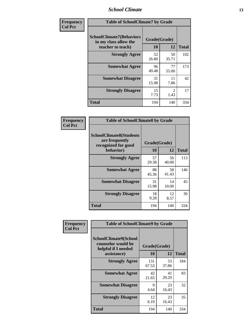### *School Climate* **13**

| Frequency      | <b>Table of SchoolClimate7 by Grade</b>                                       |                           |                        |              |
|----------------|-------------------------------------------------------------------------------|---------------------------|------------------------|--------------|
| <b>Col Pct</b> | <b>SchoolClimate7(Behaviors</b><br>in my class allow the<br>teacher to teach) | Grade(Grade)<br><b>10</b> | 12                     | <b>Total</b> |
|                | <b>Strongly Agree</b>                                                         | 52<br>26.80               | 50<br>35.71            | 102          |
|                | <b>Somewhat Agree</b>                                                         | 96<br>49.48               | 77<br>55.00            | 173          |
|                | <b>Somewhat Disagree</b>                                                      | 31<br>15.98               | 11<br>7.86             | 42           |
|                | <b>Strongly Disagree</b>                                                      | 15<br>7.73                | $\mathfrak{D}$<br>1.43 | 17           |
|                | <b>Total</b>                                                                  | 194                       | 140                    | 334          |

| Frequency      | <b>Table of SchoolClimate8 by Grade</b>                                              |                    |             |              |
|----------------|--------------------------------------------------------------------------------------|--------------------|-------------|--------------|
| <b>Col Pct</b> | <b>SchoolClimate8(Students</b><br>are frequently<br>recognized for good<br>behavior) | Grade(Grade)<br>10 | 12          | <b>Total</b> |
|                | <b>Strongly Agree</b>                                                                | 57<br>29.38        | 56<br>40.00 | 113          |
|                | <b>Somewhat Agree</b>                                                                | 88<br>45.36        | 58<br>41.43 | 146          |
|                | <b>Somewhat Disagree</b>                                                             | 31<br>15.98        | 14<br>10.00 | 45           |
|                | <b>Strongly Disagree</b>                                                             | 18<br>9.28         | 12<br>8.57  | 30           |
|                | <b>Total</b>                                                                         | 194                | 140         | 334          |

| Frequency      | <b>Table of SchoolClimate9 by Grade</b>                                           |                    |             |              |
|----------------|-----------------------------------------------------------------------------------|--------------------|-------------|--------------|
| <b>Col Pct</b> | SchoolClimate9(School<br>counselor would be<br>helpful if I needed<br>assistance) | Grade(Grade)<br>10 | 12          | <b>Total</b> |
|                | <b>Strongly Agree</b>                                                             | 131<br>67.53       | 53<br>37.86 | 184          |
|                | <b>Somewhat Agree</b>                                                             | 42<br>21.65        | 41<br>29.29 | 83           |
|                | <b>Somewhat Disagree</b>                                                          | 9<br>4.64          | 23<br>16.43 | 32           |
|                | <b>Strongly Disagree</b>                                                          | 12<br>6.19         | 23<br>16.43 | 35           |
|                | <b>Total</b>                                                                      | 194                | 140         | 334          |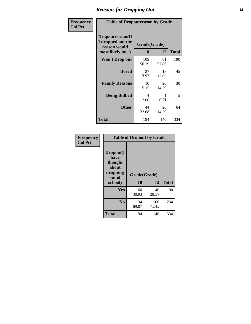### *Reasons for Dropping Out* **14**

| Frequency      | <b>Table of Dropoutreason by Grade</b>                                   |              |                    |              |
|----------------|--------------------------------------------------------------------------|--------------|--------------------|--------------|
| <b>Col Pct</b> | Dropoutreason(If<br>I dropped out the<br>reason would<br>most likely be) | 10           | Grade(Grade)<br>12 | <b>Total</b> |
|                | <b>Won't Drop out</b>                                                    | 109<br>56.19 | 81<br>57.86        | 190          |
|                | <b>Bored</b>                                                             | 27<br>13.92  | 18<br>12.86        | 45           |
|                | <b>Family Reasons</b>                                                    | 10<br>5.15   | 20<br>14.29        | 30           |
|                | <b>Being Bullied</b>                                                     | 4<br>2.06    | 0.71               | 5            |
|                | <b>Other</b>                                                             | 44<br>22.68  | 20<br>14.29        | 64           |
|                | <b>Total</b>                                                             | 194          | 140                | 334          |

| Frequency      | <b>Table of Dropout by Grade</b>                                       |                    |              |              |  |
|----------------|------------------------------------------------------------------------|--------------------|--------------|--------------|--|
| <b>Col Pct</b> | Dropout(I<br>have<br>thought<br>about<br>dropping<br>out of<br>school) | Grade(Grade)<br>10 | 12           | <b>Total</b> |  |
|                | Yes                                                                    | 60<br>30.93        | 40<br>28.57  | 100          |  |
|                | N <sub>0</sub>                                                         | 134<br>69.07       | 100<br>71.43 | 234          |  |
|                | <b>Total</b>                                                           | 194                | 140          | 334          |  |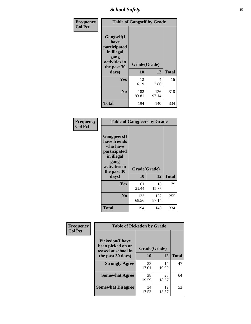*School Safety* **15**

| Frequency      | <b>Table of Gangself by Grade</b>                                                                 |                    |              |              |
|----------------|---------------------------------------------------------------------------------------------------|--------------------|--------------|--------------|
| <b>Col Pct</b> | Gangself(I<br>have<br>participated<br>in illegal<br>gang<br>activities in<br>the past 30<br>days) | Grade(Grade)<br>10 | 12           | <b>Total</b> |
|                | Yes                                                                                               | 12<br>6.19         | 4<br>2.86    | 16           |
|                | N <sub>o</sub>                                                                                    | 182<br>93.81       | 136<br>97.14 | 318          |
|                | <b>Total</b>                                                                                      | 194                | 140          | 334          |

| Frequency<br><b>Col Pct</b> | <b>Table of Gangpeers by Grade</b>                                                                                             |                    |              |              |
|-----------------------------|--------------------------------------------------------------------------------------------------------------------------------|--------------------|--------------|--------------|
|                             | <b>Gangpeers</b> (I<br>have friends<br>who have<br>participated<br>in illegal<br>gang<br>activities in<br>the past 30<br>days) | Grade(Grade)<br>10 | 12           | <b>Total</b> |
|                             | <b>Yes</b>                                                                                                                     | 61<br>31.44        | 18<br>12.86  | 79           |
|                             | N <sub>0</sub>                                                                                                                 | 133<br>68.56       | 122<br>87.14 | 255          |
|                             | <b>Total</b>                                                                                                                   | 194                | 140          | 334          |

| Frequency      | <b>Table of Pickedon by Grade</b>                                  |              |             |              |  |  |  |  |  |  |
|----------------|--------------------------------------------------------------------|--------------|-------------|--------------|--|--|--|--|--|--|
| <b>Col Pct</b> | <b>Pickedon(I have</b><br>been picked on or<br>teased at school in | Grade(Grade) |             |              |  |  |  |  |  |  |
|                | the past 30 days)                                                  | 10           | 12          | <b>Total</b> |  |  |  |  |  |  |
|                | <b>Strongly Agree</b>                                              | 33<br>17.01  | 14<br>10.00 | 47           |  |  |  |  |  |  |
|                | <b>Somewhat Agree</b>                                              | 38<br>19.59  | 26<br>18.57 | 64           |  |  |  |  |  |  |
|                | <b>Somewhat Disagree</b>                                           | 34<br>17.53  | 19<br>13.57 | 53           |  |  |  |  |  |  |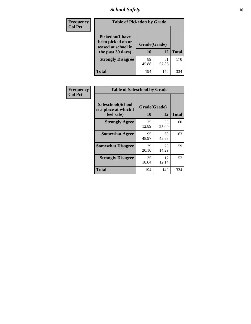### *School Safety* **16**

| <b>Frequency</b> | <b>Table of Pickedon by Grade</b>                                                        |                    |             |              |
|------------------|------------------------------------------------------------------------------------------|--------------------|-------------|--------------|
| <b>Col Pct</b>   | <b>Pickedon</b> (I have<br>been picked on or<br>teased at school in<br>the past 30 days) | Grade(Grade)<br>10 | 12          | <b>Total</b> |
|                  | <b>Strongly Disagree</b>                                                                 | 89<br>45.88        | 81<br>57.86 | 170          |
|                  | Total                                                                                    | 194                | 140         | 334          |

| Frequency      | <b>Table of Safeschool by Grade</b>                      |                    |              |     |  |  |  |  |  |
|----------------|----------------------------------------------------------|--------------------|--------------|-----|--|--|--|--|--|
| <b>Col Pct</b> | Safeschool(School<br>is a place at which I<br>feel safe) | Grade(Grade)<br>10 | <b>Total</b> |     |  |  |  |  |  |
|                | <b>Strongly Agree</b>                                    | 25<br>12.89        | 35<br>25.00  | 60  |  |  |  |  |  |
|                | <b>Somewhat Agree</b>                                    | 95<br>48.97        | 68<br>48.57  | 163 |  |  |  |  |  |
|                | <b>Somewhat Disagree</b>                                 | 39<br>20.10        | 20<br>14.29  | 59  |  |  |  |  |  |
|                | <b>Strongly Disagree</b>                                 | 35<br>18.04        | 17<br>12.14  | 52  |  |  |  |  |  |
|                | Total                                                    | 194                | 140          | 334 |  |  |  |  |  |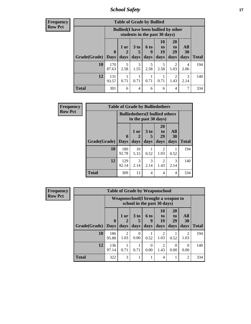*School Safety* **17**

| Frequency |  |
|-----------|--|
| Row Pct   |  |

|              |                             | <b>Table of Grade by Bullied</b>                                              |                              |                          |                        |                               |                   |              |  |  |  |  |
|--------------|-----------------------------|-------------------------------------------------------------------------------|------------------------------|--------------------------|------------------------|-------------------------------|-------------------|--------------|--|--|--|--|
|              |                             | <b>Bullied</b> (I have been bullied by other<br>students in the past 30 days) |                              |                          |                        |                               |                   |              |  |  |  |  |
| Grade(Grade) | $\mathbf{0}$<br><b>Days</b> | $1$ or<br>days                                                                | 3 <sub>to</sub><br>5<br>days | <b>6 to</b><br>9<br>days | 10<br>to<br>19<br>days | <b>20</b><br>to<br>29<br>days | All<br>30<br>days | <b>Total</b> |  |  |  |  |
| 10           | 170<br>87.63                | 5<br>2.58                                                                     | 3<br>1.55                    | 5<br>2.58                | 5<br>2.58              | 2<br>1.03                     | 4<br>2.06         | 194          |  |  |  |  |
| 12           | 131<br>93.57                | 0.71                                                                          | 0.71                         | 0.71                     | 0.71                   | 2<br>1.43                     | 3<br>2.14         | 140          |  |  |  |  |
| <b>Total</b> | 301                         | 6                                                                             | 4                            | 6                        | 6                      | 4                             | 7                 | 334          |  |  |  |  |

| <b>Frequency</b> | <b>Table of Grade by Bulliedothers</b> |                            |                                                                |                              |                        |                   |              |  |  |  |
|------------------|----------------------------------------|----------------------------|----------------------------------------------------------------|------------------------------|------------------------|-------------------|--------------|--|--|--|
| <b>Row Pct</b>   |                                        |                            | <b>Bulliedothers</b> (I bullied others<br>in the past 30 days) |                              |                        |                   |              |  |  |  |
|                  | Grade(Grade)                           | $\mathbf 0$<br><b>Days</b> | 1 or<br>$\mathbf{2}$<br>days                                   | 3 <sub>to</sub><br>5<br>days | 20<br>to<br>29<br>days | All<br>30<br>days | <b>Total</b> |  |  |  |
|                  | 10                                     | 180<br>92.78               | 10<br>5.15                                                     | 0.52                         | $\overline{2}$<br>1.03 | 0.52              | 194          |  |  |  |
|                  | 12                                     | 129<br>92.14               | 3<br>2.14                                                      | 3<br>2.14                    | $\overline{2}$<br>1.43 | 3<br>2.14         | 140          |  |  |  |
|                  | <b>Total</b>                           | 309                        | 13                                                             | 4                            | 4                      | 4                 | 334          |  |  |  |

| Frequency      | <b>Table of Grade by Weaponschool</b> |                                                                   |                        |           |                  |                        |                       |                        |              |  |  |
|----------------|---------------------------------------|-------------------------------------------------------------------|------------------------|-----------|------------------|------------------------|-----------------------|------------------------|--------------|--|--|
| <b>Row Pct</b> |                                       | Weaponschool(I brought a weapon to<br>school in the past 30 days) |                        |           |                  |                        |                       |                        |              |  |  |
|                |                                       | $\mathbf 0$                                                       | 1 or                   | 3 to      | 6 to<br>9        | 10<br>to<br>19         | <b>20</b><br>to<br>29 | All<br>30              |              |  |  |
|                | <b>Grade</b> (Grade)   Days           |                                                                   | days                   | days      | days             | days                   | days                  | days                   | <b>Total</b> |  |  |
|                | 10                                    | 186<br>95.88                                                      | $\overline{2}$<br>1.03 | 0<br>0.00 | 0.52             | $\overline{2}$<br>1.03 | 0.52                  | $\overline{c}$<br>1.03 | 194          |  |  |
|                | 12                                    | 136<br>97.14                                                      | 0.71                   | 0.71      | $\Omega$<br>0.00 | 2<br>1.43              | $\Omega$<br>0.00      | $\Omega$<br>0.00       | 140          |  |  |
|                | <b>Total</b>                          | 322                                                               | 3                      |           |                  | 4                      |                       | $\overline{c}$         | 334          |  |  |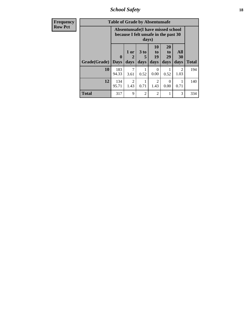*School Safety* **18**

| <b>Frequency</b> | <b>Table of Grade by Absentunsafe</b> |                             |                                                                                    |                              |                               |                                           |                   |              |  |  |
|------------------|---------------------------------------|-----------------------------|------------------------------------------------------------------------------------|------------------------------|-------------------------------|-------------------------------------------|-------------------|--------------|--|--|
| <b>Row Pct</b>   |                                       |                             | Absentunsafe(I have missed school<br>because I felt unsafe in the past 30<br>days) |                              |                               |                                           |                   |              |  |  |
|                  | Grade(Grade)                          | $\mathbf{0}$<br><b>Days</b> | 1 or<br>2<br>days                                                                  | 3 <sub>to</sub><br>5<br>days | <b>10</b><br>to<br>19<br>days | <b>20</b><br>t <sub>0</sub><br>29<br>days | All<br>30<br>days | <b>Total</b> |  |  |
|                  | 10                                    | 183<br>94.33                | 7<br>3.61                                                                          | 0.52                         | 0<br>0.00                     | 0.52                                      | 2<br>1.03         | 194          |  |  |
|                  | 12                                    | 134<br>95.71                | $\overline{2}$<br>1.43                                                             | 0.71                         | $\mathfrak{D}$<br>1.43        | $\Omega$<br>0.00                          | 0.71              | 140          |  |  |
|                  | <b>Total</b>                          | 317                         | 9                                                                                  | $\overline{c}$               | $\overline{2}$                |                                           | 3                 | 334          |  |  |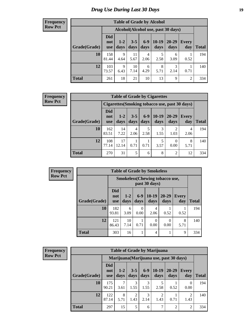### *Drug Use During Last 30 Days* **19**

#### **Frequency Row Pct**

| <b>Table of Grade by Alcohol</b> |                                 |                                    |                 |               |                 |               |                |              |  |  |
|----------------------------------|---------------------------------|------------------------------------|-----------------|---------------|-----------------|---------------|----------------|--------------|--|--|
|                                  |                                 | Alcohol(Alcohol use, past 30 days) |                 |               |                 |               |                |              |  |  |
| Grade(Grade)                     | <b>Did</b><br>not<br><b>use</b> | $1 - 2$<br>days                    | $3 - 5$<br>days | $6-9$<br>days | $10-19$<br>days | 20-29<br>days | Every<br>day   | <b>Total</b> |  |  |
| 10                               | 158<br>81.44                    | 9<br>4.64                          | 11<br>5.67      | 4<br>2.06     | 5<br>2.58       | 6<br>3.09     | 0.52           | 194          |  |  |
| 12                               | 103<br>73.57                    | 9<br>6.43                          | 10<br>7.14      | 6<br>4.29     | 8<br>5.71       | 3<br>2.14     | 0.71           | 140          |  |  |
| <b>Total</b>                     | 261                             | 18                                 | 21              | 10            | 13              | 9             | $\overline{2}$ | 334          |  |  |

| <b>Table of Grade by Cigarettes</b> |                          |                                                |                 |               |                 |               |                     |       |  |  |  |  |
|-------------------------------------|--------------------------|------------------------------------------------|-----------------|---------------|-----------------|---------------|---------------------|-------|--|--|--|--|
|                                     |                          | Cigarettes (Smoking tobacco use, past 30 days) |                 |               |                 |               |                     |       |  |  |  |  |
| Grade(Grade)                        | Did<br>not<br><b>use</b> | $1 - 2$<br>days                                | $3 - 5$<br>days | $6-9$<br>days | $10-19$<br>days | 20-29<br>days | <b>Every</b><br>day | Total |  |  |  |  |
| 10                                  | 162<br>83.51             | 14<br>7.22                                     | 4<br>2.06       | 5<br>2.58     | 3<br>1.55       | 1.03          | 4<br>2.06           | 194   |  |  |  |  |
| 12                                  | 108<br>77.14             | 17<br>12.14                                    | 0.71            | 0.71          | 3.57            | 0.00          | 8<br>5.71           | 140   |  |  |  |  |
| <b>Total</b>                        | 270                      | 31                                             | 5               | 6             | 8               | 2             | 12                  | 334   |  |  |  |  |

| <b>F</b> requency |  |
|-------------------|--|
| <b>Row Pct</b>    |  |

| <b>Table of Grade by Smokeless</b> |                          |                                                        |               |                 |                   |                     |              |  |  |  |  |
|------------------------------------|--------------------------|--------------------------------------------------------|---------------|-----------------|-------------------|---------------------|--------------|--|--|--|--|
|                                    |                          | <b>Smokeless</b> (Chewing tobaccouse,<br>past 30 days) |               |                 |                   |                     |              |  |  |  |  |
| Grade(Grade)                       | <b>Did</b><br>not<br>use | $1 - 2$<br>days                                        | $6-9$<br>days | $10-19$<br>days | $20 - 29$<br>days | <b>Every</b><br>day | <b>Total</b> |  |  |  |  |
| 10                                 | 182<br>93.81             | 6<br>3.09                                              | 0<br>0.00     | 4<br>2.06       | 0.52              | 0.52                | 194          |  |  |  |  |
| 12                                 | 121<br>86.43             | 10<br>7.14                                             | 0.71          | 0<br>0.00       | 0.00              | 8<br>5.71           | 140          |  |  |  |  |
| <b>Total</b>                       | 303                      | 16                                                     |               | 4               |                   | 9                   | 334          |  |  |  |  |

| <b>Frequency</b> |  |
|------------------|--|
| <b>Row Pct</b>   |  |

| <b>Table of Grade by Marijuana</b> |                                 |                                         |                 |               |                 |                   |                     |              |  |
|------------------------------------|---------------------------------|-----------------------------------------|-----------------|---------------|-----------------|-------------------|---------------------|--------------|--|
|                                    |                                 | Marijuana (Marijuana use, past 30 days) |                 |               |                 |                   |                     |              |  |
| Grade(Grade)                       | <b>Did</b><br>not<br><b>use</b> | $1 - 2$<br>days                         | $3 - 5$<br>days | $6-9$<br>days | $10-19$<br>days | $20 - 29$<br>days | <b>Every</b><br>day | <b>Total</b> |  |
| 10                                 | 175<br>90.21                    | 3.61                                    | 3<br>1.55       | 3<br>1.55     | 5<br>2.58       | 0.52              | 0<br>0.00           | 194          |  |
| 12                                 | 122<br>87.14                    | 8<br>5.71                               | 2<br>1.43       | 3<br>2.14     | 2<br>1.43       | 0.71              | 2<br>1.43           | 140          |  |
| <b>Total</b>                       | 297                             | 15                                      | 5               | 6             | 7               | 2                 | 2                   | 334          |  |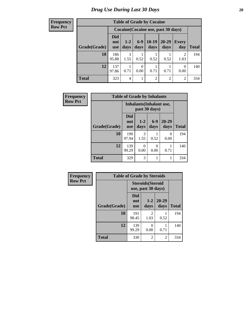| <b>Table of Grade by Cocaine</b> |                                 |                |                  |                 |                                     |              |              |  |  |
|----------------------------------|---------------------------------|----------------|------------------|-----------------|-------------------------------------|--------------|--------------|--|--|
|                                  |                                 |                |                  |                 | Cocaine (Cocaine use, past 30 days) |              |              |  |  |
| Grade(Grade)                     | <b>Did</b><br>not<br><b>use</b> | $1-2$<br>days  | $6 - 9$<br>days  | $10-19$<br>days | 20-29<br>days                       | Every<br>day | <b>Total</b> |  |  |
| 10                               | 186<br>95.88                    | 3<br>1.55      | 0.52             | 0.52            | 0.52                                | 2<br>1.03    | 194          |  |  |
| 12                               | 137<br>97.86                    | 0.71           | $\theta$<br>0.00 | 0.71            | 0.71                                | 0<br>0.00    | 140          |  |  |
| <b>Total</b>                     | 323                             | $\overline{4}$ |                  | $\overline{2}$  | 2                                   | 2            | 334          |  |  |

| Frequency      | <b>Table of Grade by Inhalants</b> |                                 |                  |                                                  |                   |              |
|----------------|------------------------------------|---------------------------------|------------------|--------------------------------------------------|-------------------|--------------|
| <b>Row Pct</b> |                                    |                                 |                  | <b>Inhalants</b> (Inhalant use,<br>past 30 days) |                   |              |
|                | Grade(Grade)                       | <b>Did</b><br>not<br><b>use</b> | $1 - 2$<br>days  | $6-9$<br>days                                    | $20 - 29$<br>days | <b>Total</b> |
|                | 10                                 | 190<br>97.94                    | 3<br>1.55        | 0.52                                             | 0<br>0.00         | 194          |
|                | 12                                 | 139<br>99.29                    | $\theta$<br>0.00 | $\theta$<br>0.00                                 | 0.71              | 140          |
|                | <b>Total</b>                       | 329                             | 3                |                                                  |                   | 334          |

| Frequency      | <b>Table of Grade by Steroids</b> |                          |                                                |                   |              |  |  |
|----------------|-----------------------------------|--------------------------|------------------------------------------------|-------------------|--------------|--|--|
| <b>Row Pct</b> |                                   |                          | <b>Steroids</b> (Steroid<br>use, past 30 days) |                   |              |  |  |
|                | Grade(Grade)                      | Did<br>not<br><b>use</b> | $1 - 2$<br>days                                | $20 - 29$<br>days | <b>Total</b> |  |  |
|                | 10                                | 191<br>98.45             | 2<br>1.03                                      | 0.52              | 194          |  |  |
|                | 12                                | 139<br>99.29             | 0<br>0.00                                      | 0.71              | 140          |  |  |
|                | <b>Total</b>                      | 330                      | 2                                              | 2                 | 334          |  |  |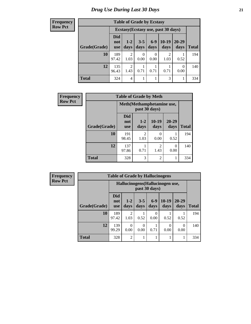| <b>Frequency</b> |  |
|------------------|--|
| Row Pct          |  |

| <b>Table of Grade by Ecstasy</b> |                          |                                     |                 |                 |                        |                   |              |  |  |
|----------------------------------|--------------------------|-------------------------------------|-----------------|-----------------|------------------------|-------------------|--------------|--|--|
|                                  |                          | Ecstasy (Ecstasy use, past 30 days) |                 |                 |                        |                   |              |  |  |
| Grade(Grade)                     | Did<br>not<br><b>use</b> | $1 - 2$<br>days                     | $3 - 5$<br>days | $6 - 9$<br>days | $10-19$<br>days        | $20 - 29$<br>days | <b>Total</b> |  |  |
| 10                               | 189<br>97.42             | $\mathfrak{D}$<br>1.03              | 0.00            | 0<br>0.00       | $\overline{2}$<br>1.03 | 0.52              | 194          |  |  |
| 12                               | 135<br>96.43             | $\mathfrak{D}$<br>1.43              | 0.71            | 0.71            | 0.71                   | 0<br>0.00         | 140          |  |  |
| <b>Total</b>                     | 324                      | 4                                   |                 |                 | 3                      |                   | 334          |  |  |

| <b>Frequency</b> |                                            | <b>Table of Grade by Meth</b>   |                        |                        |               |              |  |
|------------------|--------------------------------------------|---------------------------------|------------------------|------------------------|---------------|--------------|--|
| <b>Row Pct</b>   | Meth(Methamphetamine use,<br>past 30 days) |                                 |                        |                        |               |              |  |
|                  | Grade(Grade)                               | <b>Did</b><br>not<br><b>use</b> | $1 - 2$<br>days        | $10-19$<br>days        | 20-29<br>days | <b>Total</b> |  |
|                  | 10                                         | 191<br>98.45                    | $\mathfrak{D}$<br>1.03 | 0<br>0.00              | 0.52          | 194          |  |
|                  | 12                                         | 137<br>97.86                    | 0.71                   | $\mathfrak{D}$<br>1.43 | 0<br>0.00     | 140          |  |
|                  | <b>Total</b>                               | 328                             | 3                      | $\overline{c}$         |               | 334          |  |

| <b>Frequency</b> | <b>Table of Grade by Hallucinogens</b> |                                                   |                |                 |               |                  |                   |              |
|------------------|----------------------------------------|---------------------------------------------------|----------------|-----------------|---------------|------------------|-------------------|--------------|
| <b>Row Pct</b>   |                                        | Hallucinogens (Hallucinogen use,<br>past 30 days) |                |                 |               |                  |                   |              |
|                  | Grade(Grade)                           | <b>Did</b><br>not<br><b>use</b>                   | $1-2$<br>days  | $3 - 5$<br>days | $6-9$<br>days | $10-19$<br>days  | $20 - 29$<br>days | <b>Total</b> |
|                  | 10                                     | 189<br>97.42                                      | 2<br>1.03      | 0.52            | 0<br>0.00     | 0.52             | 0.52              | 194          |
|                  | 12                                     | 139<br>99.29                                      | 0<br>0.00      | 0<br>0.00       | 0.71          | $\Omega$<br>0.00 | 0<br>0.00         | 140          |
|                  | <b>Total</b>                           | 328                                               | $\overline{2}$ |                 | 1             |                  |                   | 334          |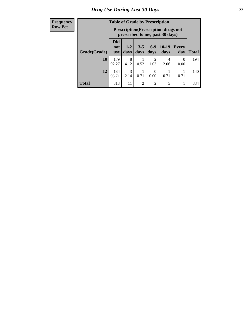| <b>Table of Grade by Prescription</b> |                                                           |                                                                                                               |                |                |           |           |     |  |  |
|---------------------------------------|-----------------------------------------------------------|---------------------------------------------------------------------------------------------------------------|----------------|----------------|-----------|-----------|-----|--|--|
|                                       |                                                           | <b>Prescription</b> (Prescription drugs not<br>prescribed to me, past 30 days)                                |                |                |           |           |     |  |  |
| Grade(Grade)                          | <b>Did</b><br>not<br>use                                  | $6 - 9$<br>10-19<br>$3 - 5$<br>$1 - 2$<br><b>Every</b><br>days<br>day<br><b>Total</b><br>days<br>days<br>days |                |                |           |           |     |  |  |
| 10                                    | 179<br>92.27                                              | 8<br>4.12                                                                                                     | 0.52           | 2<br>1.03      | 4<br>2.06 | 0<br>0.00 | 194 |  |  |
| 12                                    | 3<br>134<br>95.71<br>0.71<br>0.00<br>0.71<br>2.14<br>0.71 |                                                                                                               |                |                |           |           |     |  |  |
| <b>Total</b>                          | 313                                                       | 11                                                                                                            | $\overline{2}$ | $\mathfrak{D}$ | 5         | 1         | 334 |  |  |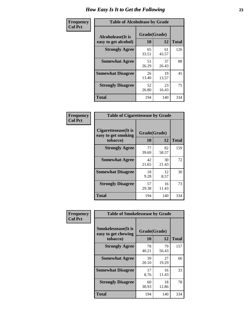| Frequency      | <b>Table of Alcoholease by Grade</b>              |                    |             |              |  |  |  |  |
|----------------|---------------------------------------------------|--------------------|-------------|--------------|--|--|--|--|
| <b>Col Pct</b> | <b>Alcoholease</b> (It is<br>easy to get alcohol) | Grade(Grade)<br>10 | 12          | <b>Total</b> |  |  |  |  |
|                | <b>Strongly Agree</b>                             | 65<br>33.51        | 61<br>43.57 | 126          |  |  |  |  |
|                | <b>Somewhat Agree</b>                             | 51<br>26.29        | 37<br>26.43 | 88           |  |  |  |  |
|                | <b>Somewhat Disagree</b>                          | 26<br>13.40        | 19<br>13.57 | 45           |  |  |  |  |
|                | <b>Strongly Disagree</b>                          | 52<br>26.80        | 23<br>16.43 | 75           |  |  |  |  |
|                | <b>Total</b>                                      | 194                | 140         | 334          |  |  |  |  |

| Frequency      | <b>Table of Cigarettesease by Grade</b>                 |                    |             |              |  |  |  |
|----------------|---------------------------------------------------------|--------------------|-------------|--------------|--|--|--|
| <b>Col Pct</b> | Cigarettesease(It is<br>easy to get smoking<br>tobacco) | Grade(Grade)<br>10 | 12          | <b>Total</b> |  |  |  |
|                | <b>Strongly Agree</b>                                   | 77<br>39.69        | 82<br>58.57 | 159          |  |  |  |
|                | <b>Somewhat Agree</b>                                   | 42<br>21.65        | 30<br>21.43 | 72           |  |  |  |
|                | <b>Somewhat Disagree</b>                                | 18<br>9.28         | 12<br>8.57  | 30           |  |  |  |
|                | <b>Strongly Disagree</b>                                | 57<br>29.38        | 16<br>11.43 | 73           |  |  |  |
|                | <b>Total</b>                                            | 194                | 140         | 334          |  |  |  |

| Frequency      | <b>Table of Smokelessease by Grade</b>             |              |             |              |
|----------------|----------------------------------------------------|--------------|-------------|--------------|
| <b>Col Pct</b> | <b>Smokelessease</b> (It is<br>easy to get chewing | Grade(Grade) |             |              |
|                | tobacco)                                           | 10           | 12          | <b>Total</b> |
|                | <b>Strongly Agree</b>                              | 78<br>40.21  | 79<br>56.43 | 157          |
|                | <b>Somewhat Agree</b>                              | 39<br>20.10  | 27<br>19.29 | 66           |
|                | <b>Somewhat Disagree</b>                           | 17<br>8.76   | 16<br>11.43 | 33           |
|                | <b>Strongly Disagree</b>                           | 60<br>30.93  | 18<br>12.86 | 78           |
|                | <b>Total</b>                                       | 194          | 140         | 334          |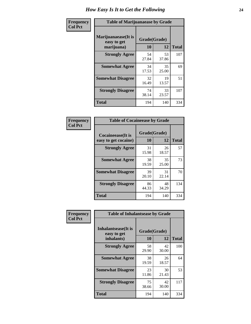| Frequency      | <b>Table of Marijuanaease by Grade</b>           |                    |             |              |  |  |  |  |  |
|----------------|--------------------------------------------------|--------------------|-------------|--------------|--|--|--|--|--|
| <b>Col Pct</b> | Marijuanaease(It is<br>easy to get<br>marijuana) | Grade(Grade)<br>10 | 12          | <b>Total</b> |  |  |  |  |  |
|                | <b>Strongly Agree</b>                            | 54<br>27.84        | 53<br>37.86 | 107          |  |  |  |  |  |
|                | <b>Somewhat Agree</b>                            | 34<br>17.53        | 35<br>25.00 | 69           |  |  |  |  |  |
|                | <b>Somewhat Disagree</b>                         | 32<br>16.49        | 19<br>13.57 | 51           |  |  |  |  |  |
|                | <b>Strongly Disagree</b>                         | 74<br>38.14        | 33<br>23.57 | 107          |  |  |  |  |  |
|                | <b>Total</b>                                     | 194                | 140         | 334          |  |  |  |  |  |

| <b>Table of Cocaineease by Grade</b>      |                    |             |              |  |  |  |  |  |  |  |
|-------------------------------------------|--------------------|-------------|--------------|--|--|--|--|--|--|--|
| Cocaineease(It is<br>easy to get cocaine) | Grade(Grade)<br>10 | 12          | <b>Total</b> |  |  |  |  |  |  |  |
| <b>Strongly Agree</b>                     | 31<br>15.98        | 26<br>18.57 | 57           |  |  |  |  |  |  |  |
| <b>Somewhat Agree</b>                     | 38<br>19.59        | 35<br>25.00 | 73           |  |  |  |  |  |  |  |
| <b>Somewhat Disagree</b>                  | 39<br>20.10        | 31<br>22.14 | 70           |  |  |  |  |  |  |  |
| <b>Strongly Disagree</b>                  | 86<br>44.33        | 48<br>34.29 | 134          |  |  |  |  |  |  |  |
| <b>Total</b>                              | 194                | 140         | 334          |  |  |  |  |  |  |  |

| Frequency      | <b>Table of Inhalantsease by Grade</b>           |                    |              |     |
|----------------|--------------------------------------------------|--------------------|--------------|-----|
| <b>Col Pct</b> | Inhalantsease(It is<br>easy to get<br>inhalants) | Grade(Grade)<br>10 | <b>Total</b> |     |
|                | <b>Strongly Agree</b>                            | 58<br>29.90        | 42<br>30.00  | 100 |
|                | <b>Somewhat Agree</b>                            | 38<br>19.59        | 26<br>18.57  | 64  |
|                | <b>Somewhat Disagree</b>                         | 23<br>11.86        | 30<br>21.43  | 53  |
|                | <b>Strongly Disagree</b>                         | 75<br>38.66        | 42<br>30.00  | 117 |
|                | <b>Total</b>                                     | 194                | 140          | 334 |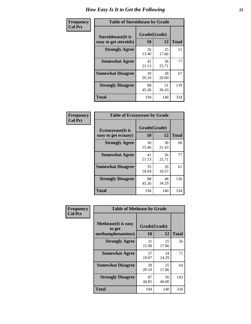| Frequency      | <b>Table of Steroidsease by Grade</b>               |                    |             |              |  |  |  |  |
|----------------|-----------------------------------------------------|--------------------|-------------|--------------|--|--|--|--|
| <b>Col Pct</b> | <b>Steroidsease</b> (It is<br>easy to get steroids) | Grade(Grade)<br>10 | 12          | <b>Total</b> |  |  |  |  |
|                | <b>Strongly Agree</b>                               | 26<br>13.40        | 25<br>17.86 | 51           |  |  |  |  |
|                | <b>Somewhat Agree</b>                               | 41<br>21.13        | 36<br>25.71 | 77           |  |  |  |  |
|                | <b>Somewhat Disagree</b>                            | 39<br>20.10        | 28<br>20.00 | 67           |  |  |  |  |
|                | <b>Strongly Disagree</b>                            | 88<br>45.36        | 51<br>36.43 | 139          |  |  |  |  |
|                | <b>Total</b>                                        | 194                | 140         | 334          |  |  |  |  |

| Frequency      | <b>Table of Ecstasyease by Grade</b>              |                    |              |     |  |  |  |  |  |  |
|----------------|---------------------------------------------------|--------------------|--------------|-----|--|--|--|--|--|--|
| <b>Col Pct</b> | <b>Ecstasyease</b> (It is<br>easy to get ecstasy) | Grade(Grade)<br>10 | <b>Total</b> |     |  |  |  |  |  |  |
|                | <b>Strongly Agree</b>                             | 30<br>15.46        | 30<br>21.43  | 60  |  |  |  |  |  |  |
|                | <b>Somewhat Agree</b>                             | 41<br>21.13        | 36<br>25.71  | 77  |  |  |  |  |  |  |
|                | <b>Somewhat Disagree</b>                          | 35<br>18.04        | 26<br>18.57  | 61  |  |  |  |  |  |  |
|                | <b>Strongly Disagree</b>                          | 88<br>45.36        | 48<br>34.29  | 136 |  |  |  |  |  |  |
|                | <b>Total</b>                                      | 194                | 140          | 334 |  |  |  |  |  |  |

| Frequency      | <b>Table of Methease by Grade</b>                          |                    |              |     |  |  |  |  |  |  |  |
|----------------|------------------------------------------------------------|--------------------|--------------|-----|--|--|--|--|--|--|--|
| <b>Col Pct</b> | <b>Methease</b> (It is easy<br>to get<br>methamphetamines) | Grade(Grade)<br>10 | <b>Total</b> |     |  |  |  |  |  |  |  |
|                | <b>Strongly Agree</b>                                      | 31<br>15.98        | 25<br>17.86  | 56  |  |  |  |  |  |  |  |
|                | <b>Somewhat Agree</b>                                      | 37<br>19.07        | 34<br>24.29  | 71  |  |  |  |  |  |  |  |
|                | <b>Somewhat Disagree</b>                                   | 39<br>20.10        | 25<br>17.86  | 64  |  |  |  |  |  |  |  |
|                | <b>Strongly Disagree</b>                                   | 87<br>44.85        | 56<br>40.00  | 143 |  |  |  |  |  |  |  |
|                | <b>Total</b>                                               | 194                | 140          | 334 |  |  |  |  |  |  |  |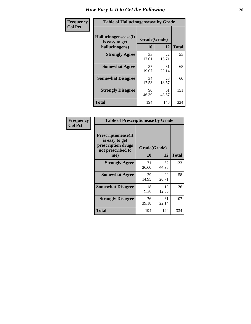| <b>Frequency</b> | <b>Table of Hallucinogensease by Grade</b>               |                    |              |     |  |  |  |  |  |  |
|------------------|----------------------------------------------------------|--------------------|--------------|-----|--|--|--|--|--|--|
| <b>Col Pct</b>   | Hallucinogensease(It<br>is easy to get<br>hallucinogens) | Grade(Grade)<br>10 | <b>Total</b> |     |  |  |  |  |  |  |
|                  | <b>Strongly Agree</b>                                    | 33<br>17.01        | 22<br>15.71  | 55  |  |  |  |  |  |  |
|                  | <b>Somewhat Agree</b>                                    | 37<br>19.07        | 31<br>22.14  | 68  |  |  |  |  |  |  |
|                  | <b>Somewhat Disagree</b>                                 | 34<br>17.53        | 26<br>18.57  | 60  |  |  |  |  |  |  |
|                  | <b>Strongly Disagree</b>                                 | 90<br>46.39        | 61<br>43.57  | 151 |  |  |  |  |  |  |
|                  | <b>Total</b>                                             | 194                | 140          | 334 |  |  |  |  |  |  |

| Frequency<br>Col Pct |
|----------------------|
|                      |

| <b>Table of Prescriptionease by Grade</b>                                                |              |             |              |  |  |  |  |  |  |  |
|------------------------------------------------------------------------------------------|--------------|-------------|--------------|--|--|--|--|--|--|--|
| <b>Prescriptionease</b> (It<br>is easy to get<br>prescription drugs<br>not prescribed to | Grade(Grade) |             |              |  |  |  |  |  |  |  |
| me)                                                                                      | 10           | 12          | <b>Total</b> |  |  |  |  |  |  |  |
| <b>Strongly Agree</b>                                                                    | 71<br>36.60  | 62<br>44.29 | 133          |  |  |  |  |  |  |  |
| <b>Somewhat Agree</b>                                                                    | 29<br>14.95  | 29<br>20.71 | 58           |  |  |  |  |  |  |  |
| <b>Somewhat Disagree</b>                                                                 | 18<br>9.28   | 18<br>12.86 | 36           |  |  |  |  |  |  |  |
| <b>Strongly Disagree</b>                                                                 | 76<br>39.18  | 31<br>22.14 | 107          |  |  |  |  |  |  |  |
| <b>Total</b>                                                                             | 194          | 140         | 334          |  |  |  |  |  |  |  |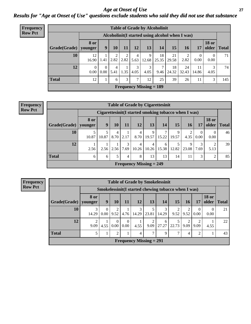*Age at Onset of Use* **27** *Results for "Age at Onset of Use" questions exclude students who said they did not use that substance*

| Frequency      | <b>Table of Grade by Alcoholinit</b> |                                                  |                  |           |      |           |                           |             |             |             |                      |                       |              |
|----------------|--------------------------------------|--------------------------------------------------|------------------|-----------|------|-----------|---------------------------|-------------|-------------|-------------|----------------------|-----------------------|--------------|
| <b>Row Pct</b> |                                      | Alcoholinit (I started using alcohol when I was) |                  |           |      |           |                           |             |             |             |                      |                       |              |
|                | Grade(Grade)                         | <b>8</b> or<br>vounger                           | 9                | 10        | 11   | 12        | 13                        | 14          | 15          | 16          | 17                   | <b>18 or</b><br>older | <b>Total</b> |
|                | 10                                   | 12<br>16.90                                      | 1.41             | 2.82      | 2.82 | 4<br>5.63 | 9<br>12.68                | 18<br>25.35 | 21<br>29.58 | 2<br>2.82   | $\mathbf{0}$<br>0.00 | $\theta$<br>0.00      | 71           |
|                | 12 <sub>12</sub>                     | $\theta$<br>0.00                                 | $\Omega$<br>0.00 | 4<br>5.41 | 1.35 | 3<br>4.05 | 3<br>4.05                 | 7<br>9.46   | 18<br>24.32 | 24<br>32.43 | 11<br>14.86          | 4.05                  | 74           |
|                | <b>Total</b>                         | 12                                               | 1                | 6         | 3    | ⇁         | 12                        | 25          | 39          | 26          | 11                   | 3                     | 145          |
|                |                                      |                                                  |                  |           |      |           | Frequency Missing $= 189$ |             |             |             |                      |                       |              |

#### **Frequency Row Pct**

| <b>Table of Grade by Cigarettesinit</b> |                 |                                                      |           |           |                                             |            |            |                      |            |           |                        |              |
|-----------------------------------------|-----------------|------------------------------------------------------|-----------|-----------|---------------------------------------------|------------|------------|----------------------|------------|-----------|------------------------|--------------|
|                                         |                 | Cigarettesinit(I started smoking tobacco when I was) |           |           |                                             |            |            |                      |            |           |                        |              |
| Grade(Grade)                            | 8 or<br>younger | 9                                                    | 10        | 11        | 12                                          | 13         | 14         | 15                   | 16         | 17        | <b>18 or</b><br>older  | <b>Total</b> |
| 10                                      | 10.87           | 5<br>10.87                                           | 4<br>8.70 | 2.17      | 4<br>8.70                                   | Q<br>19.57 | ⇁<br>15.22 | $\mathbf Q$<br>19.57 | ◠<br>4.35  | 0<br>0.00 | $\theta$<br>0.00       | 46           |
| 12                                      | 2.56            | 2.56                                                 | 2.56      | 3<br>7.69 | 4<br>10.26                                  | 4<br>10.26 | 6<br>15.38 | 12.82                | 9<br>23.08 | 3<br>7.69 | $\mathfrak{D}$<br>5.13 | 39           |
| Total                                   | 6               | 6                                                    | 5         | 4         | 8                                           | 13         | 13         | 14                   | 11         | 3         | $\overline{2}$         | 85           |
|                                         |                 |                                                      |           |           | <b>Frequency Missing <math>= 249</math></b> |            |            |                      |            |           |                        |              |

|                           | <b>Table of Grade by Smokelessinit</b> |                                                     |                               |                            |                |                        |            |           |                        |                        |                       |              |
|---------------------------|----------------------------------------|-----------------------------------------------------|-------------------------------|----------------------------|----------------|------------------------|------------|-----------|------------------------|------------------------|-----------------------|--------------|
|                           |                                        | Smokelessinit(I started chewing tobacco when I was) |                               |                            |                |                        |            |           |                        |                        |                       |              |
| Grade(Grade)              | 8 or<br>younger                        | 9                                                   | <b>10</b>                     | 11                         | <b>12</b>      | 13                     | 14         | 15        | 16                     | 17                     | <b>18 or</b><br>older | <b>Total</b> |
| 10                        | 3<br>14.29                             | $\Omega$<br>0.00                                    | $\overline{2}$<br>9.52        | 4.76                       | 3<br>14.29     | 23.81                  | 3<br>14.29 | 2<br>9.52 | 2<br>9.52              | $\theta$<br>0.00       | $\Omega$<br>0.00      | 21           |
| 12                        | 2<br>9.09                              | 4.55                                                | $\Omega$<br>0.00 <sub>1</sub> | $\theta$<br>$0.00^{\circ}$ | 4.55           | $\overline{2}$<br>9.09 | 6<br>27.27 | 22.73     | $\overline{2}$<br>9.09 | $\overline{2}$<br>9.09 | 4.55                  | 22           |
| <b>Total</b>              | 5                                      | 1                                                   | $\overline{2}$                |                            | $\overline{4}$ | 7                      | 9          | 7         | $\overline{4}$         | 2                      |                       | 43           |
| Frequency Missing $= 291$ |                                        |                                                     |                               |                            |                |                        |            |           |                        |                        |                       |              |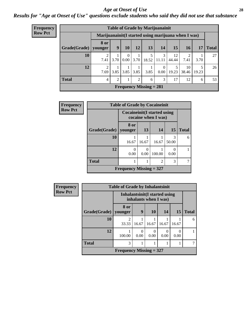#### *Age at Onset of Use* **28**

*Results for "Age at Onset of Use" questions exclude students who said they did not use that substance*

| Frequency                 | <b>Table of Grade by Marijuanainit</b> |                 |                                                      |                      |      |            |                        |             |                       |            |              |  |
|---------------------------|----------------------------------------|-----------------|------------------------------------------------------|----------------------|------|------------|------------------------|-------------|-----------------------|------------|--------------|--|
| <b>Row Pct</b>            |                                        |                 | Marijuanainit (I started using marijuana when I was) |                      |      |            |                        |             |                       |            |              |  |
|                           | Grade(Grade)                           | 8 or<br>vounger | 9                                                    | 10                   | 12   | 13         | 14                     | 15          | 16                    | 17         | <b>Total</b> |  |
|                           | 10                                     | 7.41            | 3.70                                                 | $\theta$<br>$0.00\,$ | 3.70 | 5<br>18.52 | $\mathcal{E}$<br>11.11 | 12<br>44.44 | $\mathcal{D}$<br>7.41 | 3.70       | 27           |  |
|                           | 12                                     | 7.69            | 3.85                                                 | 3.85                 | 3.85 | 3.85       | $\Omega$<br>0.00       | 19.23       | 10<br>38.46           | 5<br>19.23 | 26           |  |
|                           | <b>Total</b>                           | $\overline{4}$  | 2                                                    |                      | 2    | 6          | 3                      | 17          | 12                    | 6          | 53           |  |
| Frequency Missing $= 281$ |                                        |                 |                                                      |                      |      |            |                        |             |                       |            |              |  |

| Frequency      | <b>Table of Grade by Cocaineinit</b> |                           |                                                            |                |            |              |  |  |  |
|----------------|--------------------------------------|---------------------------|------------------------------------------------------------|----------------|------------|--------------|--|--|--|
| <b>Row Pct</b> |                                      |                           | <b>Cocaineinit</b> (I started using<br>cocaine when I was) |                |            |              |  |  |  |
|                | Grade(Grade)                         | 8 or<br>vounger           | 13                                                         | 14             | 15         | <b>Total</b> |  |  |  |
|                | 10                                   | 16.67                     | 16.67                                                      | 16.67          | 3<br>50.00 | 6            |  |  |  |
|                | 12                                   | 0.00                      | 0.00                                                       | 100.00         | 0<br>0.00  |              |  |  |  |
|                | <b>Total</b>                         |                           |                                                            | $\mathfrak{D}$ | 3          |              |  |  |  |
|                |                                      | Frequency Missing $= 327$ |                                                            |                |            |              |  |  |  |

| <b>Frequency</b> | <b>Table of Grade by Inhalantsinit</b> |                           |                                                               |           |       |           |              |  |  |
|------------------|----------------------------------------|---------------------------|---------------------------------------------------------------|-----------|-------|-----------|--------------|--|--|
| <b>Row Pct</b>   |                                        |                           | <b>Inhalantsinit(I started using</b><br>inhalants when I was) |           |       |           |              |  |  |
|                  | Grade(Grade)                           | 8 or<br>younger           | $\boldsymbol{9}$                                              | 10        | 14    | <b>15</b> | <b>Total</b> |  |  |
|                  | 10                                     | $\mathfrak{D}$<br>33.33   | 16.67                                                         | 16.67     | 16.67 | 16.67     | 6            |  |  |
|                  | 12                                     | 100.00                    | 0.00                                                          | 0<br>0.00 | 0.00  | 0<br>0.00 |              |  |  |
|                  | <b>Total</b>                           | 3                         |                                                               |           |       |           |              |  |  |
|                  |                                        | Frequency Missing $=$ 327 |                                                               |           |       |           |              |  |  |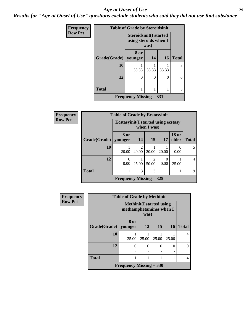#### *Age at Onset of Use* **29**

*Results for "Age at Onset of Use" questions exclude students who said they did not use that substance*

| Frequency      |                                | <b>Table of Grade by Steroidsinit</b>                  |       |           |              |  |  |  |  |  |
|----------------|--------------------------------|--------------------------------------------------------|-------|-----------|--------------|--|--|--|--|--|
| <b>Row Pct</b> |                                | <b>Steroidsinit(I started</b><br>using steroids when I | was)  |           |              |  |  |  |  |  |
|                | Grade(Grade)   younger         | 8 or                                                   | 14    | <b>16</b> | <b>Total</b> |  |  |  |  |  |
|                | 10                             | 33.33                                                  | 33.33 | 33.33     | 3            |  |  |  |  |  |
|                | 12                             | 0                                                      | 0     | 0         | 0            |  |  |  |  |  |
|                | <b>Total</b>                   |                                                        |       |           | 3            |  |  |  |  |  |
|                | <b>Frequency Missing = 331</b> |                                                        |       |           |              |  |  |  |  |  |

| Frequency      |              | <b>Table of Grade by Ecstasyinit</b>        |                         |             |           |                       |              |  |  |  |  |
|----------------|--------------|---------------------------------------------|-------------------------|-------------|-----------|-----------------------|--------------|--|--|--|--|
| <b>Row Pct</b> |              | <b>Ecstasyinit</b> (I started using ecstasy |                         | when I was) |           |                       |              |  |  |  |  |
|                | Grade(Grade) | 8 or<br>younger                             | <b>14</b>               | 15          | <b>17</b> | <b>18 or</b><br>older | <b>Total</b> |  |  |  |  |
|                | 10           | 20.00                                       | $\mathfrak{D}$<br>40.00 | 20.00       | 20.00     | 0<br>0.00             | 5            |  |  |  |  |
|                | 12           | $\Omega$<br>0.00                            | 25.00                   | 50.00       | 0.00      | 25.00                 | 4            |  |  |  |  |
|                | <b>Total</b> | 1                                           | 3                       | 3           |           |                       | 9            |  |  |  |  |
|                |              | Frequency Missing $=$ 325                   |                         |             |           |                       |              |  |  |  |  |

| <b>Frequency</b> | <b>Table of Grade by Methinit</b> |                                                             |           |          |           |              |  |  |  |  |
|------------------|-----------------------------------|-------------------------------------------------------------|-----------|----------|-----------|--------------|--|--|--|--|
| <b>Row Pct</b>   |                                   | <b>Methinit</b> (I started using<br>methamphetamines when I | was)      |          |           |              |  |  |  |  |
|                  | Grade(Grade)                      | 8 or<br>younger                                             | <b>12</b> | 15       | <b>16</b> | <b>Total</b> |  |  |  |  |
|                  | 10                                | 25.00                                                       | 25.00     | 25.00    | 25.00     | 4            |  |  |  |  |
|                  | 12                                | $\theta$                                                    | $\Omega$  | $\Omega$ | $\theta$  | 0            |  |  |  |  |
|                  | <b>Total</b>                      |                                                             |           |          |           | 4            |  |  |  |  |
|                  |                                   | Frequency Missing $= 330$                                   |           |          |           |              |  |  |  |  |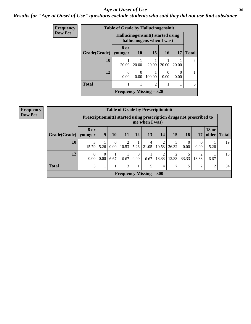#### Age at Onset of Use **30**

### *Results for "Age at Onset of Use" questions exclude students who said they did not use that substance*

| Frequency      |              | <b>Table of Grade by Hallucinogensinit</b>  |           |                           |       |       |              |
|----------------|--------------|---------------------------------------------|-----------|---------------------------|-------|-------|--------------|
| <b>Row Pct</b> |              | Hallucinogensinit (I started using          |           | hallucinogens when I was) |       |       |              |
|                | Grade(Grade) | 8 or<br>vounger                             | <b>10</b> | 15                        | 16    | 17    | <b>Total</b> |
|                | 10           | 20.00                                       | 20.00     | 20.00                     | 20.00 | 20.00 | 5            |
|                | 12           | $\Omega$<br>0.00                            | 0.00      | 100.00                    | 0.00  | 0.00  |              |
|                | <b>Total</b> |                                             |           | $\mathfrak{D}$            |       |       | 6            |
|                |              | <b>Frequency Missing = <math>328</math></b> |           |                           |       |       |              |

| <b>Frequency</b> |  |
|------------------|--|
| <b>Row Pct</b>   |  |

| <b>Table of Grade by Prescriptioninit</b> |                 |                                                                                          |                            |                         |                  |            |            |            |           |                        |                       |              |
|-------------------------------------------|-----------------|------------------------------------------------------------------------------------------|----------------------------|-------------------------|------------------|------------|------------|------------|-----------|------------------------|-----------------------|--------------|
|                                           |                 | Prescriptioninit (I started using prescription drugs not prescribed to<br>me when I was) |                            |                         |                  |            |            |            |           |                        |                       |              |
| Grade(Grade)                              | 8 or<br>younger | 9                                                                                        | 10                         | 11                      | 12               | 13         | 14         | 15         | 16        | <b>17</b>              | <b>18 or</b><br>older | <b>Total</b> |
| 10                                        | 15.79           | 5.26                                                                                     | $\overline{0}$<br>$0.00\,$ | $\mathfrak{D}$<br>10.53 | 5.26             | 4<br>21.05 | ∍<br>10.53 | 5<br>26.32 | 0<br>0.00 | $\overline{0}$<br>0.00 | 5.26                  | 19           |
| 12                                        | 0.00            | 0<br>0.00                                                                                | 6.67                       | 6.67                    | $\Omega$<br>0.00 | 6.67       | ↑<br>13.33 | 2<br>13.33 | 33.33     | 2<br>13.33             | 6.67                  | 15           |
| <b>Total</b>                              | 3               |                                                                                          |                            | 3                       |                  | 5          | 4          | 7          | 5         | $\overline{c}$         | $\overline{2}$        | 34           |
| Frequency Missing $=$ 300                 |                 |                                                                                          |                            |                         |                  |            |            |            |           |                        |                       |              |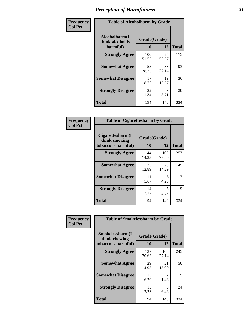| Frequency      | <b>Table of Alcoholharm by Grade</b>          |                    |             |              |  |  |  |  |
|----------------|-----------------------------------------------|--------------------|-------------|--------------|--|--|--|--|
| <b>Col Pct</b> | Alcoholharm(I<br>think alcohol is<br>harmful) | Grade(Grade)<br>10 | 12          | <b>Total</b> |  |  |  |  |
|                | <b>Strongly Agree</b>                         | 100<br>51.55       | 75<br>53.57 | 175          |  |  |  |  |
|                | <b>Somewhat Agree</b>                         | 55<br>28.35        | 38<br>27.14 | 93           |  |  |  |  |
|                | <b>Somewhat Disagree</b>                      | 17<br>8.76         | 19<br>13.57 | 36           |  |  |  |  |
|                | <b>Strongly Disagree</b>                      | 22<br>11.34        | 8<br>5.71   | 30           |  |  |  |  |
|                | <b>Total</b>                                  | 194                | 140         | 334          |  |  |  |  |

| <b>Table of Cigarettesharm by Grade</b>                  |                    |              |              |  |  |  |  |  |  |
|----------------------------------------------------------|--------------------|--------------|--------------|--|--|--|--|--|--|
| Cigarettesharm(I<br>think smoking<br>tobacco is harmful) | Grade(Grade)<br>10 | 12           | <b>Total</b> |  |  |  |  |  |  |
| <b>Strongly Agree</b>                                    | 144<br>74.23       | 109<br>77.86 | 253          |  |  |  |  |  |  |
| <b>Somewhat Agree</b>                                    | 25<br>12.89        | 20<br>14.29  | 45           |  |  |  |  |  |  |
| <b>Somewhat Disagree</b>                                 | 11<br>5.67         | 6<br>4.29    | 17           |  |  |  |  |  |  |
| <b>Strongly Disagree</b>                                 | 14<br>7.22         | 5<br>3.57    | 19           |  |  |  |  |  |  |
| <b>Total</b>                                             | 194                | 140          | 334          |  |  |  |  |  |  |

| Frequency      | <b>Table of Smokelessharm by Grade</b>                  |                    |              |              |
|----------------|---------------------------------------------------------|--------------------|--------------|--------------|
| <b>Col Pct</b> | Smokelessharm(I<br>think chewing<br>tobacco is harmful) | Grade(Grade)<br>10 | 12           | <b>Total</b> |
|                | <b>Strongly Agree</b>                                   | 137<br>70.62       | 108<br>77.14 | 245          |
|                | <b>Somewhat Agree</b>                                   | 29<br>14.95        | 21<br>15.00  | 50           |
|                | <b>Somewhat Disagree</b>                                | 13<br>6.70         | 2<br>1.43    | 15           |
|                | <b>Strongly Disagree</b>                                | 15<br>7.73         | 9<br>6.43    | 24           |
|                | <b>Total</b>                                            | 194                | 140          | 334          |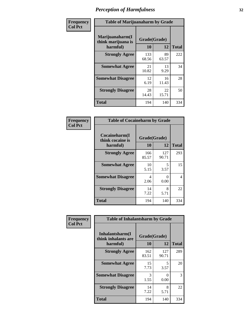| Frequency      | <b>Table of Marijuanaharm by Grade</b>            |                    |             |              |
|----------------|---------------------------------------------------|--------------------|-------------|--------------|
| <b>Col Pct</b> | Marijuanaharm(I<br>think marijuana is<br>harmful) | Grade(Grade)<br>10 | 12          | <b>Total</b> |
|                | <b>Strongly Agree</b>                             | 133<br>68.56       | 89<br>63.57 | 222          |
|                | <b>Somewhat Agree</b>                             | 21<br>10.82        | 13<br>9.29  | 34           |
|                | <b>Somewhat Disagree</b>                          | 12<br>6.19         | 16<br>11.43 | 28           |
|                | <b>Strongly Disagree</b>                          | 28<br>14.43        | 22<br>15.71 | 50           |
|                | <b>Total</b>                                      | 194                | 140         | 334          |

| <b>Table of Cocaineharm by Grade</b>          |                    |                           |     |  |  |  |
|-----------------------------------------------|--------------------|---------------------------|-----|--|--|--|
| Cocaineharm(I<br>think cocaine is<br>harmful) | Grade(Grade)<br>10 | <b>Total</b>              |     |  |  |  |
| <b>Strongly Agree</b>                         | 166<br>85.57       | 127<br>90.71              | 293 |  |  |  |
| <b>Somewhat Agree</b>                         | 10<br>5.15         | 5<br>3.57                 | 15  |  |  |  |
| <b>Somewhat Disagree</b>                      | 4<br>2.06          | $\mathbf{\Omega}$<br>0.00 | 4   |  |  |  |
| <b>Strongly Disagree</b>                      | 14<br>7.22         | 8<br>5.71                 | 22  |  |  |  |
| <b>Total</b>                                  | 194                | 140                       | 334 |  |  |  |

| Frequency      | <b>Table of Inhalantsharm by Grade</b>             |                           |              |              |
|----------------|----------------------------------------------------|---------------------------|--------------|--------------|
| <b>Col Pct</b> | Inhalantsharm(I<br>think inhalants are<br>harmful) | Grade(Grade)<br><b>10</b> | 12           | <b>Total</b> |
|                | <b>Strongly Agree</b>                              | 162<br>83.51              | 127<br>90.71 | 289          |
|                | <b>Somewhat Agree</b>                              | 15<br>7.73                | 5<br>3.57    | 20           |
|                | <b>Somewhat Disagree</b>                           | 3<br>1.55                 | 0<br>0.00    | 3            |
|                | <b>Strongly Disagree</b>                           | 14<br>7.22                | 8<br>5.71    | 22           |
|                | Total                                              | 194                       | 140          | 334          |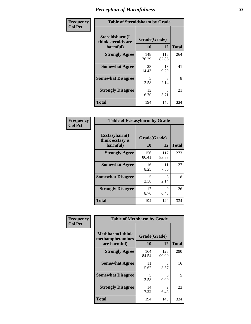| Frequency      | <b>Table of Steroidsharm by Grade</b>            |              |                    |              |
|----------------|--------------------------------------------------|--------------|--------------------|--------------|
| <b>Col Pct</b> | Steroidsharm(I<br>think steroids are<br>harmful) | 10           | Grade(Grade)<br>12 | <b>Total</b> |
|                | <b>Strongly Agree</b>                            | 148<br>76.29 | 116<br>82.86       | 264          |
|                | <b>Somewhat Agree</b>                            | 28<br>14.43  | 13<br>9.29         | 41           |
|                | <b>Somewhat Disagree</b>                         | 5<br>2.58    | 3<br>2.14          | 8            |
|                | <b>Strongly Disagree</b>                         | 13<br>6.70   | 8<br>5.71          | 21           |
|                | <b>Total</b>                                     | 194          | 140                | 334          |

| <b>Table of Ecstasyharm by Grade</b>                |                    |              |     |  |  |
|-----------------------------------------------------|--------------------|--------------|-----|--|--|
| $E$ cstasyharm $(I$<br>think ecstasy is<br>harmful) | Grade(Grade)<br>10 | <b>Total</b> |     |  |  |
| <b>Strongly Agree</b>                               | 156<br>80.41       | 117<br>83.57 | 273 |  |  |
| <b>Somewhat Agree</b>                               | 16<br>8.25         | 11<br>7.86   | 27  |  |  |
| <b>Somewhat Disagree</b>                            | 5<br>2.58          | 3<br>2.14    | 8   |  |  |
| <b>Strongly Disagree</b>                            | 17<br>8.76         | 9<br>6.43    | 26  |  |  |
| Total                                               | 194                | 140          | 334 |  |  |

| Frequency      | <b>Table of Methharm by Grade</b>                            |                           |              |              |
|----------------|--------------------------------------------------------------|---------------------------|--------------|--------------|
| <b>Col Pct</b> | <b>Methharm</b> (I think<br>methamphetamines<br>are harmful) | Grade(Grade)<br><b>10</b> | 12           | <b>Total</b> |
|                | <b>Strongly Agree</b>                                        | 164<br>84.54              | 126<br>90.00 | 290          |
|                | <b>Somewhat Agree</b>                                        | 11<br>5.67                | 5<br>3.57    | 16           |
|                | <b>Somewhat Disagree</b>                                     | 5<br>2.58                 | 0<br>0.00    | 5            |
|                | <b>Strongly Disagree</b>                                     | 14<br>7.22                | 9<br>6.43    | 23           |
|                | Total                                                        | 194                       | 140          | 334          |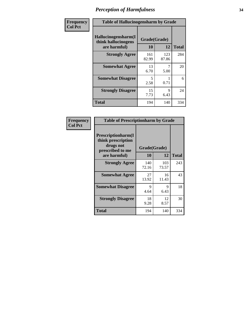| Frequency      | <b>Table of Hallucinogensharm by Grade</b>                 |                                  |              |              |
|----------------|------------------------------------------------------------|----------------------------------|--------------|--------------|
| <b>Col Pct</b> | Hallucinogensharm(I<br>think hallucinogens<br>are harmful) | Grade(Grade)<br>10               | 12           | <b>Total</b> |
|                | <b>Strongly Agree</b>                                      | 161<br>82.99                     | 123<br>87.86 | 284          |
|                | <b>Somewhat Agree</b>                                      | 13<br>6.70                       | 7<br>5.00    | 20           |
|                | <b>Somewhat Disagree</b>                                   | $\overline{\phantom{0}}$<br>2.58 | 0.71         | 6            |
|                | <b>Strongly Disagree</b>                                   | 15<br>7.73                       | 9<br>6.43    | 24           |
|                | <b>Total</b>                                               | 194                              | 140          | 334          |

| <b>Table of Prescriptionharm by Grade</b>                                         |              |              |              |  |
|-----------------------------------------------------------------------------------|--------------|--------------|--------------|--|
| <b>Prescriptionharm</b> (I<br>think prescription<br>drugs not<br>prescribed to me | Grade(Grade) |              |              |  |
| are harmful)                                                                      | 10           | 12           | <b>Total</b> |  |
| <b>Strongly Agree</b>                                                             | 140<br>72.16 | 103<br>73.57 | 243          |  |
| <b>Somewhat Agree</b>                                                             | 27<br>13.92  | 16<br>11.43  | 43           |  |
| <b>Somewhat Disagree</b>                                                          | 9<br>4.64    | 9<br>6.43    | 18           |  |
| <b>Strongly Disagree</b>                                                          | 18<br>9.28   | 12<br>8.57   | 30           |  |
| <b>Total</b>                                                                      | 194          | 140          | 334          |  |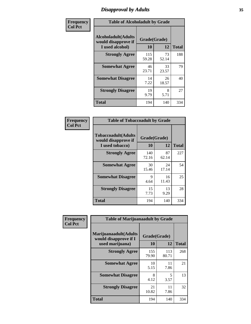### *Disapproval by Adults* **35**

| Frequency      | <b>Table of Alcoholadult by Grade</b>                                 |                    |             |              |
|----------------|-----------------------------------------------------------------------|--------------------|-------------|--------------|
| <b>Col Pct</b> | <b>Alcoholadult</b> (Adults<br>would disapprove if<br>I used alcohol) | Grade(Grade)<br>10 | 12          | <b>Total</b> |
|                | <b>Strongly Agree</b>                                                 | 115<br>59.28       | 73<br>52.14 | 188          |
|                | <b>Somewhat Agree</b>                                                 | 46<br>23.71        | 33<br>23.57 | 79           |
|                | <b>Somewhat Disagree</b>                                              | 14<br>7.22         | 26<br>18.57 | 40           |
|                | <b>Strongly Disagree</b>                                              | 19<br>9.79         | 8<br>5.71   | 27           |
|                | <b>Total</b>                                                          | 194                | 140         | 334          |

| <b>Table of Tobaccoadult by Grade</b>                                 |                    |             |              |  |  |
|-----------------------------------------------------------------------|--------------------|-------------|--------------|--|--|
| <b>Tobaccoadult</b> (Adults<br>would disapprove if<br>I used tobacco) | Grade(Grade)<br>10 | 12          | <b>Total</b> |  |  |
| <b>Strongly Agree</b>                                                 | 140<br>72.16       | 87<br>62.14 | 227          |  |  |
| <b>Somewhat Agree</b>                                                 | 30<br>15.46        | 24<br>17.14 | 54           |  |  |
| <b>Somewhat Disagree</b>                                              | 9<br>4.64          | 16<br>11.43 | 25           |  |  |
| <b>Strongly Disagree</b>                                              | 15<br>7.73         | 13<br>9.29  | 28           |  |  |
| Total                                                                 | 194                | 140         | 334          |  |  |

| Frequency      | <b>Table of Marijuanaadult by Grade</b>                           |                    |              |              |
|----------------|-------------------------------------------------------------------|--------------------|--------------|--------------|
| <b>Col Pct</b> | Marijuanaadult(Adults<br>would disapprove if I<br>used marijuana) | Grade(Grade)<br>10 | 12           | <b>Total</b> |
|                | <b>Strongly Agree</b>                                             | 155<br>79.90       | 113<br>80.71 | 268          |
|                | <b>Somewhat Agree</b>                                             | 10<br>5.15         | 11<br>7.86   | 21           |
|                | <b>Somewhat Disagree</b>                                          | 8<br>4.12          | 5<br>3.57    | 13           |
|                | <b>Strongly Disagree</b>                                          | 21<br>10.82        | 11<br>7.86   | 32           |
|                | <b>Total</b>                                                      | 194                | 140          | 334          |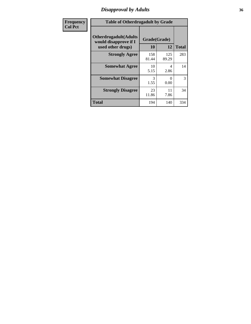### *Disapproval by Adults* **36**

| <b>Frequency</b> | <b>Table of Otherdrugadult by Grade</b>                |              |              |              |
|------------------|--------------------------------------------------------|--------------|--------------|--------------|
| <b>Col Pct</b>   | <b>Otherdrugadult</b> (Adults<br>would disapprove if I | Grade(Grade) |              |              |
|                  | used other drugs)                                      | 10           | 12           | <b>Total</b> |
|                  | <b>Strongly Agree</b>                                  | 158<br>81.44 | 125<br>89.29 | 283          |
|                  | <b>Somewhat Agree</b>                                  | 10<br>5.15   | 4<br>2.86    | 14           |
|                  | <b>Somewhat Disagree</b>                               | 3<br>1.55    | ∩<br>0.00    | 3            |
|                  | <b>Strongly Disagree</b>                               | 23<br>11.86  | 11<br>7.86   | 34           |
|                  | <b>Total</b>                                           | 194          | 140          | 334          |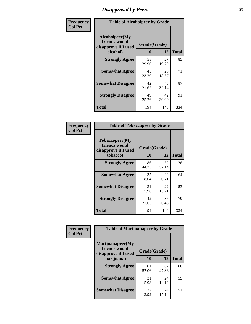# *Disapproval by Peers* **37**

| Frequency      | <b>Table of Alcoholpeer by Grade</b>                    |              |             |              |  |
|----------------|---------------------------------------------------------|--------------|-------------|--------------|--|
| <b>Col Pct</b> | Alcoholpeer(My<br>friends would<br>disapprove if I used | Grade(Grade) |             |              |  |
|                | alcohol)                                                | 10           | 12          | <b>Total</b> |  |
|                | <b>Strongly Agree</b>                                   | 58<br>29.90  | 27<br>19.29 | 85           |  |
|                | <b>Somewhat Agree</b>                                   | 45<br>23.20  | 26<br>18.57 | 71           |  |
|                | <b>Somewhat Disagree</b>                                | 42<br>21.65  | 45<br>32.14 | 87           |  |
|                | <b>Strongly Disagree</b>                                | 49<br>25.26  | 42<br>30.00 | 91           |  |
|                | Total                                                   | 194          | 140         | 334          |  |

| Frequency      | <b>Table of Tobaccopeer by Grade</b>                                |                    |             |              |
|----------------|---------------------------------------------------------------------|--------------------|-------------|--------------|
| <b>Col Pct</b> | Tobaccopeer(My<br>friends would<br>disapprove if I used<br>tobacco) | Grade(Grade)<br>10 | 12          | <b>Total</b> |
|                | <b>Strongly Agree</b>                                               | 86<br>44.33        | 52<br>37.14 | 138          |
|                | <b>Somewhat Agree</b>                                               | 35<br>18.04        | 29<br>20.71 | 64           |
|                | <b>Somewhat Disagree</b>                                            | 31<br>15.98        | 22<br>15.71 | 53           |
|                | <b>Strongly Disagree</b>                                            | 42<br>21.65        | 37<br>26.43 | 79           |
|                | Total                                                               | 194                | 140         | 334          |

| Frequency      | <b>Table of Marijuanapeer by Grade</b>                    |              |             |              |
|----------------|-----------------------------------------------------------|--------------|-------------|--------------|
| <b>Col Pct</b> | Marijuanapeer(My<br>friends would<br>disapprove if I used | Grade(Grade) |             |              |
|                | marijuana)                                                | <b>10</b>    | 12          | <b>Total</b> |
|                | <b>Strongly Agree</b>                                     | 101<br>52.06 | 67<br>47.86 | 168          |
|                | <b>Somewhat Agree</b>                                     | 31<br>15.98  | 24<br>17.14 | 55           |
|                | <b>Somewhat Disagree</b>                                  | 27<br>13.92  | 24<br>17.14 | 51           |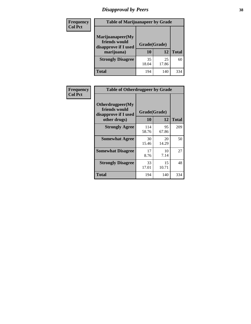# *Disapproval by Peers* **38**

| Frequency<br><b>Col Pct</b> | <b>Table of Marijuanapeer by Grade</b>                                  |                    |             |              |
|-----------------------------|-------------------------------------------------------------------------|--------------------|-------------|--------------|
|                             | Marijuanapeer(My<br>friends would<br>disapprove if I used<br>marijuana) | Grade(Grade)<br>10 | 12          | <b>Total</b> |
|                             | <b>Strongly Disagree</b>                                                | 35<br>18.04        | 25<br>17.86 | 60           |
|                             | Total                                                                   | 194                | 140         | 334          |

| Frequency      | <b>Table of Otherdrugpeer by Grade</b>                                    |              |                    |              |
|----------------|---------------------------------------------------------------------------|--------------|--------------------|--------------|
| <b>Col Pct</b> | Otherdrugpeer(My<br>friends would<br>disapprove if I used<br>other drugs) | 10           | Grade(Grade)<br>12 | <b>Total</b> |
|                | <b>Strongly Agree</b>                                                     | 114<br>58.76 | 95<br>67.86        | 209          |
|                | <b>Somewhat Agree</b>                                                     | 30<br>15.46  | 20<br>14.29        | 50           |
|                | <b>Somewhat Disagree</b>                                                  | 17<br>8.76   | 10<br>7.14         | 27           |
|                | <b>Strongly Disagree</b>                                                  | 33<br>17.01  | 15<br>10.71        | 48           |
|                | Total                                                                     | 194          | 140                | 334          |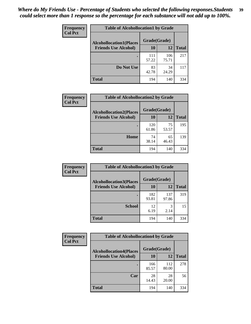| Frequency      | <b>Table of Alcohollocation1 by Grade</b> |              |              |              |
|----------------|-------------------------------------------|--------------|--------------|--------------|
| <b>Col Pct</b> | <b>Alcohollocation1(Places</b>            | Grade(Grade) |              |              |
|                | <b>Friends Use Alcohol)</b>               | 10           | 12           | <b>Total</b> |
|                |                                           | 111<br>57.22 | 106<br>75.71 | 217          |
|                | Do Not Use                                | 83<br>42.78  | 34<br>24.29  | 117          |
|                | <b>Total</b>                              | 194          | 140          | 334          |

| Frequency      | <b>Table of Alcohollocation2 by Grade</b>                     |                    |             |              |
|----------------|---------------------------------------------------------------|--------------------|-------------|--------------|
| <b>Col Pct</b> | <b>Alcohollocation2(Places</b><br><b>Friends Use Alcohol)</b> | Grade(Grade)<br>10 | 12          | <b>Total</b> |
|                |                                                               | 120<br>61.86       | 75<br>53.57 | 195          |
|                | Home                                                          | 74<br>38.14        | 65<br>46.43 | 139          |
|                | Total                                                         | 194                | 140         | 334          |

| Frequency<br><b>Col Pct</b> | <b>Table of Alcohollocation 3 by Grade</b>                    |                    |              |              |  |
|-----------------------------|---------------------------------------------------------------|--------------------|--------------|--------------|--|
|                             | <b>Alcohollocation3(Places</b><br><b>Friends Use Alcohol)</b> | Grade(Grade)<br>10 | 12           | <b>Total</b> |  |
|                             |                                                               | 182<br>93.81       | 137<br>97.86 | 319          |  |
|                             | <b>School</b>                                                 | 12<br>6.19         | 3<br>2.14    | 15           |  |
|                             | <b>Total</b>                                                  | 194                | 140          | 334          |  |

| Frequency      | <b>Table of Alcohollocation4 by Grade</b> |              |              |              |  |
|----------------|-------------------------------------------|--------------|--------------|--------------|--|
| <b>Col Pct</b> | <b>Alcohollocation4(Places</b>            | Grade(Grade) |              |              |  |
|                | <b>Friends Use Alcohol)</b>               | 10           | 12           | <b>Total</b> |  |
|                |                                           | 166<br>85.57 | 112<br>80.00 | 278          |  |
|                | Car                                       | 28<br>14.43  | 28<br>20.00  | 56           |  |
|                | <b>Total</b>                              | 194          | 140          | 334          |  |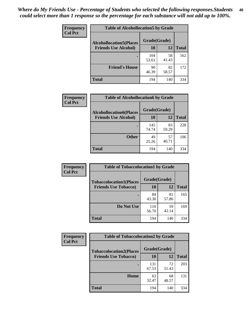| Frequency<br><b>Col Pct</b> | <b>Table of Alcohollocation5 by Grade</b>      |              |             |              |  |
|-----------------------------|------------------------------------------------|--------------|-------------|--------------|--|
|                             | Grade(Grade)<br><b>Alcohollocation5(Places</b> |              |             |              |  |
|                             | <b>Friends Use Alcohol)</b>                    | 10           | 12          | <b>Total</b> |  |
|                             |                                                | 104<br>53.61 | 58<br>41.43 | 162          |  |
|                             | <b>Friend's House</b>                          | 90<br>46.39  | 82<br>58.57 | 172          |  |
|                             | <b>Total</b>                                   | 194          | 140         | 334          |  |

| <b>Frequency</b> | <b>Table of Alcohollocation6 by Grade</b>                     |                           |             |              |
|------------------|---------------------------------------------------------------|---------------------------|-------------|--------------|
| <b>Col Pct</b>   | <b>Alcohollocation6(Places</b><br><b>Friends Use Alcohol)</b> | Grade(Grade)<br><b>10</b> | 12          | <b>Total</b> |
|                  |                                                               | 145<br>74.74              | 83<br>59.29 | 228          |
|                  | <b>Other</b>                                                  | 49<br>25.26               | 57<br>40.71 | 106          |
|                  | <b>Total</b>                                                  | 194                       | 140         | 334          |

| <b>Frequency</b> | <b>Table of Tobaccolocation1 by Grade</b> |              |             |              |
|------------------|-------------------------------------------|--------------|-------------|--------------|
| <b>Col Pct</b>   | <b>Tobaccolocation1(Places</b>            | Grade(Grade) |             |              |
|                  | <b>Friends Use Tobacco)</b>               | 10           | 12          | <b>Total</b> |
|                  |                                           | 84<br>43.30  | 81<br>57.86 | 165          |
|                  | Do Not Use                                | 110<br>56.70 | 59<br>42.14 | 169          |
|                  | <b>Total</b>                              | 194          | 140         | 334          |

| <b>Frequency</b> | <b>Table of Tobaccolocation2 by Grade</b> |              |             |              |  |
|------------------|-------------------------------------------|--------------|-------------|--------------|--|
| <b>Col Pct</b>   | <b>Tobaccolocation2(Places</b>            | Grade(Grade) |             |              |  |
|                  | <b>Friends Use Tobacco)</b>               | 10           | 12          | <b>Total</b> |  |
|                  |                                           | 131<br>67.53 | 72<br>51.43 | 203          |  |
|                  | Home                                      | 63<br>32.47  | 68<br>48.57 | 131          |  |
|                  | <b>Total</b>                              | 194          | 140         | 334          |  |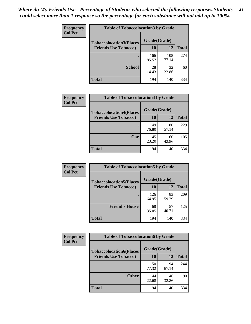| Frequency      | <b>Table of Tobaccolocation3 by Grade</b> |              |              |              |  |
|----------------|-------------------------------------------|--------------|--------------|--------------|--|
| <b>Col Pct</b> | <b>Tobaccolocation3(Places</b>            | Grade(Grade) |              |              |  |
|                | <b>Friends Use Tobacco)</b>               | 10           | 12           | <b>Total</b> |  |
|                |                                           | 166<br>85.57 | 108<br>77.14 | 274          |  |
|                | <b>School</b>                             | 28<br>14.43  | 32<br>22.86  | 60           |  |
|                | <b>Total</b>                              | 194          | 140          | 334          |  |

| Frequency      | <b>Table of Tobaccolocation4 by Grade</b>                     |                    |             |              |
|----------------|---------------------------------------------------------------|--------------------|-------------|--------------|
| <b>Col Pct</b> | <b>Tobaccolocation4(Places</b><br><b>Friends Use Tobacco)</b> | Grade(Grade)<br>10 | 12          | <b>Total</b> |
|                |                                                               | 149                | 80          | 229          |
|                |                                                               | 76.80              | 57.14       |              |
|                | Car                                                           | 45<br>23.20        | 60<br>42.86 | 105          |
|                | <b>Total</b>                                                  | 194                | 140         | 334          |

| Frequency<br><b>Col Pct</b> | <b>Table of Tobaccolocation5 by Grade</b> |                    |             |              |
|-----------------------------|-------------------------------------------|--------------------|-------------|--------------|
|                             | <b>Tobaccolocation5(Places</b>            | Grade(Grade)<br>10 |             |              |
|                             | <b>Friends Use Tobacco)</b>               |                    | <b>12</b>   | <b>Total</b> |
|                             |                                           | 126<br>64.95       | 83<br>59.29 | 209          |
|                             | <b>Friend's House</b>                     | 68<br>35.05        | 57<br>40.71 | 125          |
|                             | <b>Total</b>                              | 194                | 140         | 334          |

| <b>Frequency</b> | <b>Table of Tobaccolocation6 by Grade</b> |              |             |              |  |
|------------------|-------------------------------------------|--------------|-------------|--------------|--|
| <b>Col Pct</b>   | <b>Tobaccolocation6(Places</b>            | Grade(Grade) |             |              |  |
|                  | <b>Friends Use Tobacco)</b>               | 10           | 12          | <b>Total</b> |  |
|                  |                                           | 150<br>77.32 | 94<br>67.14 | 244          |  |
|                  | <b>Other</b>                              | 44<br>22.68  | 46<br>32.86 | 90           |  |
|                  | <b>Total</b>                              | 194          | 140         | 334          |  |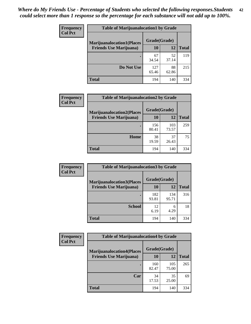| <b>Frequency</b> | <b>Table of Marijuanalocation1 by Grade</b> |              |             |              |
|------------------|---------------------------------------------|--------------|-------------|--------------|
| <b>Col Pct</b>   | <b>Marijuanalocation1(Places</b>            | Grade(Grade) |             |              |
|                  | <b>Friends Use Marijuana</b> )              | <b>10</b>    | 12          | <b>Total</b> |
|                  |                                             | 67<br>34.54  | 52<br>37.14 | 119          |
|                  | Do Not Use                                  | 127<br>65.46 | 88<br>62.86 | 215          |
|                  | <b>Total</b>                                | 194          | 140         | 334          |

| <b>Frequency</b> | <b>Table of Marijuanalocation2 by Grade</b>                        |                           |              |              |
|------------------|--------------------------------------------------------------------|---------------------------|--------------|--------------|
| <b>Col Pct</b>   | <b>Marijuanalocation2(Places</b><br><b>Friends Use Marijuana</b> ) | Grade(Grade)<br><b>10</b> | 12           | <b>Total</b> |
|                  |                                                                    | 156<br>80.41              | 103<br>73.57 | 259          |
|                  | Home                                                               | 38<br>19.59               | 37<br>26.43  | 75           |
|                  | <b>Total</b>                                                       | 194                       | 140          | 334          |

| Frequency<br><b>Col Pct</b> | <b>Table of Marijuanalocation3 by Grade</b> |              |              |              |
|-----------------------------|---------------------------------------------|--------------|--------------|--------------|
|                             | <b>Marijuanalocation3</b> (Places           | Grade(Grade) |              |              |
|                             | <b>Friends Use Marijuana</b> )              | 10           | 12           | <b>Total</b> |
|                             |                                             | 182<br>93.81 | 134<br>95.71 | 316          |
|                             | <b>School</b>                               | 12<br>6.19   | 6<br>4.29    | 18           |
|                             | <b>Total</b>                                | 194          | 140          | 334          |

| <b>Frequency</b> | <b>Table of Marijuanalocation4 by Grade</b> |              |              |              |  |
|------------------|---------------------------------------------|--------------|--------------|--------------|--|
| <b>Col Pct</b>   | <b>Marijuanalocation4(Places</b>            | Grade(Grade) |              |              |  |
|                  | <b>Friends Use Marijuana</b> )              | <b>10</b>    | 12           | <b>Total</b> |  |
|                  |                                             | 160<br>82.47 | 105<br>75.00 | 265          |  |
|                  | Car                                         | 34<br>17.53  | 35<br>25.00  | 69           |  |
|                  | <b>Total</b>                                | 194          | 140          | 334          |  |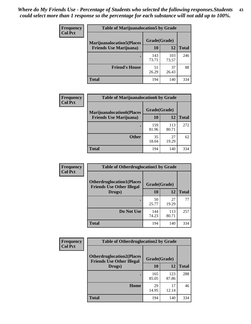| <b>Frequency</b> | <b>Table of Marijuanalocation5 by Grade</b> |              |              |              |
|------------------|---------------------------------------------|--------------|--------------|--------------|
| <b>Col Pct</b>   | <b>Marijuanalocation5</b> (Places           | Grade(Grade) |              |              |
|                  | <b>Friends Use Marijuana</b> )              | 10           | 12           | <b>Total</b> |
|                  |                                             | 143<br>73.71 | 103<br>73.57 | 246          |
|                  | <b>Friend's House</b>                       | 51<br>26.29  | 37<br>26.43  | 88           |
|                  | <b>Total</b>                                | 194          | 140          | 334          |

| <b>Frequency</b> | <b>Table of Marijuanalocation6 by Grade</b>                        |                    |              |              |
|------------------|--------------------------------------------------------------------|--------------------|--------------|--------------|
| <b>Col Pct</b>   | <b>Marijuanalocation6(Places</b><br><b>Friends Use Marijuana</b> ) | Grade(Grade)<br>10 | 12           | <b>Total</b> |
|                  |                                                                    | 159<br>81.96       | 113<br>80.71 | 272          |
|                  | <b>Other</b>                                                       | 35<br>18.04        | 27<br>19.29  | 62           |
|                  | <b>Total</b>                                                       | 194                | 140          | 334          |

| Frequency      | <b>Table of Otherdruglocation1 by Grade</b>                          |              |              |              |
|----------------|----------------------------------------------------------------------|--------------|--------------|--------------|
| <b>Col Pct</b> | <b>Otherdruglocation1(Places</b><br><b>Friends Use Other Illegal</b> | Grade(Grade) |              |              |
|                | Drugs)                                                               | 10           | 12           | <b>Total</b> |
|                |                                                                      | 50<br>25.77  | 27<br>19.29  | 77           |
|                | Do Not Use                                                           | 144<br>74.23 | 113<br>80.71 | 257          |
|                | <b>Total</b>                                                         | 194          | 140          | 334          |

| Frequency      | <b>Table of Otherdruglocation2 by Grade</b>                          |              |              |              |
|----------------|----------------------------------------------------------------------|--------------|--------------|--------------|
| <b>Col Pct</b> | <b>Otherdruglocation2(Places</b><br><b>Friends Use Other Illegal</b> | Grade(Grade) |              |              |
|                | Drugs)                                                               | 10           | 12           | <b>Total</b> |
|                |                                                                      | 165<br>85.05 | 123<br>87.86 | 288          |
|                | <b>Home</b>                                                          | 29<br>14.95  | 17<br>12.14  | 46           |
|                | <b>Total</b>                                                         | 194          | 140          | 334          |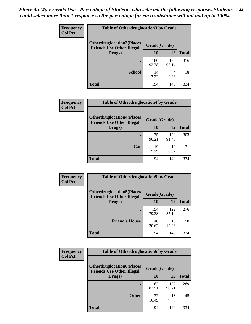| <b>Frequency</b> | <b>Table of Otherdruglocation3 by Grade</b>                                           |              |              |              |
|------------------|---------------------------------------------------------------------------------------|--------------|--------------|--------------|
| <b>Col Pct</b>   | <b>Otherdruglocation3(Places)</b><br>Grade(Grade)<br><b>Friends Use Other Illegal</b> |              |              |              |
|                  | Drugs)                                                                                | 10           | 12           | <b>Total</b> |
|                  |                                                                                       | 180<br>92.78 | 136<br>97.14 | 316          |
|                  | <b>School</b>                                                                         | 14<br>7.22   | 4<br>2.86    | 18           |
|                  | <b>Total</b>                                                                          | 194          | 140          | 334          |

| Frequency      | <b>Table of Otherdruglocation4 by Grade</b>                          |              |              |              |  |
|----------------|----------------------------------------------------------------------|--------------|--------------|--------------|--|
| <b>Col Pct</b> | <b>Otherdruglocation4(Places</b><br><b>Friends Use Other Illegal</b> | Grade(Grade) |              |              |  |
|                | Drugs)                                                               | 10           | 12           | <b>Total</b> |  |
|                |                                                                      | 175<br>90.21 | 128<br>91.43 | 303          |  |
|                | Car                                                                  | 19<br>9.79   | 12<br>8.57   | 31           |  |
|                | <b>Total</b>                                                         | 194          | 140          | 334          |  |

| <b>Frequency</b> | <b>Table of Otherdruglocation5 by Grade</b>                          |              |              |              |
|------------------|----------------------------------------------------------------------|--------------|--------------|--------------|
| <b>Col Pct</b>   | <b>Otherdruglocation5(Places</b><br><b>Friends Use Other Illegal</b> | Grade(Grade) |              |              |
|                  | Drugs)                                                               | 10           | 12           | <b>Total</b> |
|                  |                                                                      | 154<br>79.38 | 122<br>87.14 | 276          |
|                  | <b>Friend's House</b>                                                | 40<br>20.62  | 18<br>12.86  | 58           |
|                  | <b>Total</b>                                                         | 194          | 140          | 334          |

| <b>Frequency</b> | <b>Table of Otherdruglocation6 by Grade</b>                          |              |              |              |
|------------------|----------------------------------------------------------------------|--------------|--------------|--------------|
| <b>Col Pct</b>   | <b>Otherdruglocation6(Places</b><br><b>Friends Use Other Illegal</b> | Grade(Grade) |              |              |
|                  | Drugs)                                                               | <b>10</b>    | 12           | <b>Total</b> |
|                  |                                                                      | 162<br>83.51 | 127<br>90.71 | 289          |
|                  | <b>Other</b>                                                         | 32<br>16.49  | 13<br>9.29   | 45           |
|                  | <b>Total</b>                                                         | 194          | 140          | 334          |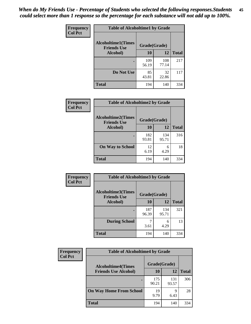| Frequency      | <b>Table of Alcoholtime1 by Grade</b>                           |              |              |              |
|----------------|-----------------------------------------------------------------|--------------|--------------|--------------|
| <b>Col Pct</b> | <b>Alcoholtime1(Times</b><br>Grade(Grade)<br><b>Friends Use</b> |              |              |              |
|                | Alcohol)                                                        | <b>10</b>    | 12           | <b>Total</b> |
|                |                                                                 | 109<br>56.19 | 108<br>77.14 | 217          |
|                | Do Not Use                                                      | 85<br>43.81  | 32<br>22.86  | 117          |
|                | <b>Total</b>                                                    | 194          | 140          | 334          |

| Frequency      | <b>Table of Alcoholtime2 by Grade</b>           |              |              |              |
|----------------|-------------------------------------------------|--------------|--------------|--------------|
| <b>Col Pct</b> | <b>Alcoholtime2(Times</b><br><b>Friends Use</b> | Grade(Grade) |              |              |
|                | Alcohol)                                        | 10           | 12           | <b>Total</b> |
|                |                                                 | 182<br>93.81 | 134<br>95.71 | 316          |
|                | <b>On Way to School</b>                         | 12<br>6.19   | 6<br>4.29    | 18           |
|                | <b>Total</b>                                    | 194          | 140          | 334          |

| Frequency      | <b>Table of Alcoholtime3 by Grade</b>           |              |              |              |
|----------------|-------------------------------------------------|--------------|--------------|--------------|
| <b>Col Pct</b> | <b>Alcoholtime3(Times</b><br><b>Friends Use</b> | Grade(Grade) |              |              |
|                | Alcohol)                                        | 10           | 12           | <b>Total</b> |
|                |                                                 | 187<br>96.39 | 134<br>95.71 | 321          |
|                | <b>During School</b>                            | 3.61         | 6<br>4.29    | 13           |
|                | Total                                           | 194          | 140          | 334          |

| <b>Frequency</b><br><b>Col Pct</b> | <b>Table of Alcoholtime4 by Grade</b> |              |              |              |
|------------------------------------|---------------------------------------|--------------|--------------|--------------|
|                                    | <b>Alcoholtime4(Times</b>             | Grade(Grade) |              |              |
|                                    | <b>Friends Use Alcohol)</b>           | <b>10</b>    | 12           | <b>Total</b> |
|                                    |                                       | 175<br>90.21 | 131<br>93.57 | 306          |
|                                    | <b>On Way Home From School</b>        | 19<br>9.79   | 9<br>6.43    | 28           |
|                                    | <b>Total</b>                          | 194          | 140          | 334          |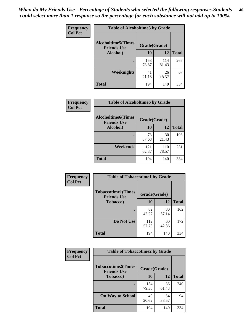*When do My Friends Use - Percentage of Students who selected the following responses.Students could select more than 1 response so the percentage for each substance will not add up to 100%.* **46**

| Frequency      | <b>Table of Alcoholtime5 by Grade</b>           |              |              |              |
|----------------|-------------------------------------------------|--------------|--------------|--------------|
| <b>Col Pct</b> | <b>Alcoholtime5(Times</b><br><b>Friends Use</b> | Grade(Grade) |              |              |
|                | Alcohol)                                        | 10           | 12           | <b>Total</b> |
|                |                                                 | 153<br>78.87 | 114<br>81.43 | 267          |
|                | Weeknights                                      | 41<br>21.13  | 26<br>18.57  | 67           |
|                | <b>Total</b>                                    | 194          | 140          | 334          |

| Frequency      | <b>Table of Alcoholtime6 by Grade</b>           |              |              |              |
|----------------|-------------------------------------------------|--------------|--------------|--------------|
| <b>Col Pct</b> | <b>Alcoholtime6(Times</b><br><b>Friends Use</b> | Grade(Grade) |              |              |
|                | Alcohol)                                        | 10           | 12           | <b>Total</b> |
|                |                                                 | 73<br>37.63  | 30<br>21.43  | 103          |
|                | Weekends                                        | 121<br>62.37 | 110<br>78.57 | 231          |
|                | <b>Total</b>                                    | 194          | 140          | 334          |

| Frequency<br><b>Col Pct</b> | <b>Table of Tobaccotime1 by Grade</b>           |              |             |              |
|-----------------------------|-------------------------------------------------|--------------|-------------|--------------|
|                             | <b>Tobaccotime1(Times</b><br><b>Friends Use</b> | Grade(Grade) |             |              |
|                             | <b>Tobacco</b> )                                | 10           | 12          | <b>Total</b> |
|                             |                                                 | 82<br>42.27  | 80<br>57.14 | 162          |
|                             | Do Not Use                                      | 112<br>57.73 | 60<br>42.86 | 172          |
|                             | <b>Total</b>                                    | 194          | 140         | 334          |

| <b>Frequency</b> | <b>Table of Tobaccotime2 by Grade</b>           |              |             |              |
|------------------|-------------------------------------------------|--------------|-------------|--------------|
| <b>Col Pct</b>   | <b>Tobaccotime2(Times</b><br><b>Friends Use</b> | Grade(Grade) |             |              |
|                  | <b>Tobacco</b> )                                | 10           | 12          | <b>Total</b> |
|                  |                                                 | 154<br>79.38 | 86<br>61.43 | 240          |
|                  | <b>On Way to School</b>                         | 40<br>20.62  | 54<br>38.57 | 94           |
|                  | <b>Total</b>                                    | 194          | 140         | 334          |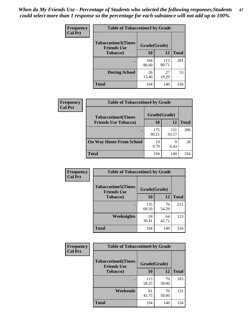*When do My Friends Use - Percentage of Students who selected the following responses.Students could select more than 1 response so the percentage for each substance will not add up to 100%.* **47**

| <b>Frequency</b> | <b>Table of Tobaccotime3 by Grade</b>           |              |              |              |  |
|------------------|-------------------------------------------------|--------------|--------------|--------------|--|
| <b>Col Pct</b>   | <b>Tobaccotime3(Times</b><br><b>Friends Use</b> | Grade(Grade) |              |              |  |
|                  | <b>Tobacco</b> )                                | 10           | 12           | <b>Total</b> |  |
|                  |                                                 | 168<br>86.60 | 113<br>80.71 | 281          |  |
|                  | <b>During School</b>                            | 26<br>13.40  | 27<br>19.29  | 53           |  |
|                  | <b>Total</b>                                    | 194          | 140          | 334          |  |

| <b>Frequency</b><br><b>Col Pct</b> | <b>Table of Tobaccotime4 by Grade</b> |              |              |              |
|------------------------------------|---------------------------------------|--------------|--------------|--------------|
|                                    | <b>Tobaccotime4(Times</b>             | Grade(Grade) |              |              |
|                                    | <b>Friends Use Tobacco)</b>           | 10           | 12           | <b>Total</b> |
|                                    |                                       | 175<br>90.21 | 131<br>93.57 | 306          |
|                                    | <b>On Way Home From School</b>        | 19<br>9.79   | Q<br>6.43    | 28           |
|                                    | <b>Total</b>                          | 194          | 140          | 334          |

| Frequency      | <b>Table of Tobaccotime5 by Grade</b>           |              |             |              |
|----------------|-------------------------------------------------|--------------|-------------|--------------|
| <b>Col Pct</b> | <b>Tobaccotime5(Times</b><br><b>Friends Use</b> | Grade(Grade) |             |              |
|                | <b>Tobacco</b> )                                | 10           | 12          | <b>Total</b> |
|                |                                                 | 135<br>69.59 | 76<br>54.29 | 211          |
|                | Weeknights                                      | 59<br>30.41  | 64<br>45.71 | 123          |
|                | <b>Total</b>                                    | 194          | 140         | 334          |

| <b>Frequency</b> | <b>Table of Tobaccotime6 by Grade</b>           |              |             |              |
|------------------|-------------------------------------------------|--------------|-------------|--------------|
| <b>Col Pct</b>   | <b>Tobaccotime6(Times</b><br><b>Friends Use</b> | Grade(Grade) |             |              |
|                  | <b>Tobacco</b> )                                | 10           | 12          | <b>Total</b> |
|                  | ٠                                               | 113<br>58.25 | 70<br>50.00 | 183          |
|                  | Weekends                                        | 81<br>41.75  | 70<br>50.00 | 151          |
|                  | <b>Total</b>                                    | 194          | 140         | 334          |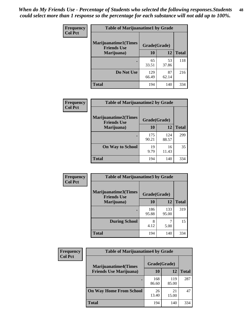| Frequency      | <b>Table of Marijuanatime1 by Grade</b>           |              |             |              |
|----------------|---------------------------------------------------|--------------|-------------|--------------|
| <b>Col Pct</b> | <b>Marijuanatime1(Times</b><br><b>Friends Use</b> | Grade(Grade) |             |              |
|                | Marijuana)                                        | 10           | 12          | <b>Total</b> |
|                |                                                   | 65<br>33.51  | 53<br>37.86 | 118          |
|                | Do Not Use                                        | 129<br>66.49 | 87<br>62.14 | 216          |
|                | <b>Total</b>                                      | 194          | 140         | 334          |

| Frequency      | <b>Table of Marijuanatime2 by Grade</b>           |              |              |              |
|----------------|---------------------------------------------------|--------------|--------------|--------------|
| <b>Col Pct</b> | <b>Marijuanatime2(Times</b><br><b>Friends Use</b> | Grade(Grade) |              |              |
|                | Marijuana)                                        | 10           | 12           | <b>Total</b> |
|                |                                                   | 175<br>90.21 | 124<br>88.57 | 299          |
|                | <b>On Way to School</b>                           | 19<br>9.79   | 16<br>11.43  | 35           |
|                | <b>Total</b>                                      | 194          | 140          | 334          |

| Frequency<br><b>Col Pct</b> | <b>Table of Marijuanatime3 by Grade</b>                    |              |              |              |
|-----------------------------|------------------------------------------------------------|--------------|--------------|--------------|
|                             | Marijuanatime3(Times<br>Grade(Grade)<br><b>Friends Use</b> |              |              |              |
|                             | Marijuana)                                                 | 10           | 12           | <b>Total</b> |
|                             |                                                            | 186<br>95.88 | 133<br>95.00 | 319          |
|                             | <b>During School</b>                                       | 8<br>4.12    | 5.00         | 15           |
|                             | <b>Total</b>                                               | 194          | 140          | 334          |

| <b>Frequency</b> | <b>Table of Marijuanatime4 by Grade</b> |              |              |              |
|------------------|-----------------------------------------|--------------|--------------|--------------|
| <b>Col Pct</b>   | <b>Marijuanatime4(Times</b>             | Grade(Grade) |              |              |
|                  | <b>Friends Use Marijuana</b> )          | 10           | 12           | <b>Total</b> |
|                  |                                         | 168<br>86.60 | 119<br>85.00 | 287          |
|                  | <b>On Way Home From School</b>          | 26<br>13.40  | 21<br>15.00  | 47           |
|                  | <b>Total</b>                            | 194          | 140          | 334          |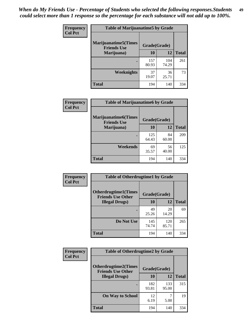| Frequency      | <b>Table of Marijuanatime5 by Grade</b>            |              |              |              |
|----------------|----------------------------------------------------|--------------|--------------|--------------|
| <b>Col Pct</b> | <b>Marijuanatime5</b> (Times<br><b>Friends Use</b> | Grade(Grade) |              |              |
|                | Marijuana)                                         | 10           | 12           | <b>Total</b> |
|                |                                                    | 157<br>80.93 | 104<br>74.29 | 261          |
|                | Weeknights                                         | 37<br>19.07  | 36<br>25.71  | 73           |
|                | <b>Total</b>                                       | 194          | 140          | 334          |

| Frequency      | <b>Table of Marijuanatime6 by Grade</b>    |              |             |              |
|----------------|--------------------------------------------|--------------|-------------|--------------|
| <b>Col Pct</b> | Marijuanatime6(Times<br><b>Friends Use</b> | Grade(Grade) |             |              |
|                | Marijuana)                                 | 10           | 12          | <b>Total</b> |
|                |                                            | 125<br>64.43 | 84<br>60.00 | 209          |
|                | Weekends                                   | 69<br>35.57  | 56<br>40.00 | 125          |
|                | <b>Total</b>                               | 194          | 140         | 334          |

| Frequency      | <b>Table of Otherdrugtime1 by Grade</b>                 |              |              |              |  |
|----------------|---------------------------------------------------------|--------------|--------------|--------------|--|
| <b>Col Pct</b> | <b>Otherdrugtime1(Times</b><br><b>Friends Use Other</b> | Grade(Grade) |              |              |  |
|                | <b>Illegal Drugs</b> )                                  | 10           | 12           | <b>Total</b> |  |
|                |                                                         | 49<br>25.26  | 20<br>14.29  | 69           |  |
|                | Do Not Use                                              | 145<br>74.74 | 120<br>85.71 | 265          |  |
|                | Total                                                   | 194          | 140          | 334          |  |

| <b>Frequency</b> | <b>Table of Otherdrugtime2 by Grade</b>                 |              |              |              |  |  |
|------------------|---------------------------------------------------------|--------------|--------------|--------------|--|--|
| <b>Col Pct</b>   | <b>Otherdrugtime2(Times</b><br><b>Friends Use Other</b> | Grade(Grade) |              |              |  |  |
|                  | <b>Illegal Drugs</b> )                                  | 10           | 12           | <b>Total</b> |  |  |
|                  |                                                         | 182<br>93.81 | 133<br>95.00 | 315          |  |  |
|                  | <b>On Way to School</b>                                 | 12<br>6.19   | 5.00         | 19           |  |  |
|                  | Total                                                   | 194          | 140          | 334          |  |  |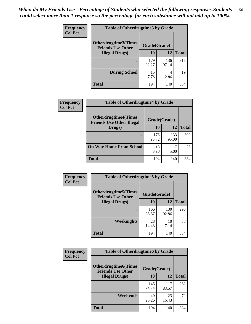| <b>Frequency</b> | <b>Table of Otherdrugtime3 by Grade</b>          |              |              |              |  |  |
|------------------|--------------------------------------------------|--------------|--------------|--------------|--|--|
| <b>Col Pct</b>   | Otherdrugtime3(Times<br><b>Friends Use Other</b> | Grade(Grade) |              |              |  |  |
|                  | <b>Illegal Drugs</b> )                           | 10           | 12           | <b>Total</b> |  |  |
|                  |                                                  | 179<br>92.27 | 136<br>97.14 | 315          |  |  |
|                  | <b>During School</b>                             | 15<br>7.73   | 4<br>2.86    | 19           |  |  |
|                  | Total                                            | 194          | 140          | 334          |  |  |

| Frequency      | <b>Table of Otherdrugtime4 by Grade</b>                         |              |              |              |  |  |
|----------------|-----------------------------------------------------------------|--------------|--------------|--------------|--|--|
| <b>Col Pct</b> | <b>Otherdrugtime4(Times</b><br><b>Friends Use Other Illegal</b> | Grade(Grade) |              |              |  |  |
|                | Drugs)                                                          | 10           | 12           | <b>Total</b> |  |  |
|                | $\bullet$                                                       | 176<br>90.72 | 133<br>95.00 | 309          |  |  |
|                | <b>On Way Home From School</b>                                  | 18<br>9.28   | 5.00         | 25           |  |  |
|                | <b>Total</b>                                                    | 194          | 140          | 334          |  |  |

| <b>Frequency</b><br><b>Col Pct</b> | <b>Table of Otherdrugtime5 by Grade</b>                  |              |              |              |  |  |
|------------------------------------|----------------------------------------------------------|--------------|--------------|--------------|--|--|
|                                    | <b>Otherdrugtime5</b> (Times<br><b>Friends Use Other</b> | Grade(Grade) |              |              |  |  |
|                                    | <b>Illegal Drugs</b> )                                   | 10           | 12           | <b>Total</b> |  |  |
|                                    |                                                          | 166<br>85.57 | 130<br>92.86 | 296          |  |  |
|                                    | <b>Weeknights</b>                                        | 28<br>14.43  | 10<br>7.14   | 38           |  |  |
|                                    | Total                                                    | 194          | 140          | 334          |  |  |

| <b>Frequency</b> | <b>Table of Otherdrugtime6 by Grade</b>                 |              |              |              |  |  |
|------------------|---------------------------------------------------------|--------------|--------------|--------------|--|--|
| <b>Col Pct</b>   | <b>Otherdrugtime6(Times</b><br><b>Friends Use Other</b> | Grade(Grade) |              |              |  |  |
|                  | <b>Illegal Drugs</b> )                                  | 10           | 12           | <b>Total</b> |  |  |
|                  |                                                         | 145<br>74.74 | 117<br>83.57 | 262          |  |  |
|                  | Weekends                                                | 49<br>25.26  | 23<br>16.43  | 72           |  |  |
|                  | <b>Total</b>                                            | 194          | 140          | 334          |  |  |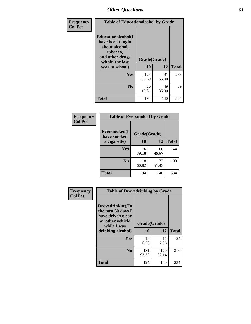| Frequency      | <b>Table of Educationalcohol by Grade</b>                                                                  |              |             |              |  |  |
|----------------|------------------------------------------------------------------------------------------------------------|--------------|-------------|--------------|--|--|
| <b>Col Pct</b> | Educationalcohol(I<br>have been taught<br>about alcohol,<br>tobacco,<br>and other drugs<br>within the last | Grade(Grade) |             |              |  |  |
|                | year at school)                                                                                            | 10           | 12          | <b>Total</b> |  |  |
|                | <b>Yes</b>                                                                                                 | 174<br>89.69 | 91<br>65.00 | 265          |  |  |
|                | N <sub>0</sub>                                                                                             | 20<br>10.31  | 49<br>35.00 | 69           |  |  |
|                | <b>Total</b>                                                                                               | 194          | 140         | 334          |  |  |

| Frequency      | <b>Table of Eversmoked by Grade</b> |              |             |              |  |  |  |
|----------------|-------------------------------------|--------------|-------------|--------------|--|--|--|
| <b>Col Pct</b> | Eversmoked(I<br>have smoked         | Grade(Grade) |             |              |  |  |  |
|                | a cigarette)                        | 10           | 12          | <b>Total</b> |  |  |  |
|                | <b>Yes</b>                          | 76<br>39.18  | 68<br>48.57 | 144          |  |  |  |
|                | N <sub>0</sub>                      | 118<br>60.82 | 72<br>51.43 | 190          |  |  |  |
|                | <b>Total</b>                        | 194          | 140         | 334          |  |  |  |

| Frequency      | <b>Table of Drovedrinking by Grade</b>                                                         |              |              |              |  |  |
|----------------|------------------------------------------------------------------------------------------------|--------------|--------------|--------------|--|--|
| <b>Col Pct</b> | Drovedrinking(In<br>the past 30 days I<br>have driven a car<br>or other vehicle<br>while I was | Grade(Grade) |              |              |  |  |
|                | drinking alcohol)                                                                              | 10           | 12           | <b>Total</b> |  |  |
|                | <b>Yes</b>                                                                                     | 13<br>6.70   | 11<br>7.86   | 24           |  |  |
|                |                                                                                                |              |              |              |  |  |
|                | N <sub>0</sub>                                                                                 | 181<br>93.30 | 129<br>92.14 | 310          |  |  |
|                | <b>Total</b>                                                                                   | 194          | 140          | 334          |  |  |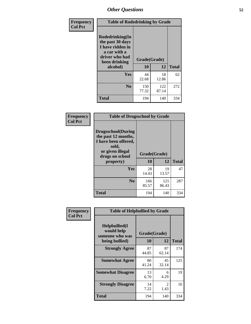| Frequency<br><b>Col Pct</b> | <b>Table of Rodedrinking by Grade</b>                                                                      |              |              |              |  |  |  |
|-----------------------------|------------------------------------------------------------------------------------------------------------|--------------|--------------|--------------|--|--|--|
|                             | Rodedrinking(In<br>the past 30 days<br>I have ridden in<br>a car with a<br>driver who had<br>been drinking | Grade(Grade) |              |              |  |  |  |
|                             | alcohol)                                                                                                   | 10           | 12           | <b>Total</b> |  |  |  |
|                             | <b>Yes</b>                                                                                                 | 44<br>22.68  | 18<br>12.86  | 62           |  |  |  |
|                             | N <sub>0</sub>                                                                                             | 150<br>77.32 | 122<br>87.14 | 272          |  |  |  |
|                             | <b>Total</b>                                                                                               | 194          | 140          | 334          |  |  |  |

#### **Frequency Col Pct**

| <b>Table of Drugsschool by Grade</b>                                                                                      |              |              |              |  |  |  |
|---------------------------------------------------------------------------------------------------------------------------|--------------|--------------|--------------|--|--|--|
| <b>Drugsschool</b> (During<br>the past 12 months,<br>I have been offered,<br>sold,<br>or given illegal<br>drugs on school | Grade(Grade) |              |              |  |  |  |
| property)                                                                                                                 | 10           | 12           | <b>Total</b> |  |  |  |
| Yes                                                                                                                       | 28<br>14.43  | 19<br>13.57  | 47           |  |  |  |
| N <sub>0</sub>                                                                                                            | 166<br>85.57 | 121<br>86.43 | 287          |  |  |  |
|                                                                                                                           |              |              |              |  |  |  |

| Frequency      | <b>Table of Helpbullied by Grade</b>           |              |                        |              |  |  |
|----------------|------------------------------------------------|--------------|------------------------|--------------|--|--|
| <b>Col Pct</b> | Helpbullied(I<br>would help<br>someone who was | Grade(Grade) |                        |              |  |  |
|                | being bullied)                                 | <b>10</b>    | 12                     | <b>Total</b> |  |  |
|                | <b>Strongly Agree</b>                          | 87<br>44.85  | 87<br>62.14            | 174          |  |  |
|                | <b>Somewhat Agree</b>                          | 80<br>41.24  | 45<br>32.14            | 125          |  |  |
|                | <b>Somewhat Disagree</b>                       | 13<br>6.70   | 6<br>4.29              | 19           |  |  |
|                | <b>Strongly Disagree</b>                       | 14<br>7.22   | $\mathfrak{D}$<br>1.43 | 16           |  |  |
|                | <b>Total</b>                                   | 194          | 140                    | 334          |  |  |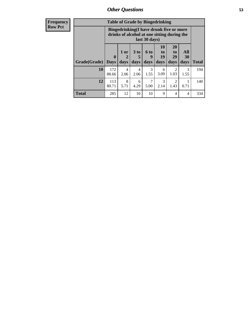| <b>Frequency</b> | <b>Table of Grade by Bingedrinking</b> |                                                                                                         |                              |                              |                   |                        |                               |                   |              |
|------------------|----------------------------------------|---------------------------------------------------------------------------------------------------------|------------------------------|------------------------------|-------------------|------------------------|-------------------------------|-------------------|--------------|
| <b>Row Pct</b>   |                                        | Bingedrinking(I have drunk five or more<br>drinks of alcohol at one sitting during the<br>last 30 days) |                              |                              |                   |                        |                               |                   |              |
|                  | Grade(Grade)                           | $\mathbf{0}$<br><b>Days</b>                                                                             | 1 or<br>$\mathbf{2}$<br>days | 3 <sub>to</sub><br>5<br>days | 6 to<br>9<br>days | 10<br>to<br>19<br>days | <b>20</b><br>to<br>29<br>days | All<br>30<br>days | <b>Total</b> |
|                  | 10                                     | 172<br>88.66                                                                                            | 4<br>2.06                    | $\overline{4}$<br>2.06       | 3<br>1.55         | 6<br>3.09              | 2<br>1.03                     | 3<br>1.55         | 194          |
|                  | 12                                     | 113<br>80.71                                                                                            | 8<br>5.71                    | 6<br>4.29                    | 7<br>5.00         | 3<br>2.14              | $\mathfrak{D}$<br>1.43        | 0.71              | 140          |
|                  | <b>Total</b>                           | 285                                                                                                     | 12                           | 10                           | 10                | 9                      | $\overline{\mathcal{A}}$      | 4                 | 334          |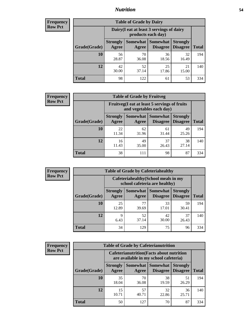#### *Nutrition* **54**

| <b>Frequency</b> |
|------------------|
| Row Pct          |

|              | <b>Table of Grade by Dairy</b> |                                                                 |                                    |                                    |              |  |
|--------------|--------------------------------|-----------------------------------------------------------------|------------------------------------|------------------------------------|--------------|--|
|              |                                | Dairy (I eat at least 3 servings of dairy<br>products each day) |                                    |                                    |              |  |
| Grade(Grade) | <b>Strongly</b><br>Agree       | <b>Somewhat</b><br>Agree                                        | <b>Somewhat</b><br><b>Disagree</b> | <b>Strongly</b><br><b>Disagree</b> | <b>Total</b> |  |
| 10           | 56<br>28.87                    | 70<br>36.08                                                     | 36<br>18.56                        | 32<br>16.49                        | 194          |  |
| 12           | 42<br>30.00                    | 52<br>37.14                                                     | 25<br>17.86                        | 21<br>15.00                        | 140          |  |
| <b>Total</b> | 98                             | 122                                                             | 61                                 | 53                                 | 334          |  |

| <b>Frequency</b> |
|------------------|
| <b>Row Pct</b>   |

| <b>Table of Grade by Fruitveg</b>                                        |                          |             |                               |                                    |              |
|--------------------------------------------------------------------------|--------------------------|-------------|-------------------------------|------------------------------------|--------------|
| Fruitveg(I eat at least 5 servings of fruits<br>and vegetables each day) |                          |             |                               |                                    |              |
| Grade(Grade)                                                             | <b>Strongly</b><br>Agree | Agree       | Somewhat Somewhat<br>Disagree | <b>Strongly</b><br><b>Disagree</b> | <b>Total</b> |
| 10                                                                       | 22<br>11.34              | 62<br>31.96 | 61<br>31.44                   | 49<br>25.26                        | 194          |
| 12                                                                       | 16<br>11.43              | 49<br>35.00 | 37<br>26.43                   | 38<br>27.14                        | 140          |
| <b>Total</b>                                                             | 38                       | 111         | 98                            | 87                                 | 334          |

| <b>Frequency</b> |              |                                                                       |             | <b>Table of Grade by Cafeteriahealthy</b> |                                    |              |  |
|------------------|--------------|-----------------------------------------------------------------------|-------------|-------------------------------------------|------------------------------------|--------------|--|
| <b>Row Pct</b>   |              | Cafeteriahealthy (School meals in my<br>school cafeteria are healthy) |             |                                           |                                    |              |  |
|                  | Grade(Grade) | <b>Strongly</b><br>Agree                                              | Agree       | Somewhat   Somewhat<br><b>Disagree</b>    | <b>Strongly</b><br><b>Disagree</b> | <b>Total</b> |  |
|                  | 10           | 25<br>12.89                                                           | 77<br>39.69 | 33<br>17.01                               | 59<br>30.41                        | 194          |  |
|                  | 12           | Q<br>6.43                                                             | 52<br>37.14 | 42<br>30.00                               | 37<br>26.43                        | 140          |  |
|                  | <b>Total</b> | 34                                                                    | 129         | 75                                        | 96                                 | 334          |  |

| <b>Frequency</b> |
|------------------|
| <b>Row Pct</b>   |

| <b>Table of Grade by Cafeterianutrition</b>                                               |                          |             |                                      |                                    |              |
|-------------------------------------------------------------------------------------------|--------------------------|-------------|--------------------------------------|------------------------------------|--------------|
| <b>Cafeterianutrition</b> (Facts about nutrition<br>are available in my school cafeteria) |                          |             |                                      |                                    |              |
| Grade(Grade)                                                                              | <b>Strongly</b><br>Agree | Agree       | Somewhat Somewhat<br><b>Disagree</b> | <b>Strongly</b><br><b>Disagree</b> | <b>Total</b> |
| 10                                                                                        | 35<br>18.04              | 70<br>36.08 | 38<br>19.59                          | 51<br>26.29                        | 194          |
| 12                                                                                        | 15<br>10.71              | 57<br>40.71 | 32<br>22.86                          | 36<br>25.71                        | 140          |
| Total                                                                                     | 50                       | 127         | 70                                   | 87                                 | 334          |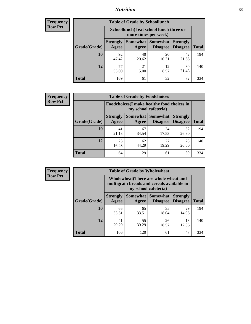### *Nutrition* **55**

| <b>Frequency</b> |
|------------------|
| <b>Row Pct</b>   |

| <b>Table of Grade by Schoollunch</b> |                          |                                                                 |                                 |                                    |              |  |
|--------------------------------------|--------------------------|-----------------------------------------------------------------|---------------------------------|------------------------------------|--------------|--|
|                                      |                          | Schoollunch(I eat school lunch three or<br>more times per week) |                                 |                                    |              |  |
| Grade(Grade)                         | <b>Strongly</b><br>Agree | Agree                                                           | Somewhat   Somewhat<br>Disagree | <b>Strongly</b><br><b>Disagree</b> | <b>Total</b> |  |
| 10                                   | 92<br>47.42              | 40<br>20.62                                                     | 20<br>10.31                     | 42<br>21.65                        | 194          |  |
| 12                                   | 77<br>55.00              | 21<br>15.00                                                     | 12<br>8.57                      | 30<br>21.43                        | 140          |  |
| <b>Total</b>                         | 169                      | 61                                                              | 32                              | 72                                 | 334          |  |

| <b>Frequency</b> |  |
|------------------|--|
| <b>Row Pct</b>   |  |

| <b>Table of Grade by Foodchoices</b>                                |                          |             |                                        |                                    |              |
|---------------------------------------------------------------------|--------------------------|-------------|----------------------------------------|------------------------------------|--------------|
| Foodchoices (I make healthy food choices in<br>my school cafeteria) |                          |             |                                        |                                    |              |
| Grade(Grade)                                                        | <b>Strongly</b><br>Agree | Agree       | <b>Somewhat   Somewhat</b><br>Disagree | <b>Strongly</b><br><b>Disagree</b> | <b>Total</b> |
| 10                                                                  | 41<br>21.13              | 67<br>34.54 | 34<br>17.53                            | 52<br>26.80                        | 194          |
| 12                                                                  | 23<br>16.43              | 62<br>44.29 | 27<br>19.29                            | 28<br>20.00                        | 140          |
| <b>Total</b>                                                        | 64                       | 129         | 61                                     | 80                                 | 334          |

| Frequency      | <b>Table of Grade by Wholewheat</b> |                                                                                                             |             |                                   |                                    |              |  |
|----------------|-------------------------------------|-------------------------------------------------------------------------------------------------------------|-------------|-----------------------------------|------------------------------------|--------------|--|
| <b>Row Pct</b> |                                     | Wholewheat (There are whole wheat and<br>multigrain breads and cereals available in<br>my school cafeteria) |             |                                   |                                    |              |  |
|                | Grade(Grade)                        | <b>Strongly</b><br>Agree                                                                                    | Agree       | Somewhat   Somewhat  <br>Disagree | <b>Strongly</b><br><b>Disagree</b> | <b>Total</b> |  |
|                | 10                                  | 65<br>33.51                                                                                                 | 65<br>33.51 | 35<br>18.04                       | 29<br>14.95                        | 194          |  |
|                | 12                                  | 41<br>29.29                                                                                                 | 55<br>39.29 | 26<br>18.57                       | 18<br>12.86                        | 140          |  |
|                | <b>Total</b>                        | 106                                                                                                         | 120         | 61                                | 47                                 | 334          |  |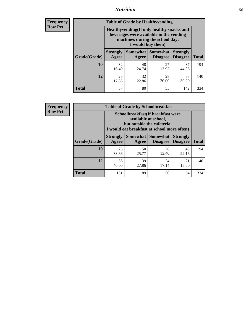#### *Nutrition* **56**

**Frequency Row Pct**

| <b>Table of Grade by Healthyvending</b> |                                                                                                                                               |                          |                                    |                                    |              |  |
|-----------------------------------------|-----------------------------------------------------------------------------------------------------------------------------------------------|--------------------------|------------------------------------|------------------------------------|--------------|--|
|                                         | Healthyvending (If only healthy snacks and<br>beverages were available in the vending<br>machines during the school day,<br>I would buy them) |                          |                                    |                                    |              |  |
| Grade(Grade)                            | <b>Strongly</b><br>Agree                                                                                                                      | <b>Somewhat</b><br>Agree | <b>Somewhat</b><br><b>Disagree</b> | <b>Strongly</b><br><b>Disagree</b> | <b>Total</b> |  |
| 10                                      | 32<br>16.49                                                                                                                                   | 48<br>24.74              | 27<br>13.92                        | 87<br>44.85                        | 194          |  |
| 12                                      | 25<br>17.86                                                                                                                                   | 32<br>22.86              | 28<br>20.00                        | 55<br>39.29                        | 140          |  |
| <b>Total</b>                            | 57                                                                                                                                            | 80                       | 55                                 | 142                                | 334          |  |

**Frequency Row Pct**

| <b>Table of Grade by Schoolbreakfast</b> |                                                                                                                                        |             |                                        |                                    |              |  |
|------------------------------------------|----------------------------------------------------------------------------------------------------------------------------------------|-------------|----------------------------------------|------------------------------------|--------------|--|
|                                          | Schoolbreakfast(If breakfast were<br>available at school,<br>but outside the cafeteria,<br>I would eat breakfast at school more often) |             |                                        |                                    |              |  |
| Grade(Grade)                             | <b>Strongly</b><br>Agree                                                                                                               | Agree       | Somewhat   Somewhat<br><b>Disagree</b> | <b>Strongly</b><br><b>Disagree</b> | <b>Total</b> |  |
| 10                                       | 75<br>38.66                                                                                                                            | 50<br>25.77 | 26<br>13.40                            | 43<br>22.16                        | 194          |  |
| 12                                       | 56<br>40.00                                                                                                                            | 39<br>27.86 | 24<br>17.14                            | 21<br>15.00                        | 140          |  |
| <b>Total</b>                             | 131                                                                                                                                    | 89          | 50                                     | 64                                 | 334          |  |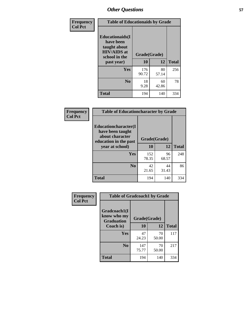| Frequency<br><b>Col Pct</b> | <b>Table of Educationaids by Grade</b>                                                                    |                    |             |              |
|-----------------------------|-----------------------------------------------------------------------------------------------------------|--------------------|-------------|--------------|
|                             | <b>Educationaids</b> (I<br>have been<br>taught about<br><b>HIV/AIDS</b> at<br>school in the<br>past year) | Grade(Grade)<br>10 | 12          | <b>Total</b> |
|                             | Yes                                                                                                       | 176<br>90.72       | 80<br>57.14 | 256          |
|                             | N <sub>0</sub>                                                                                            | 18<br>9.28         | 60<br>42.86 | 78           |
|                             | <b>Total</b>                                                                                              | 194                | 140         | 334          |

| <b>Frequency</b> | <b>Table of Educationcharacter by Grade</b>                                                                     |              |             |              |
|------------------|-----------------------------------------------------------------------------------------------------------------|--------------|-------------|--------------|
| <b>Col Pct</b>   | <b>Educationcharacter</b> (I<br>have been taught<br>about character<br>education in the past<br>year at school) | Grade(Grade) |             |              |
|                  |                                                                                                                 | 10           | 12          | <b>Total</b> |
|                  | Yes                                                                                                             | 152<br>78.35 | 96<br>68.57 | 248          |
|                  | N <sub>0</sub>                                                                                                  | 42<br>21.65  | 44<br>31.43 | 86           |
|                  | <b>Total</b>                                                                                                    | 194          | 140         | 334          |

| Frequency      | <b>Table of Gradcoach1 by Grade</b>              |              |             |              |
|----------------|--------------------------------------------------|--------------|-------------|--------------|
| <b>Col Pct</b> | Gradcoach1(I<br>know who my<br><b>Graduation</b> | Grade(Grade) |             |              |
|                | Coach is)                                        | 10           | 12          | <b>Total</b> |
|                | Yes                                              | 47<br>24.23  | 70<br>50.00 | 117          |
|                | N <sub>0</sub>                                   | 147<br>75.77 | 70<br>50.00 | 217          |
|                | <b>Total</b>                                     | 194          | 140         | 334          |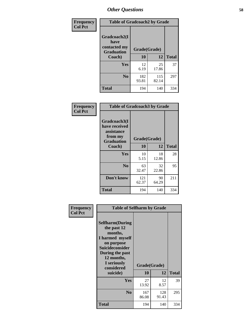| Frequency      | <b>Table of Gradcoach2 by Grade</b> |              |              |              |
|----------------|-------------------------------------|--------------|--------------|--------------|
| <b>Col Pct</b> | Gradcoach2(I<br>have                |              |              |              |
|                | contacted my<br><b>Graduation</b>   | Grade(Grade) |              |              |
|                | Coach)                              | 10           | 12           | <b>Total</b> |
|                | Yes                                 | 12<br>6.19   | 25<br>17.86  | 37           |
|                | N <sub>0</sub>                      | 182<br>93.81 | 115<br>82.14 | 297          |
|                | <b>Total</b>                        | 194          | 140          | 334          |

| <b>Frequency</b><br><b>Col Pct</b> | <b>Table of Gradcoach3 by Grade</b>                                         |              |             |              |
|------------------------------------|-----------------------------------------------------------------------------|--------------|-------------|--------------|
|                                    | Gradcoach3(I<br>have received<br>assistance<br>from my<br><b>Graduation</b> | Grade(Grade) |             |              |
|                                    | Coach)                                                                      | 10           | 12          | <b>Total</b> |
|                                    | <b>Yes</b>                                                                  | 10<br>5.15   | 18<br>12.86 | 28           |
|                                    | N <sub>0</sub>                                                              | 63<br>32.47  | 32<br>22.86 | 95           |
|                                    | Don't know                                                                  | 121<br>62.37 | 90<br>64.29 | 211          |
|                                    | <b>Total</b>                                                                | 194          | 140         | 334          |

| Frequency      | <b>Table of Selfharm by Grade</b>                                                                                                                                   |              |              |              |
|----------------|---------------------------------------------------------------------------------------------------------------------------------------------------------------------|--------------|--------------|--------------|
| <b>Col Pct</b> | <b>Selfharm</b> (During<br>the past 12<br>months,<br>I harmed myself<br>on purpose<br>Suicideconsider<br>During the past<br>12 months,<br>I seriously<br>considered | Grade(Grade) |              |              |
|                | suicide)                                                                                                                                                            | 10           | 12           | <b>Total</b> |
|                | <b>Yes</b>                                                                                                                                                          | 27<br>13.92  | 12<br>8.57   | 39           |
|                | N <sub>0</sub>                                                                                                                                                      | 167<br>86.08 | 128<br>91.43 | 295          |
|                | <b>Total</b>                                                                                                                                                        | 194          | 140          | 334          |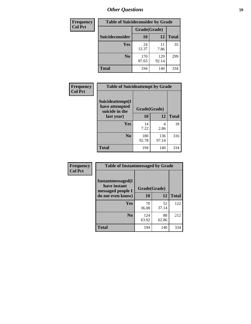| <b>Frequency</b> | <b>Table of Suicideconsider by Grade</b> |              |              |              |
|------------------|------------------------------------------|--------------|--------------|--------------|
| <b>Col Pct</b>   |                                          | Grade(Grade) |              |              |
|                  | <b>Suicideconsider</b>                   | <b>10</b>    | 12           | <b>Total</b> |
|                  | <b>Yes</b>                               | 24<br>12.37  | 11<br>7.86   | 35           |
|                  | N <sub>0</sub>                           | 170<br>87.63 | 129<br>92.14 | 299          |
|                  | <b>Total</b>                             | 194          | 140          | 334          |

| Frequency<br><b>Col Pct</b> | <b>Table of Suicideattempt by Grade</b>              |              |              |              |
|-----------------------------|------------------------------------------------------|--------------|--------------|--------------|
|                             | Suicideattempt(I<br>have attempted<br>suicide in the | Grade(Grade) |              |              |
|                             | last year)                                           | <b>10</b>    | 12           | <b>Total</b> |
|                             | Yes                                                  | 14<br>7.22   | 4<br>2.86    | 18           |
|                             | N <sub>0</sub>                                       | 180<br>92.78 | 136<br>97.14 | 316          |
|                             | <b>Total</b>                                         | 194          | 140          | 334          |

| Frequency      | <b>Table of Instantmessaged by Grade</b>               |              |             |              |
|----------------|--------------------------------------------------------|--------------|-------------|--------------|
| <b>Col Pct</b> | Instantmessaged(I<br>have instant<br>messaged people I | Grade(Grade) |             |              |
|                | do not even know)                                      | 10           | 12          | <b>Total</b> |
|                | Yes                                                    | 70<br>36.08  | 52<br>37.14 | 122          |
|                | N <sub>0</sub>                                         | 124<br>63.92 | 88<br>62.86 | 212          |
|                | <b>Total</b>                                           | 194          | 140         | 334          |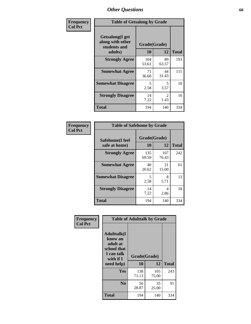| Frequency      | <b>Table of Getsalong by Grade</b>                          |              |                        |              |
|----------------|-------------------------------------------------------------|--------------|------------------------|--------------|
| <b>Col Pct</b> | <b>Getsalong</b> (I get<br>along with other<br>students and | Grade(Grade) |                        |              |
|                | adults)                                                     | 10           | 12                     | <b>Total</b> |
|                | <b>Strongly Agree</b>                                       | 104<br>53.61 | 89<br>63.57            | 193          |
|                | <b>Somewhat Agree</b>                                       | 71<br>36.60  | 44<br>31.43            | 115          |
|                | <b>Somewhat Disagree</b>                                    | 5<br>2.58    | 5<br>3.57              | 10           |
|                | <b>Strongly Disagree</b>                                    | 14<br>7.22   | $\mathfrak{D}$<br>1.43 | 16           |
|                | <b>Total</b>                                                | 194          | 140                    | 334          |

| Frequency      | <b>Table of Safehome by Grade</b> |                    |              |              |  |  |  |
|----------------|-----------------------------------|--------------------|--------------|--------------|--|--|--|
| <b>Col Pct</b> | Safehome(I feel<br>safe at home)  | Grade(Grade)<br>10 | 12           | <b>Total</b> |  |  |  |
|                | <b>Strongly Agree</b>             | 135<br>69.59       | 107<br>76.43 | 242          |  |  |  |
|                | <b>Somewhat Agree</b>             | 40<br>20.62        | 21<br>15.00  | 61           |  |  |  |
|                | <b>Somewhat Disagree</b>          | 5<br>2.58          | 8<br>5.71    | 13           |  |  |  |
|                | <b>Strongly Disagree</b>          | 14<br>7.22         | 4<br>2.86    | 18           |  |  |  |
|                | <b>Total</b>                      | 194                | 140          | 334          |  |  |  |

| Frequency      |                                                                                     | <b>Table of Adulttalk by Grade</b> |              |              |  |  |  |  |
|----------------|-------------------------------------------------------------------------------------|------------------------------------|--------------|--------------|--|--|--|--|
| <b>Col Pct</b> | <b>Adulttalk(I</b><br>know an<br>adult at<br>school that<br>I can talk<br>with if I | Grade(Grade)                       |              |              |  |  |  |  |
|                | need help)                                                                          | 10                                 | 12           | <b>Total</b> |  |  |  |  |
|                | Yes                                                                                 | 138<br>71.13                       | 105<br>75.00 | 243          |  |  |  |  |
|                | N <sub>0</sub>                                                                      | 56<br>28.87                        | 35<br>25.00  | 91           |  |  |  |  |
|                | <b>Total</b>                                                                        | 194                                | 140          | 334          |  |  |  |  |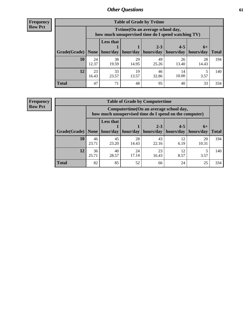**Frequency Row Pct**

| <b>Table of Grade by Tvtime</b> |             |                                                                                         |             |             |                       |             |              |  |  |
|---------------------------------|-------------|-----------------------------------------------------------------------------------------|-------------|-------------|-----------------------|-------------|--------------|--|--|
|                                 |             | Tvtime (On an average school day,<br>how much unsupervised time do I spend watching TV) |             |             |                       |             |              |  |  |
|                                 |             | <b>Less that</b>                                                                        |             | $2 - 3$     | $4 - 5$               | $6+$        |              |  |  |
| Grade(Grade)   None             |             | hour/day                                                                                | hour/day    | hours/day   | hours/day   hours/day |             | <b>Total</b> |  |  |
| 10                              | 24<br>12.37 | 38<br>19.59                                                                             | 29<br>14.95 | 49<br>25.26 | 26<br>13.40           | 28<br>14.43 | 194          |  |  |
| 12                              | 23<br>16.43 | 33<br>23.57                                                                             | 19<br>13.57 | 46<br>32.86 | 14<br>10.00           | 3.57        | 140          |  |  |
| <b>Total</b>                    | 47          | 71                                                                                      | 48          | 95          | 40                    | 33          | 334          |  |  |

**Frequency Row Pct**

| <b>Table of Grade by Computertime</b> |             |                                                                                                                               |             |             |            |             |     |  |  |  |
|---------------------------------------|-------------|-------------------------------------------------------------------------------------------------------------------------------|-------------|-------------|------------|-------------|-----|--|--|--|
|                                       |             | Computertime (On an average school day,<br>how much unsupervised time do I spend on the computer)                             |             |             |            |             |     |  |  |  |
| Grade(Grade)                          | None        | <b>Less that</b><br>$2 - 3$<br>$4 - 5$<br>$6+$<br>hour/day<br>hours/day<br>hours/day<br>hour/day<br>hours/day<br><b>Total</b> |             |             |            |             |     |  |  |  |
| 10                                    | 46<br>23.71 | 45<br>23.20                                                                                                                   | 28<br>14.43 | 43<br>22.16 | 12<br>6.19 | 20<br>10.31 | 194 |  |  |  |
| 12                                    | 36<br>25.71 | 23<br>40<br>24<br>12<br>17.14<br>28.57<br>16.43<br>8.57<br>3.57                                                               |             |             |            |             |     |  |  |  |
| <b>Total</b>                          | 82          | 85                                                                                                                            | 52          | 66          | 24         | 25          | 334 |  |  |  |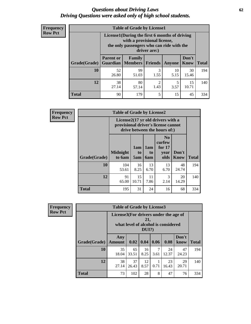#### *Questions about Driving Laws* **62** *Driving Questions were asked only of high school students.*

| <b>Frequency</b> |
|------------------|
| <b>Row Pct</b>   |

| <b>Table of Grade by License1</b> |                                                                                  |                                                                                                                                           |           |            |               |              |  |  |  |
|-----------------------------------|----------------------------------------------------------------------------------|-------------------------------------------------------------------------------------------------------------------------------------------|-----------|------------|---------------|--------------|--|--|--|
|                                   |                                                                                  | License1(During the first 6 months of driving<br>with a provisional license,<br>the only passengers who can ride with the<br>driver are:) |           |            |               |              |  |  |  |
| Grade(Grade)                      | <b>Parent or</b><br>Guardian                                                     | Family<br><b>Members Friends</b>                                                                                                          |           | Anyone     | Don't<br>Know | <b>Total</b> |  |  |  |
| 10                                | 52<br>26.80                                                                      | 99<br>51.03                                                                                                                               | 3<br>1.55 | 10<br>5.15 | 30<br>15.46   | 194          |  |  |  |
| 12                                | 38<br>80<br>$\overline{c}$<br>15<br>5<br>1.43<br>10.71<br>27.14<br>3.57<br>57.14 |                                                                                                                                           |           |            |               |              |  |  |  |
| <b>Total</b>                      | 90                                                                               | 179                                                                                                                                       | 5         | 15         | 45            | 334          |  |  |  |

| <b>Frequency</b> |              | <b>Table of Grade by License2</b>                                                                        |                  |                         |                                                      |                      |              |  |  |  |
|------------------|--------------|----------------------------------------------------------------------------------------------------------|------------------|-------------------------|------------------------------------------------------|----------------------|--------------|--|--|--|
| <b>Row Pct</b>   |              | License2(17 yr old drivers with a<br>provisional driver's license cannot<br>drive between the hours of:) |                  |                         |                                                      |                      |              |  |  |  |
|                  | Grade(Grade) | <b>Midnight</b><br>to 6am                                                                                | 1am<br>to<br>5am | 1am<br>to<br><b>6am</b> | N <sub>0</sub><br>curfew<br>for $17$<br>year<br>olds | Don't<br><b>Know</b> | <b>Total</b> |  |  |  |
|                  | 10           | 104<br>53.61                                                                                             | 16<br>8.25       | 13<br>6.70              | 13<br>6.70                                           | 48<br>24.74          | 194          |  |  |  |
|                  | 12           | 91<br>65.00                                                                                              | 15<br>10.71      | 11<br>7.86              | 3<br>2.14                                            | 20<br>14.29          | 140          |  |  |  |
|                  | <b>Total</b> | 195                                                                                                      | 31               | 24                      | 16                                                   | 68                   | 334          |  |  |  |

| Frequency      | <b>Table of Grade by License3</b> |                                       |             |                 |           |                                     |               |              |
|----------------|-----------------------------------|---------------------------------------|-------------|-----------------|-----------|-------------------------------------|---------------|--------------|
| <b>Row Pct</b> |                                   | License3(For drivers under the age of |             | 21,<br>$DUI$ ?) |           | what level of alcohol is considered |               |              |
|                | Grade(Grade)                      | Any<br><b>Amount</b>                  | 0.02        | 0.04            | 0.06      | 0.08                                | Don't<br>know | <b>Total</b> |
|                | <b>10</b>                         | 35<br>18.04                           | 65<br>33.51 | 16<br>8.25      | 7<br>3.61 | 24<br>12.37                         | 47<br>24.23   | 194          |
|                | 12                                | 38<br>27.14                           | 37<br>26.43 | 12<br>8.57      | 0.71      | 23<br>16.43                         | 29<br>20.71   | 140          |
|                | <b>Total</b>                      | 73                                    | 102         | 28              | 8         | 47                                  | 76            | 334          |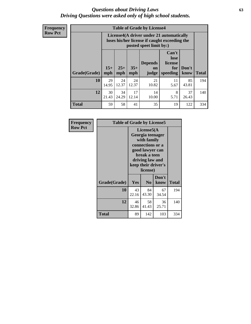#### *Questions about Driving Laws* **63** *Driving Questions were asked only of high school students.*

**Frequency Row Pct**

| <b>Table of Grade by License4</b> |             |                                                                                                                                                                                                                                                                                |             |             |            |             |     |  |
|-----------------------------------|-------------|--------------------------------------------------------------------------------------------------------------------------------------------------------------------------------------------------------------------------------------------------------------------------------|-------------|-------------|------------|-------------|-----|--|
|                                   |             | License4(A driver under 21 automatically<br>loses his/her license if caught exceeding the<br>posted speet limit by:)<br>Can't<br>lose<br><b>Depends</b><br>license<br>$15+$<br>$25+$<br>$35+$<br>Don't<br>for<br>on<br>speeding<br><b>Total</b><br>mph<br>mph<br>know<br>judge |             |             |            |             |     |  |
| Grade(Grade)                      | mph         |                                                                                                                                                                                                                                                                                |             |             |            |             |     |  |
| 10                                | 29<br>14.95 | 24<br>12.37                                                                                                                                                                                                                                                                    | 24<br>12.37 | 21<br>10.82 | 11<br>5.67 | 85<br>43.81 | 194 |  |
| 12                                | 30<br>21.43 | 17<br>8<br>37<br>34<br>14<br>5.71<br>24.29<br>12.14<br>10.00<br>26.43                                                                                                                                                                                                          |             |             |            |             |     |  |
| <b>Total</b>                      | 59          | 58                                                                                                                                                                                                                                                                             | 41          | 35          | 19         | 122         | 334 |  |

| Frequency      | <b>Table of Grade by License5</b> |                                                                                                                                                             |                |               |       |  |
|----------------|-----------------------------------|-------------------------------------------------------------------------------------------------------------------------------------------------------------|----------------|---------------|-------|--|
| <b>Row Pct</b> |                                   | License5(A)<br>Georgia teenager<br>with family<br>connections or a<br>good lawyer can<br>break a teen<br>driving law and<br>keep their driver's<br>license) |                |               |       |  |
|                | Grade(Grade)                      | <b>Yes</b>                                                                                                                                                  | N <sub>0</sub> | Don't<br>know | Total |  |
|                | 10                                | 43<br>22.16                                                                                                                                                 | 84<br>43.30    | 67<br>34.54   | 194   |  |
|                | 12                                | 46<br>32.86                                                                                                                                                 | 58<br>41.43    | 36<br>25.71   | 140   |  |
|                | <b>Total</b>                      | 89                                                                                                                                                          | 142            | 103           | 334   |  |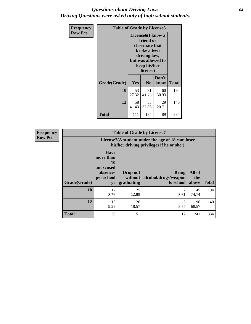#### *Questions about Driving Laws* **64** *Driving Questions were asked only of high school students.*

| <b>Frequency</b> | <b>Table of Grade by License6</b> |             |                                                                                                                           |                    |              |  |  |
|------------------|-----------------------------------|-------------|---------------------------------------------------------------------------------------------------------------------------|--------------------|--------------|--|--|
| <b>Row Pct</b>   |                                   |             | License <sub>6</sub> (I know a<br>friend or<br>classmate that<br>broke a teen<br>driving law,<br>keep his/her<br>license) | but was allowed to |              |  |  |
|                  | Grade(Grade)                      | <b>Yes</b>  | N <sub>0</sub>                                                                                                            | Don't<br>know      | <b>Total</b> |  |  |
|                  | 10                                | 53<br>27.32 | 81<br>41.75                                                                                                               | 60<br>30.93        | 194          |  |  |
|                  | 12                                | 58<br>41.43 | 53<br>37.86                                                                                                               | 29<br>20.71        | 140          |  |  |
|                  | <b>Total</b>                      | 111         | 134                                                                                                                       | 89                 | 334          |  |  |

| <b>Frequency</b> | <b>Table of Grade by License7</b>                                                             |                                                                             |                                     |                                                   |                        |              |  |  |
|------------------|-----------------------------------------------------------------------------------------------|-----------------------------------------------------------------------------|-------------------------------------|---------------------------------------------------|------------------------|--------------|--|--|
| <b>Row Pct</b>   | License7(A student under the age of 18 cam loser<br>his/her driving privileges if he or she:) |                                                                             |                                     |                                                   |                        |              |  |  |
|                  | Grade(Grade)                                                                                  | <b>Have</b><br>more than<br>10<br>unexcused<br>absences<br>per school<br>yr | Drop out<br>without  <br>graduating | <b>Bring</b><br>alcohol/drugs/weapon<br>to school | All of<br>the<br>above | <b>Total</b> |  |  |
|                  | 10                                                                                            | 17<br>8.76                                                                  | 25<br>12.89                         | 3.61                                              | 145<br>74.74           | 194          |  |  |
|                  | 12                                                                                            | 13<br>9.29                                                                  | 26<br>18.57                         | 3.57                                              | 96<br>68.57            | 140          |  |  |
|                  | <b>Total</b>                                                                                  | 30                                                                          | 51                                  | 12                                                | 241                    | 334          |  |  |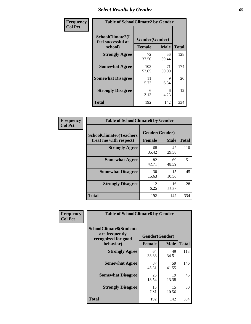# *Select Results by Gender* **65**

| Frequency      | <b>Table of SchoolClimate2 by Gender</b>          |                                 |             |              |
|----------------|---------------------------------------------------|---------------------------------|-------------|--------------|
| <b>Col Pct</b> | SchoolClimate2(I<br>feel successful at<br>school) | Gender(Gender)<br><b>Female</b> | <b>Male</b> | <b>Total</b> |
|                | <b>Strongly Agree</b>                             | 72<br>37.50                     | 56<br>39.44 | 128          |
|                | <b>Somewhat Agree</b>                             | 103<br>53.65                    | 71<br>50.00 | 174          |
|                | <b>Somewhat Disagree</b>                          | 11<br>5.73                      | 9<br>6.34   | 20           |
|                | <b>Strongly Disagree</b>                          | 6<br>3.13                       | 6<br>4.23   | 12           |
|                | <b>Total</b>                                      | 192                             | 142         | 334          |

| Frequency      | <b>Table of SchoolClimate6 by Gender</b>                 |                                 |             |              |  |
|----------------|----------------------------------------------------------|---------------------------------|-------------|--------------|--|
| <b>Col Pct</b> | <b>SchoolClimate6(Teachers</b><br>treat me with respect) | Gender(Gender)<br><b>Female</b> | <b>Male</b> | <b>Total</b> |  |
|                | <b>Strongly Agree</b>                                    | 68<br>35.42                     | 42<br>29.58 | 110          |  |
|                | <b>Somewhat Agree</b>                                    | 82<br>42.71                     | 69<br>48.59 | 151          |  |
|                | <b>Somewhat Disagree</b>                                 | 30<br>15.63                     | 15<br>10.56 | 45           |  |
|                | <b>Strongly Disagree</b>                                 | 12<br>6.25                      | 16<br>11.27 | 28           |  |
|                | <b>Total</b>                                             | 192                             | 142         | 334          |  |

| Frequency      | <b>Table of SchoolClimate8 by Gender</b>                                |                |             |              |
|----------------|-------------------------------------------------------------------------|----------------|-------------|--------------|
| <b>Col Pct</b> | <b>SchoolClimate8(Students</b><br>are frequently<br>recognized for good | Gender(Gender) |             |              |
|                | behavior)                                                               | <b>Female</b>  | <b>Male</b> | <b>Total</b> |
|                | <b>Strongly Agree</b>                                                   | 64<br>33.33    | 49<br>34.51 | 113          |
|                | <b>Somewhat Agree</b>                                                   | 87<br>45.31    | 59<br>41.55 | 146          |
|                | <b>Somewhat Disagree</b>                                                | 26<br>13.54    | 19<br>13.38 | 45           |
|                | <b>Strongly Disagree</b>                                                | 15<br>7.81     | 15<br>10.56 | 30           |
|                | Total                                                                   | 192            | 142         | 334          |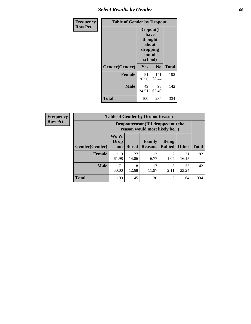# *Select Results by Gender* **66**

| <b>Frequency</b> | <b>Table of Gender by Dropout</b> |                                                                        |                |              |
|------------------|-----------------------------------|------------------------------------------------------------------------|----------------|--------------|
| <b>Row Pct</b>   |                                   | Dropout(I<br>have<br>thought<br>about<br>dropping<br>out of<br>school) |                |              |
|                  | Gender(Gender)                    | Yes                                                                    | N <sub>0</sub> | <b>Total</b> |
|                  | <b>Female</b>                     | 51<br>26.56                                                            | 141<br>73.44   | 192          |
|                  | <b>Male</b>                       | 49<br>34.51                                                            | 93<br>65.49    | 142          |
|                  | <b>Total</b>                      | 100                                                                    | 234            | 334          |

| <b>Frequency</b> | <b>Table of Gender by Dropoutreason</b> |                                                                    |              |                                 |                                                                                                                                                                         |              |              |
|------------------|-----------------------------------------|--------------------------------------------------------------------|--------------|---------------------------------|-------------------------------------------------------------------------------------------------------------------------------------------------------------------------|--------------|--------------|
| <b>Row Pct</b>   |                                         | Dropoutreason(If I dropped out the<br>reason would most likely be) |              |                                 |                                                                                                                                                                         |              |              |
|                  | Gender(Gender)                          | Won't<br>Drop<br>out                                               | <b>Bored</b> | <b>Family</b><br><b>Reasons</b> | <b>Being</b><br><b>Bullied</b>                                                                                                                                          | <b>Other</b> | <b>Total</b> |
|                  | <b>Female</b>                           | 119<br>61.98                                                       | 27<br>14.06  | 13<br>6.77                      | $\mathcal{D}_{\mathcal{A}}^{\mathcal{A}}(\mathcal{A})=\mathcal{D}_{\mathcal{A}}^{\mathcal{A}}(\mathcal{A})\mathcal{D}_{\mathcal{A}}^{\mathcal{A}}(\mathcal{A})$<br>1.04 | 31<br>16.15  | 192          |
|                  | <b>Male</b>                             | 71<br>50.00                                                        | 18<br>12.68  | 17<br>11.97                     | 2.11                                                                                                                                                                    | 33<br>23.24  | 142          |
|                  | <b>Total</b>                            | 190                                                                | 45           | 30                              | 5                                                                                                                                                                       | 64           | 334          |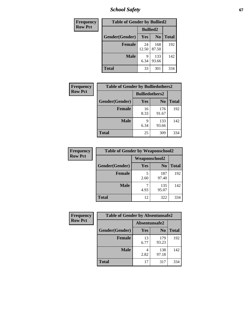*School Safety* **67**

| Frequency      | <b>Table of Gender by Bullied2</b> |                 |                |              |
|----------------|------------------------------------|-----------------|----------------|--------------|
| <b>Row Pct</b> |                                    | <b>Bullied2</b> |                |              |
|                | Gender(Gender)                     | Yes             | N <sub>0</sub> | <b>Total</b> |
|                | <b>Female</b>                      | 24<br>12.50     | 168<br>87.50   | 192          |
|                | <b>Male</b>                        | 9<br>6.34       | 133<br>93.66   | 142          |
|                | <b>Total</b>                       | 33              | 301            | 334          |

| <b>Frequency</b> | <b>Table of Gender by Bulliedothers2</b> |                       |                |              |
|------------------|------------------------------------------|-----------------------|----------------|--------------|
| <b>Row Pct</b>   |                                          | <b>Bulliedothers2</b> |                |              |
|                  | Gender(Gender)                           | <b>Yes</b>            | N <sub>0</sub> | <b>Total</b> |
|                  | <b>Female</b>                            | 16<br>8.33            | 176<br>91.67   | 192          |
|                  | <b>Male</b>                              | Q<br>6.34             | 133<br>93.66   | 142          |
|                  | <b>Total</b>                             | 25                    | 309            | 334          |

| Frequency      | <b>Table of Gender by Weaponschool2</b> |               |                |              |
|----------------|-----------------------------------------|---------------|----------------|--------------|
| <b>Row Pct</b> |                                         | Weaponschool2 |                |              |
|                | Gender(Gender)                          | Yes           | N <sub>0</sub> | <b>Total</b> |
|                | <b>Female</b>                           | 5<br>2.60     | 187<br>97.40   | 192          |
|                | <b>Male</b>                             | 4.93          | 135<br>95.07   | 142          |
|                | <b>Total</b>                            | 12            | 322            | 334          |

| Frequency      | <b>Table of Gender by Absentunsafe2</b> |               |                |              |  |
|----------------|-----------------------------------------|---------------|----------------|--------------|--|
| <b>Row Pct</b> |                                         | Absentunsafe2 |                |              |  |
|                | Gender(Gender)                          | Yes           | N <sub>0</sub> | <b>Total</b> |  |
|                | <b>Female</b>                           | 13<br>6.77    | 179<br>93.23   | 192          |  |
|                | <b>Male</b>                             | 2.82          | 138<br>97.18   | 142          |  |
|                | <b>Total</b>                            | 17            | 317            | 334          |  |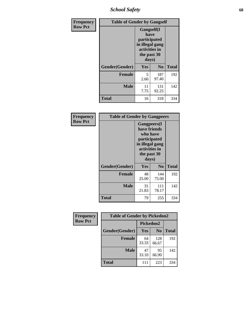*School Safety* **68**

| Frequency      | <b>Table of Gender by Gangself</b> |                                                                                                |              |              |
|----------------|------------------------------------|------------------------------------------------------------------------------------------------|--------------|--------------|
| <b>Row Pct</b> |                                    | Gangself(I<br>have<br>participated<br>in illegal gang<br>activities in<br>the past 30<br>days) |              |              |
|                | Gender(Gender)                     | Yes                                                                                            | $\bf No$     | <b>Total</b> |
|                | <b>Female</b>                      | 5<br>2.60                                                                                      | 187<br>97.40 | 192          |
|                | <b>Male</b>                        | 11<br>7.75                                                                                     | 131<br>92.25 | 142          |
|                | <b>Total</b>                       | 16                                                                                             | 318          | 334          |

| Frequency      | <b>Table of Gender by Gangpeers</b> |                                                                                                                             |                |              |
|----------------|-------------------------------------|-----------------------------------------------------------------------------------------------------------------------------|----------------|--------------|
| <b>Row Pct</b> |                                     | <b>Gangpeers</b> (I<br>have friends<br>who have<br>participated<br>in illegal gang<br>activities in<br>the past 30<br>days) |                |              |
|                | Gender(Gender)                      | Yes                                                                                                                         | N <sub>0</sub> | <b>Total</b> |
|                | <b>Female</b>                       | 48<br>25.00                                                                                                                 | 144<br>75.00   | 192          |
|                | <b>Male</b>                         | 31<br>21.83                                                                                                                 | 111<br>78.17   | 142          |
|                | <b>Total</b>                        | 79                                                                                                                          | 255            | 334          |

| Frequency      | <b>Table of Gender by Pickedon2</b> |             |                |              |
|----------------|-------------------------------------|-------------|----------------|--------------|
| <b>Row Pct</b> |                                     | Pickedon2   |                |              |
|                | Gender(Gender)                      | <b>Yes</b>  | N <sub>0</sub> | <b>Total</b> |
|                | <b>Female</b>                       | 64<br>33.33 | 128<br>66.67   | 192          |
|                | <b>Male</b>                         | 47<br>33.10 | 95<br>66.90    | 142          |
|                | <b>Total</b>                        | 111         | 223            | 334          |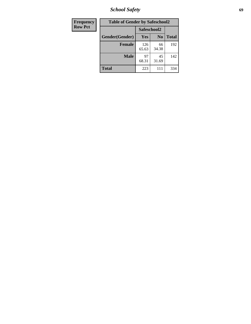*School Safety* **69**

| <b>Frequency</b> | <b>Table of Gender by Safeschool2</b> |              |                |              |  |
|------------------|---------------------------------------|--------------|----------------|--------------|--|
| <b>Row Pct</b>   |                                       | Safeschool2  |                |              |  |
|                  | Gender(Gender)                        | <b>Yes</b>   | N <sub>0</sub> | <b>Total</b> |  |
|                  | <b>Female</b>                         | 126<br>65.63 | 66<br>34.38    | 192          |  |
|                  | <b>Male</b>                           | 97<br>68.31  | 45<br>31.69    | 142          |  |
|                  | <b>Total</b>                          | 223          | 111            | 334          |  |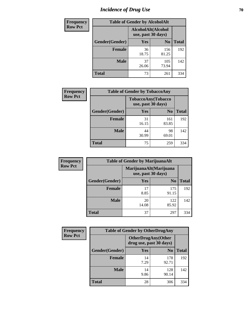# *Incidence of Drug Use* **70**

| <b>Frequency</b> | <b>Table of Gender by AlcoholAlt</b> |                                          |                |              |  |
|------------------|--------------------------------------|------------------------------------------|----------------|--------------|--|
| <b>Row Pct</b>   |                                      | AlcoholAlt(Alcohol<br>use, past 30 days) |                |              |  |
|                  | Gender(Gender)                       | Yes                                      | N <sub>0</sub> | <b>Total</b> |  |
|                  | <b>Female</b>                        | 36<br>18.75                              | 156<br>81.25   | 192          |  |
|                  | <b>Male</b>                          | 37<br>26.06                              | 105<br>73.94   | 142          |  |
|                  | <b>Total</b>                         | 73                                       | 261            | 334          |  |

| <b>Frequency</b> | <b>Table of Gender by TobaccoAny</b> |                    |                    |              |  |
|------------------|--------------------------------------|--------------------|--------------------|--------------|--|
| <b>Row Pct</b>   |                                      | use, past 30 days) | TobaccoAny(Tobacco |              |  |
|                  | Gender(Gender)                       | Yes                | N <sub>0</sub>     | <b>Total</b> |  |
|                  | <b>Female</b>                        | 31<br>16.15        | 161<br>83.85       | 192          |  |
|                  | <b>Male</b>                          | 44<br>30.99        | 98<br>69.01        | 142          |  |
|                  | <b>Total</b>                         | 75                 | 259                | 334          |  |

| <b>Frequency</b> | <b>Table of Gender by MarijuanaAlt</b> |             |                                              |              |  |
|------------------|----------------------------------------|-------------|----------------------------------------------|--------------|--|
| <b>Row Pct</b>   |                                        |             | MarijuanaAlt(Marijuana<br>use, past 30 days) |              |  |
|                  | Gender(Gender)                         | <b>Yes</b>  | N <sub>0</sub>                               | <b>Total</b> |  |
|                  | <b>Female</b>                          | 17<br>8.85  | 175<br>91.15                                 | 192          |  |
|                  | <b>Male</b>                            | 20<br>14.08 | 122<br>85.92                                 | 142          |  |
|                  | <b>Total</b>                           | 37          | 297                                          | 334          |  |

| <b>Frequency</b> | <b>Table of Gender by OtherDrugAny</b> |                                               |                |              |  |
|------------------|----------------------------------------|-----------------------------------------------|----------------|--------------|--|
| <b>Row Pct</b>   |                                        | OtherDrugAny(Other<br>drug use, past 30 days) |                |              |  |
|                  | Gender(Gender)                         | <b>Yes</b>                                    | N <sub>0</sub> | <b>Total</b> |  |
|                  | <b>Female</b>                          | 14<br>7.29                                    | 178<br>92.71   | 192          |  |
|                  | <b>Male</b>                            | 14<br>9.86                                    | 128<br>90.14   | 142          |  |
|                  | <b>Total</b>                           | 28                                            | 306            | 334          |  |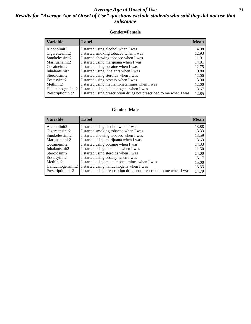#### *Average Age at Onset of Use* **71** *Results for "Average Age at Onset of Use" questions exclude students who said they did not use that substance*

#### **Gender=Female**

| <b>Variable</b>                 | <b>Label</b>                                                       | <b>Mean</b> |
|---------------------------------|--------------------------------------------------------------------|-------------|
| Alcoholinit2                    | I started using alcohol when I was                                 | 14.08       |
| Cigarettesinit2                 | I started smoking tobacco when I was                               | 12.93       |
| Smokelessinit2                  | I started chewing tobacco when I was                               | 11.91       |
| Marijuanainit2                  | I started using marijuana when I was                               | 14.81       |
| Cocaineinit2                    | I started using cocaine when I was                                 | 12.75       |
| Inhalantsinit2                  | I started using inhalants when I was                               | 9.80        |
| Steroidsinit2                   | I started using steroids when I was                                | 12.00       |
| Ecstasyinit2                    | I started using ecstasy when I was                                 | 13.00       |
| Methinit2                       | I started using methamphetamines when I was                        | 12.00       |
| Hallucinogensinit2              | I started using hallucinogens when I was                           | 13.67       |
| Prescription in it <sub>2</sub> | I started using prescription drugs not prescribed to me when I was | 12.85       |

#### **Gender=Male**

| <b>Variable</b>    | Label                                                              | <b>Mean</b> |
|--------------------|--------------------------------------------------------------------|-------------|
| Alcoholinit2       | I started using alcohol when I was                                 | 13.88       |
| Cigarettesinit2    | I started smoking tobacco when I was                               | 13.33       |
| Smokelessinit2     | I started chewing tobacco when I was                               | 13.59       |
| Marijuanainit2     | I started using marijuana when I was                               | 13.63       |
| Cocaineinit2       | I started using cocaine when I was                                 | 14.33       |
| Inhalantsinit2     | I started using inhalants when I was                               | 11.50       |
| Steroidsinit2      | I started using steroids when I was                                | 14.00       |
| Ecstasyinit2       | I started using ecstasy when I was                                 | 15.17       |
| Methinit2          | I started using methamphetamines when I was                        | 15.00       |
| Hallucinogensinit2 | I started using hallucinogens when I was                           | 13.33       |
| Prescriptioninit2  | I started using prescription drugs not prescribed to me when I was | 14.79       |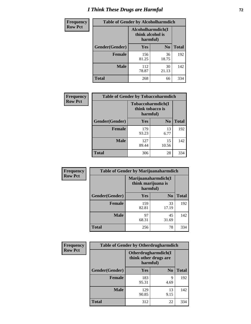# *I Think These Drugs are Harmful* **72**

| <b>Frequency</b> | <b>Table of Gender by Alcoholharmdich</b> |                                                   |                |              |
|------------------|-------------------------------------------|---------------------------------------------------|----------------|--------------|
| <b>Row Pct</b>   |                                           | Alcoholharmdich(I<br>think alcohol is<br>harmful) |                |              |
|                  | Gender(Gender)                            | <b>Yes</b>                                        | N <sub>0</sub> | <b>Total</b> |
|                  | <b>Female</b>                             | 156<br>81.25                                      | 36<br>18.75    | 192          |
|                  | <b>Male</b>                               | 112<br>78.87                                      | 30<br>21.13    | 142          |
|                  | Total                                     | 268                                               | 66             | 334          |

| Frequency      | <b>Table of Gender by Tobaccoharmdich</b> |                                                   |                |              |  |
|----------------|-------------------------------------------|---------------------------------------------------|----------------|--------------|--|
| <b>Row Pct</b> |                                           | Tobaccoharmdich(I<br>think tobacco is<br>harmful) |                |              |  |
|                | Gender(Gender)                            | Yes                                               | N <sub>0</sub> | <b>Total</b> |  |
|                | <b>Female</b>                             | 179<br>93.23                                      | 13<br>6.77     | 192          |  |
|                | <b>Male</b>                               | 127<br>89.44                                      | 15<br>10.56    | 142          |  |
|                | <b>Total</b>                              | 306                                               | 28             | 334          |  |

| Frequency      | <b>Table of Gender by Marijuanaharmdich</b> |                                                       |                |              |  |
|----------------|---------------------------------------------|-------------------------------------------------------|----------------|--------------|--|
| <b>Row Pct</b> |                                             | Marijuanaharmdich(I<br>think marijuana is<br>harmful) |                |              |  |
|                | Gender(Gender)                              | <b>Yes</b>                                            | N <sub>0</sub> | <b>Total</b> |  |
|                | <b>Female</b>                               | 159<br>82.81                                          | 33<br>17.19    | 192          |  |
|                | <b>Male</b>                                 | 97<br>68.31                                           | 45<br>31.69    | 142          |  |
|                | <b>Total</b>                                | 256                                                   | 78             | 334          |  |

| Frequency      | <b>Table of Gender by Otherdrugharmdich</b> |                                                          |                |              |  |
|----------------|---------------------------------------------|----------------------------------------------------------|----------------|--------------|--|
| <b>Row Pct</b> |                                             | Otherdrugharmdich(I<br>think other drugs are<br>harmful) |                |              |  |
|                | Gender(Gender)                              | <b>Yes</b>                                               | N <sub>0</sub> | <b>Total</b> |  |
|                | <b>Female</b>                               | 183<br>95.31                                             | 9<br>4.69      | 192          |  |
|                | <b>Male</b>                                 | 129<br>90.85                                             | 13<br>9.15     | 142          |  |
|                | <b>Total</b>                                | 312                                                      | 22             | 334          |  |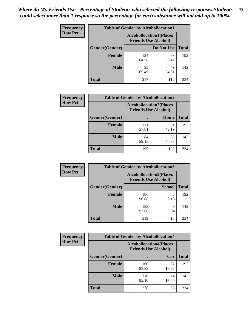| <b>Frequency</b> | <b>Table of Gender by Alcohollocation1</b> |                                                               |             |              |
|------------------|--------------------------------------------|---------------------------------------------------------------|-------------|--------------|
| <b>Row Pct</b>   |                                            | <b>Alcohollocation1(Places</b><br><b>Friends Use Alcohol)</b> |             |              |
|                  | Gender(Gender)                             |                                                               | Do Not Use  | <b>Total</b> |
|                  | <b>Female</b>                              | 124<br>64.58                                                  | 68<br>35.42 | 192          |
|                  | <b>Male</b>                                | 93<br>65.49                                                   | 49<br>34.51 | 142          |
|                  | <b>Total</b>                               | 217                                                           | 117         | 334          |

| <b>Frequency</b> | <b>Table of Gender by Alcohollocation2</b> |                                                               |             |              |
|------------------|--------------------------------------------|---------------------------------------------------------------|-------------|--------------|
| <b>Row Pct</b>   |                                            | <b>Alcohollocation2(Places</b><br><b>Friends Use Alcohol)</b> |             |              |
|                  | Gender(Gender)                             |                                                               | Home        | <b>Total</b> |
|                  | <b>Female</b>                              | 111<br>57.81                                                  | 81<br>42.19 | 192          |
|                  | <b>Male</b>                                | 84<br>59.15                                                   | 58<br>40.85 | 142          |
|                  | <b>Total</b>                               | 195                                                           | 139         | 334          |

| Frequency      | <b>Table of Gender by Alcohollocation3</b> |                                                               |               |              |
|----------------|--------------------------------------------|---------------------------------------------------------------|---------------|--------------|
| <b>Row Pct</b> |                                            | <b>Alcohollocation3(Places</b><br><b>Friends Use Alcohol)</b> |               |              |
|                | Gender(Gender)                             |                                                               | <b>School</b> | <b>Total</b> |
|                | <b>Female</b>                              | 186<br>96.88                                                  | 6<br>3.13     | 192          |
|                | <b>Male</b>                                | 133<br>93.66                                                  | q<br>6.34     | 142          |
|                | <b>Total</b>                               | 319                                                           | 15            | 334          |

| <b>Frequency</b> | <b>Table of Gender by Alcohollocation4</b> |                                                               |             |              |
|------------------|--------------------------------------------|---------------------------------------------------------------|-------------|--------------|
| <b>Row Pct</b>   |                                            | <b>Alcohollocation4(Places</b><br><b>Friends Use Alcohol)</b> |             |              |
|                  | Gender(Gender)                             |                                                               | Car         | <b>Total</b> |
|                  | <b>Female</b>                              | 160<br>83.33                                                  | 32<br>16.67 | 192          |
|                  | <b>Male</b>                                | 118<br>83.10                                                  | 24<br>16.90 | 142          |
|                  | <b>Total</b>                               | 278                                                           | 56          | 334          |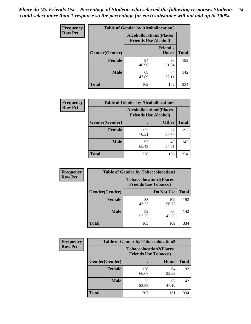| <b>Frequency</b> |                | <b>Table of Gender by Alcohollocation5</b>                     |                                 |              |
|------------------|----------------|----------------------------------------------------------------|---------------------------------|--------------|
| <b>Row Pct</b>   |                | <b>Alcohollocation5</b> (Places<br><b>Friends Use Alcohol)</b> |                                 |              |
|                  | Gender(Gender) | $\bullet$                                                      | <b>Friend's</b><br><b>House</b> | <b>Total</b> |
|                  | <b>Female</b>  | 94<br>48.96                                                    | 98<br>51.04                     | 192          |
|                  | <b>Male</b>    | 68<br>47.89                                                    | 74<br>52.11                     | 142          |
|                  | <b>Total</b>   | 162                                                            | 172                             | 334          |

| Frequency      | <b>Table of Gender by Alcohollocation6</b> |                                                               |              |              |
|----------------|--------------------------------------------|---------------------------------------------------------------|--------------|--------------|
| <b>Row Pct</b> |                                            | <b>Alcohollocation6(Places</b><br><b>Friends Use Alcohol)</b> |              |              |
|                | Gender(Gender)                             |                                                               | <b>Other</b> | <b>Total</b> |
|                | Female                                     | 135<br>70.31                                                  | 57<br>29.69  | 192          |
|                | <b>Male</b>                                | 93<br>65.49                                                   | 49<br>34.51  | 142          |
|                | <b>Total</b>                               | 228                                                           | 106          | 334          |

| Frequency      | <b>Table of Gender by Tobaccolocation1</b> |                                                               |              |              |  |
|----------------|--------------------------------------------|---------------------------------------------------------------|--------------|--------------|--|
| <b>Row Pct</b> |                                            | <b>Tobaccolocation1(Places</b><br><b>Friends Use Tobacco)</b> |              |              |  |
|                | Gender(Gender)                             |                                                               | Do Not Use   | <b>Total</b> |  |
|                | Female                                     | 83<br>43.23                                                   | 109<br>56.77 | 192          |  |
|                | <b>Male</b>                                | 82<br>57.75                                                   | 60<br>42.25  | 142          |  |
|                | <b>Total</b>                               | 165                                                           | 169          | 334          |  |

| <b>Frequency</b> |                | <b>Table of Gender by Tobaccolocation2</b>                    |             |              |
|------------------|----------------|---------------------------------------------------------------|-------------|--------------|
| <b>Row Pct</b>   |                | <b>Tobaccolocation2(Places</b><br><b>Friends Use Tobacco)</b> |             |              |
|                  | Gender(Gender) |                                                               | Home        | <b>Total</b> |
|                  | Female         | 128<br>66.67                                                  | 64<br>33.33 | 192          |
|                  | <b>Male</b>    | 75<br>52.82                                                   | 67<br>47.18 | 142          |
|                  | <b>Total</b>   | 203                                                           | 131         | 334          |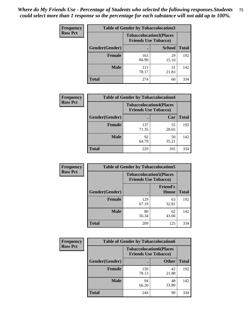| <b>Frequency</b> | <b>Table of Gender by Tobaccolocation3</b> |                                                               |               |              |
|------------------|--------------------------------------------|---------------------------------------------------------------|---------------|--------------|
| <b>Row Pct</b>   |                                            | <b>Tobaccolocation3(Places</b><br><b>Friends Use Tobacco)</b> |               |              |
|                  | Gender(Gender)                             |                                                               | <b>School</b> | <b>Total</b> |
|                  | <b>Female</b>                              | 163<br>84.90                                                  | 29<br>15.10   | 192          |
|                  | <b>Male</b>                                | 111<br>78.17                                                  | 31<br>21.83   | 142          |
|                  | <b>Total</b>                               | 274                                                           | 60            | 334          |

| <b>Frequency</b> | <b>Table of Gender by Tobaccolocation4</b> |                             |                                |              |
|------------------|--------------------------------------------|-----------------------------|--------------------------------|--------------|
| <b>Row Pct</b>   |                                            | <b>Friends Use Tobacco)</b> | <b>Tobaccolocation4(Places</b> |              |
|                  | Gender(Gender)                             |                             | Car                            | <b>Total</b> |
|                  | <b>Female</b>                              | 137<br>71.35                | 55<br>28.65                    | 192          |
|                  | <b>Male</b>                                | 92<br>64.79                 | 50<br>35.21                    | 142          |
|                  | <b>Total</b>                               | 229                         | 105                            | 334          |

| <b>Frequency</b> | <b>Table of Gender by Tobaccolocation5</b> |                                                               |                                 |              |
|------------------|--------------------------------------------|---------------------------------------------------------------|---------------------------------|--------------|
| <b>Row Pct</b>   |                                            | <b>Tobaccolocation5(Places</b><br><b>Friends Use Tobacco)</b> |                                 |              |
|                  | Gender(Gender)                             |                                                               | <b>Friend's</b><br><b>House</b> | <b>Total</b> |
|                  | Female                                     | 129<br>67.19                                                  | 63<br>32.81                     | 192          |
|                  | <b>Male</b>                                | 80<br>56.34                                                   | 62<br>43.66                     | 142          |
|                  | <b>Total</b>                               | 209                                                           | 125                             | 334          |

| <b>Frequency</b> | <b>Table of Gender by Tobaccolocation6</b> |                                                               |              |              |
|------------------|--------------------------------------------|---------------------------------------------------------------|--------------|--------------|
| <b>Row Pct</b>   |                                            | <b>Tobaccolocation6(Places</b><br><b>Friends Use Tobacco)</b> |              |              |
|                  | Gender(Gender)                             |                                                               | <b>Other</b> | <b>Total</b> |
|                  | Female                                     | 150<br>78.13                                                  | 42<br>21.88  | 192          |
|                  | <b>Male</b>                                | 94<br>66.20                                                   | 48<br>33.80  | 142          |
|                  | <b>Total</b>                               | 244                                                           | 90           | 334          |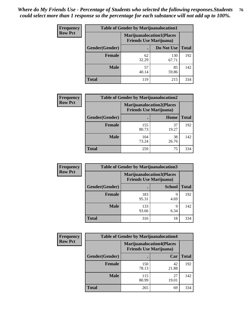| <b>Frequency</b> | <b>Table of Gender by Marijuanalocation1</b> |                                                                    |              |              |
|------------------|----------------------------------------------|--------------------------------------------------------------------|--------------|--------------|
| <b>Row Pct</b>   |                                              | <b>Marijuanalocation1(Places</b><br><b>Friends Use Marijuana</b> ) |              |              |
|                  | <b>Gender</b> (Gender)                       |                                                                    | Do Not Use   | <b>Total</b> |
|                  | <b>Female</b>                                | 62<br>32.29                                                        | 130<br>67.71 | 192          |
|                  | <b>Male</b>                                  | 57<br>40.14                                                        | 85<br>59.86  | 142          |
|                  | <b>Total</b>                                 | 119                                                                | 215          | 334          |

| <b>Frequency</b> | <b>Table of Gender by Marijuanalocation2</b> |                                                                    |             |              |
|------------------|----------------------------------------------|--------------------------------------------------------------------|-------------|--------------|
| <b>Row Pct</b>   |                                              | <b>Marijuanalocation2(Places</b><br><b>Friends Use Marijuana</b> ) |             |              |
|                  | Gender(Gender)                               |                                                                    | Home        | <b>Total</b> |
|                  | <b>Female</b>                                | 155<br>80.73                                                       | 37<br>19.27 | 192          |
|                  | <b>Male</b>                                  | 104<br>73.24                                                       | 38<br>26.76 | 142          |
|                  | <b>Total</b>                                 | 259                                                                | 75          | 334          |

| Frequency      | <b>Table of Gender by Marijuanalocation3</b> |                                                                    |               |              |  |
|----------------|----------------------------------------------|--------------------------------------------------------------------|---------------|--------------|--|
| <b>Row Pct</b> |                                              | <b>Marijuanalocation3(Places</b><br><b>Friends Use Marijuana</b> ) |               |              |  |
|                | Gender(Gender)                               |                                                                    | <b>School</b> | <b>Total</b> |  |
|                | Female                                       | 183<br>95.31                                                       | 9<br>4.69     | 192          |  |
|                | <b>Male</b>                                  | 133<br>93.66                                                       | 9<br>6.34     | 142          |  |
|                | <b>Total</b>                                 | 316                                                                | 18            | 334          |  |

| <b>Frequency</b> | <b>Table of Gender by Marijuanalocation4</b> |                                                                    |             |              |
|------------------|----------------------------------------------|--------------------------------------------------------------------|-------------|--------------|
| <b>Row Pct</b>   |                                              | <b>Marijuanalocation4(Places</b><br><b>Friends Use Marijuana</b> ) |             |              |
|                  | Gender(Gender)                               |                                                                    | Car         | <b>Total</b> |
|                  | <b>Female</b>                                | 150<br>78.13                                                       | 42<br>21.88 | 192          |
|                  | <b>Male</b>                                  | 115<br>80.99                                                       | 27<br>19.01 | 142          |
|                  | <b>Total</b>                                 | 265                                                                | 69          | 334          |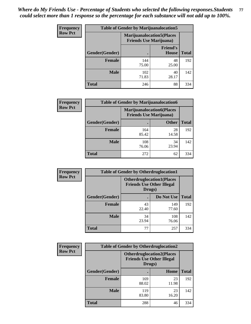| Frequency      | <b>Table of Gender by Marijuanalocation5</b> |                                                                     |                          |              |
|----------------|----------------------------------------------|---------------------------------------------------------------------|--------------------------|--------------|
| <b>Row Pct</b> |                                              | <b>Marijuanalocation5</b> (Places<br><b>Friends Use Marijuana</b> ) |                          |              |
|                | Gender(Gender)                               |                                                                     | <b>Friend's</b><br>House | <b>Total</b> |
|                | <b>Female</b>                                | 144<br>75.00                                                        | 48<br>25.00              | 192          |
|                | <b>Male</b>                                  | 102<br>71.83                                                        | 40<br>28.17              | 142          |
|                | <b>Total</b>                                 | 246                                                                 | 88                       | 334          |

| <b>Frequency</b> | <b>Table of Gender by Marijuanalocation6</b> |                                |                                  |              |
|------------------|----------------------------------------------|--------------------------------|----------------------------------|--------------|
| <b>Row Pct</b>   |                                              | <b>Friends Use Marijuana</b> ) | <b>Marijuanalocation6(Places</b> |              |
|                  | <b>Gender</b> (Gender)                       |                                | <b>Other</b>                     | <b>Total</b> |
|                  | <b>Female</b>                                | 164<br>85.42                   | 28<br>14.58                      | 192          |
|                  | <b>Male</b>                                  | 108<br>76.06                   | 34<br>23.94                      | 142          |
|                  | <b>Total</b>                                 | 272                            | 62                               | 334          |

| Frequency      | <b>Table of Gender by Otherdruglocation1</b> |                                                                                |              |              |
|----------------|----------------------------------------------|--------------------------------------------------------------------------------|--------------|--------------|
| <b>Row Pct</b> |                                              | <b>Otherdruglocation1(Places</b><br><b>Friends Use Other Illegal</b><br>Drugs) |              |              |
|                | <b>Gender</b> (Gender)                       |                                                                                | Do Not Use   | <b>Total</b> |
|                | <b>Female</b>                                | 43<br>22.40                                                                    | 149<br>77.60 | 192          |
|                | <b>Male</b>                                  | 34<br>23.94                                                                    | 108<br>76.06 | 142          |
|                | <b>Total</b>                                 | 77                                                                             | 257          | 334          |

| <b>Frequency</b> | <b>Table of Gender by Otherdruglocation2</b> |                                            |                                  |              |
|------------------|----------------------------------------------|--------------------------------------------|----------------------------------|--------------|
| <b>Row Pct</b>   |                                              | <b>Friends Use Other Illegal</b><br>Drugs) | <b>Otherdruglocation2(Places</b> |              |
|                  | Gender(Gender)                               |                                            | Home                             | <b>Total</b> |
|                  | Female                                       | 169<br>88.02                               | 23<br>11.98                      | 192          |
|                  | <b>Male</b>                                  | 119<br>83.80                               | 23<br>16.20                      | 142          |
|                  | <b>Total</b>                                 | 288                                        | 46                               | 334          |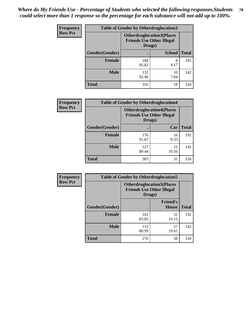| <b>Frequency</b> | <b>Table of Gender by Otherdruglocation3</b> |              |                                                                      |              |
|------------------|----------------------------------------------|--------------|----------------------------------------------------------------------|--------------|
| <b>Row Pct</b>   |                                              | Drugs)       | <b>Otherdruglocation3(Places</b><br><b>Friends Use Other Illegal</b> |              |
|                  | Gender(Gender)                               |              | <b>School</b>                                                        | <b>Total</b> |
|                  | <b>Female</b>                                | 184<br>95.83 | 8<br>4.17                                                            | 192          |
|                  | <b>Male</b>                                  | 132<br>92.96 | 10<br>7.04                                                           | 142          |
|                  | <b>Total</b>                                 | 316          | 18                                                                   | 334          |

| Frequency      | <b>Table of Gender by Otherdruglocation4</b> |                                                                                |             |              |
|----------------|----------------------------------------------|--------------------------------------------------------------------------------|-------------|--------------|
| <b>Row Pct</b> |                                              | <b>Otherdruglocation4(Places</b><br><b>Friends Use Other Illegal</b><br>Drugs) |             |              |
|                | Gender(Gender)                               |                                                                                | Car         | <b>Total</b> |
|                | <b>Female</b>                                | 176<br>91.67                                                                   | 16<br>8.33  | 192          |
|                | <b>Male</b>                                  | 127<br>89.44                                                                   | 15<br>10.56 | 142          |
|                | <b>Total</b>                                 | 303                                                                            | 31          | 334          |

| Frequency      | <b>Table of Gender by Otherdruglocation5</b> |                                            |                                  |              |
|----------------|----------------------------------------------|--------------------------------------------|----------------------------------|--------------|
| <b>Row Pct</b> |                                              | <b>Friends Use Other Illegal</b><br>Drugs) | <b>Otherdruglocation5(Places</b> |              |
|                | Gender(Gender)                               |                                            | <b>Friend's</b><br>House         | <b>Total</b> |
|                | Female                                       | 161<br>83.85                               | 31<br>16.15                      | 192          |
|                | <b>Male</b>                                  | 115<br>80.99                               | 27<br>19.01                      | 142          |
|                | <b>Total</b>                                 | 276                                        | 58                               | 334          |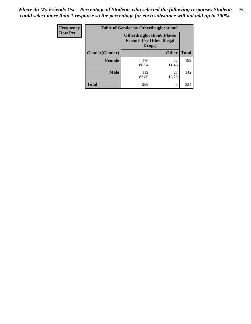| Frequency      | <b>Table of Gender by Otherdruglocation6</b> |                                                                                |              |              |
|----------------|----------------------------------------------|--------------------------------------------------------------------------------|--------------|--------------|
| <b>Row Pct</b> |                                              | <b>Otherdruglocation6(Places</b><br><b>Friends Use Other Illegal</b><br>Drugs) |              |              |
|                | Gender(Gender)                               |                                                                                | <b>Other</b> | <b>Total</b> |
|                | Female                                       | 170<br>88.54                                                                   | 22<br>11.46  | 192          |
|                | <b>Male</b>                                  | 119<br>83.80                                                                   | 23<br>16.20  | 142          |
|                | <b>Total</b>                                 | 289                                                                            | 45           | 334          |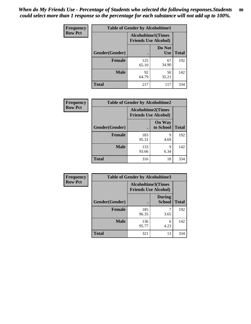| <b>Frequency</b> | <b>Table of Gender by Alcoholtime1</b> |                                                          |                      |              |
|------------------|----------------------------------------|----------------------------------------------------------|----------------------|--------------|
| <b>Row Pct</b>   |                                        | <b>Alcoholtime1(Times</b><br><b>Friends Use Alcohol)</b> |                      |              |
|                  | Gender(Gender)                         | $\bullet$                                                | Do Not<br><b>Use</b> | <b>Total</b> |
|                  | <b>Female</b>                          | 125<br>65.10                                             | 67<br>34.90          | 192          |
|                  | <b>Male</b>                            | 92<br>64.79                                              | 50<br>35.21          | 142          |
|                  | <b>Total</b>                           | 217                                                      | 117                  | 334          |

| Frequency      | <b>Table of Gender by Alcoholtime2</b> |                                                          |                            |              |
|----------------|----------------------------------------|----------------------------------------------------------|----------------------------|--------------|
| <b>Row Pct</b> |                                        | <b>Alcoholtime2(Times</b><br><b>Friends Use Alcohol)</b> |                            |              |
|                | Gender(Gender)                         |                                                          | <b>On Way</b><br>to School | <b>Total</b> |
|                | <b>Female</b>                          | 183<br>95.31                                             | 9<br>4.69                  | 192          |
|                | <b>Male</b>                            | 133<br>93.66                                             | 9<br>6.34                  | 142          |
|                | <b>Total</b>                           | 316                                                      | 18                         | 334          |

| Frequency      | <b>Table of Gender by Alcoholtime3</b> |                                                   |                                |              |
|----------------|----------------------------------------|---------------------------------------------------|--------------------------------|--------------|
| <b>Row Pct</b> |                                        | Alcoholtime3(Times<br><b>Friends Use Alcohol)</b> |                                |              |
|                | Gender(Gender)                         |                                                   | <b>During</b><br><b>School</b> | <b>Total</b> |
|                | Female                                 | 185<br>96.35                                      | 3.65                           | 192          |
|                | <b>Male</b>                            | 136<br>95.77                                      | 6<br>4.23                      | 142          |
|                | <b>Total</b>                           | 321                                               | 13                             | 334          |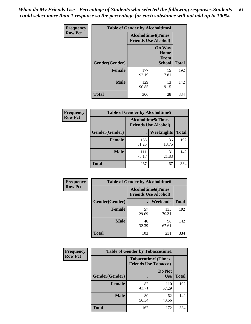*When do My Friends Use - Percentage of Students who selected the following responses.Students could select more than 1 response so the percentage for each substance will not add up to 100%.* **81**

| <b>Frequency</b> | <b>Table of Gender by Alcoholtime4</b> |                                                          |                                                |              |
|------------------|----------------------------------------|----------------------------------------------------------|------------------------------------------------|--------------|
| <b>Row Pct</b>   |                                        | <b>Alcoholtime4(Times</b><br><b>Friends Use Alcohol)</b> |                                                |              |
|                  | Gender(Gender)                         |                                                          | <b>On Way</b><br>Home<br>From<br><b>School</b> | <b>Total</b> |
|                  | <b>Female</b>                          | 177<br>92.19                                             | 15<br>7.81                                     | 192          |
|                  | <b>Male</b>                            | 129<br>90.85                                             | 13<br>9.15                                     | 142          |
|                  | <b>Total</b>                           | 306                                                      | 28                                             | 334          |

| <b>Frequency</b> | <b>Table of Gender by Alcoholtime5</b> |                                                           |                   |              |
|------------------|----------------------------------------|-----------------------------------------------------------|-------------------|--------------|
| <b>Row Pct</b>   |                                        | <b>Alcoholtime5</b> (Times<br><b>Friends Use Alcohol)</b> |                   |              |
|                  | Gender(Gender)                         |                                                           | <b>Weeknights</b> | <b>Total</b> |
|                  | <b>Female</b>                          | 156<br>81.25                                              | 36<br>18.75       | 192          |
|                  | <b>Male</b>                            | 111<br>78.17                                              | 31<br>21.83       | 142          |
|                  | <b>Total</b>                           | 267                                                       | 67                | 334          |

| <b>Frequency</b> | <b>Table of Gender by Alcoholtime6</b> |             |                                                           |              |
|------------------|----------------------------------------|-------------|-----------------------------------------------------------|--------------|
| <b>Row Pct</b>   |                                        |             | <b>Alcoholtime6</b> (Times<br><b>Friends Use Alcohol)</b> |              |
|                  | Gender(Gender)                         |             | <b>Weekends</b>                                           | <b>Total</b> |
|                  | Female                                 | 57<br>29.69 | 135<br>70.31                                              | 192          |
|                  | <b>Male</b>                            | 46<br>32.39 | 96<br>67.61                                               | 142          |
|                  | <b>Total</b>                           | 103         | 231                                                       | 334          |

| <b>Frequency</b> | <b>Table of Gender by Tobaccotime1</b> |                                                          |                      |              |
|------------------|----------------------------------------|----------------------------------------------------------|----------------------|--------------|
| <b>Row Pct</b>   |                                        | <b>Tobaccotime1(Times</b><br><b>Friends Use Tobacco)</b> |                      |              |
|                  | Gender(Gender)                         |                                                          | Do Not<br><b>Use</b> | <b>Total</b> |
|                  | <b>Female</b>                          | 82<br>42.71                                              | 110<br>57.29         | 192          |
|                  | <b>Male</b>                            | 80<br>56.34                                              | 62<br>43.66          | 142          |
|                  | <b>Total</b>                           | 162                                                      | 172                  | 334          |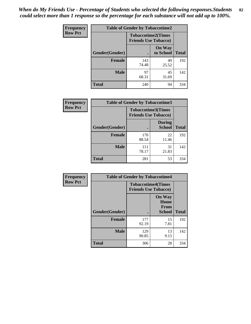| <b>Frequency</b> | <b>Table of Gender by Tobaccotime2</b> |                                                          |                            |              |
|------------------|----------------------------------------|----------------------------------------------------------|----------------------------|--------------|
| <b>Row Pct</b>   |                                        | <b>Tobaccotime2(Times</b><br><b>Friends Use Tobacco)</b> |                            |              |
|                  | Gender(Gender)                         |                                                          | <b>On Way</b><br>to School | <b>Total</b> |
|                  | <b>Female</b>                          | 143<br>74.48                                             | 49<br>25.52                | 192          |
|                  | <b>Male</b>                            | 97<br>68.31                                              | 45<br>31.69                | 142          |
|                  | <b>Total</b>                           | 240                                                      | 94                         | 334          |

| Frequency      | <b>Table of Gender by Tobaccotime3</b> |                                                          |                                |              |
|----------------|----------------------------------------|----------------------------------------------------------|--------------------------------|--------------|
| <b>Row Pct</b> |                                        | <b>Tobaccotime3(Times</b><br><b>Friends Use Tobacco)</b> |                                |              |
|                | Gender(Gender)                         |                                                          | <b>During</b><br><b>School</b> | <b>Total</b> |
|                | <b>Female</b>                          | 170<br>88.54                                             | 22<br>11.46                    | 192          |
|                | <b>Male</b>                            | 111<br>78.17                                             | 31<br>21.83                    | 142          |
|                | <b>Total</b>                           | 281                                                      | 53                             | 334          |

| <b>Frequency</b> | <b>Table of Gender by Tobaccotime4</b> |                                                          |                                                       |              |
|------------------|----------------------------------------|----------------------------------------------------------|-------------------------------------------------------|--------------|
| <b>Row Pct</b>   |                                        | <b>Tobaccotime4(Times</b><br><b>Friends Use Tobacco)</b> |                                                       |              |
|                  | Gender(Gender)                         |                                                          | <b>On Way</b><br>Home<br><b>From</b><br><b>School</b> | <b>Total</b> |
|                  | <b>Female</b>                          | 177<br>92.19                                             | 15<br>7.81                                            | 192          |
|                  | <b>Male</b>                            | 129<br>90.85                                             | 13<br>9.15                                            | 142          |
|                  | <b>Total</b>                           | 306                                                      | 28                                                    | 334          |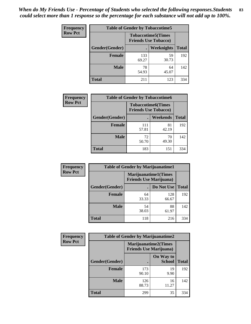| Frequency      | <b>Table of Gender by Tobaccotime5</b> |              |                                                           |              |  |
|----------------|----------------------------------------|--------------|-----------------------------------------------------------|--------------|--|
| <b>Row Pct</b> |                                        |              | <b>Tobaccotime5</b> (Times<br><b>Friends Use Tobacco)</b> |              |  |
|                | Gender(Gender)                         |              | Weeknights                                                | <b>Total</b> |  |
|                | <b>Female</b>                          | 133<br>69.27 | 59<br>30.73                                               | 192          |  |
|                | <b>Male</b>                            | 78<br>54.93  | 64<br>45.07                                               | 142          |  |
|                | <b>Total</b>                           | 211          | 123                                                       | 334          |  |

| Frequency      | <b>Table of Gender by Tobaccotime6</b> |                                                          |             |              |
|----------------|----------------------------------------|----------------------------------------------------------|-------------|--------------|
| <b>Row Pct</b> |                                        | <b>Tobaccotime6(Times</b><br><b>Friends Use Tobacco)</b> |             |              |
|                | Gender(Gender)                         |                                                          | Weekends    | <b>Total</b> |
|                | <b>Female</b>                          | 111<br>57.81                                             | 81<br>42.19 | 192          |
|                | <b>Male</b>                            | 72<br>50.70                                              | 70<br>49.30 | 142          |
|                | <b>Total</b>                           | 183                                                      | 151         | 334          |

| <b>Frequency</b> | <b>Table of Gender by Marijuanatime1</b> |                                |                             |              |
|------------------|------------------------------------------|--------------------------------|-----------------------------|--------------|
| <b>Row Pct</b>   |                                          | <b>Friends Use Marijuana</b> ) | <b>Marijuanatime1(Times</b> |              |
|                  | Gender(Gender)                           |                                | Do Not Use                  | <b>Total</b> |
|                  | <b>Female</b>                            | 64<br>33.33                    | 128<br>66.67                | 192          |
|                  | <b>Male</b>                              | 54<br>38.03                    | 88<br>61.97                 | 142          |
|                  | <b>Total</b>                             | 118                            | 216                         | 334          |

| <b>Frequency</b> | <b>Table of Gender by Marijuanatime2</b> |                                                        |                            |              |
|------------------|------------------------------------------|--------------------------------------------------------|----------------------------|--------------|
| <b>Row Pct</b>   |                                          | Marijuanatime2(Times<br><b>Friends Use Marijuana</b> ) |                            |              |
|                  | Gender(Gender)                           |                                                        | On Way to<br><b>School</b> | <b>Total</b> |
|                  | <b>Female</b>                            | 173<br>90.10                                           | 19<br>9.90                 | 192          |
|                  | <b>Male</b>                              | 126<br>88.73                                           | 16<br>11.27                | 142          |
|                  | <b>Total</b>                             | 299                                                    | 35                         | 334          |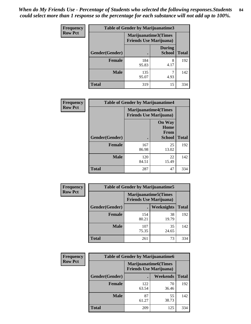| Frequency      | Table of Gender by Marijuanatime3 |                                                        |                                |              |
|----------------|-----------------------------------|--------------------------------------------------------|--------------------------------|--------------|
| <b>Row Pct</b> |                                   | Marijuanatime3(Times<br><b>Friends Use Marijuana</b> ) |                                |              |
|                | Gender(Gender)                    |                                                        | <b>During</b><br><b>School</b> | <b>Total</b> |
|                | <b>Female</b>                     | 184<br>95.83                                           | 8<br>4.17                      | 192          |
|                | <b>Male</b>                       | 135<br>95.07                                           | 4.93                           | 142          |
|                | <b>Total</b>                      | 319                                                    | 15                             | 334          |

| Frequency      | <b>Table of Gender by Marijuanatime4</b> |                                                               |                                                       |              |
|----------------|------------------------------------------|---------------------------------------------------------------|-------------------------------------------------------|--------------|
| <b>Row Pct</b> |                                          | <b>Marijuanatime4(Times</b><br><b>Friends Use Marijuana</b> ) |                                                       |              |
|                | Gender(Gender)                           |                                                               | <b>On Way</b><br>Home<br><b>From</b><br><b>School</b> | <b>Total</b> |
|                | <b>Female</b>                            | 167<br>86.98                                                  | 25<br>13.02                                           | 192          |
|                | <b>Male</b>                              | 120<br>84.51                                                  | 22<br>15.49                                           | 142          |
|                | <b>Total</b>                             | 287                                                           | 47                                                    | 334          |

| Frequency      | <b>Table of Gender by Marijuanatime5</b> |                                                                |             |              |
|----------------|------------------------------------------|----------------------------------------------------------------|-------------|--------------|
| <b>Row Pct</b> |                                          | <b>Marijuanatime5</b> (Times<br><b>Friends Use Marijuana</b> ) |             |              |
|                | Gender(Gender)                           |                                                                | Weeknights  | <b>Total</b> |
|                | <b>Female</b>                            | 154<br>80.21                                                   | 38<br>19.79 | 192          |
|                | <b>Male</b>                              | 107<br>75.35                                                   | 35<br>24.65 | 142          |
|                | <b>Total</b>                             | 261                                                            | 73          | 334          |

| <b>Frequency</b> | <b>Table of Gender by Marijuanatime6</b> |                                                               |             |              |
|------------------|------------------------------------------|---------------------------------------------------------------|-------------|--------------|
| <b>Row Pct</b>   |                                          | <b>Marijuanatime6(Times</b><br><b>Friends Use Marijuana</b> ) |             |              |
|                  | Gender(Gender)                           |                                                               | Weekends    | <b>Total</b> |
|                  | <b>Female</b>                            | 122<br>63.54                                                  | 70<br>36.46 | 192          |
|                  | <b>Male</b>                              | 87<br>61.27                                                   | 55<br>38.73 | 142          |
|                  | <b>Total</b>                             | 209                                                           | 125         | 334          |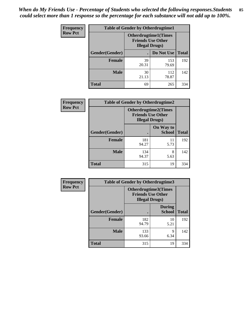*When do My Friends Use - Percentage of Students who selected the following responses.Students could select more than 1 response so the percentage for each substance will not add up to 100%.* **85**

| <b>Frequency</b> | <b>Table of Gender by Otherdrugtime1</b> |                                                    |                             |     |
|------------------|------------------------------------------|----------------------------------------------------|-----------------------------|-----|
| <b>Row Pct</b>   |                                          | <b>Friends Use Other</b><br><b>Illegal Drugs</b> ) | <b>Otherdrugtime1(Times</b> |     |
|                  | Gender(Gender)                           |                                                    | Do Not Use   Total          |     |
|                  | <b>Female</b>                            | 39<br>20.31                                        | 153<br>79.69                | 192 |
|                  | <b>Male</b>                              | 30<br>21.13                                        | 112<br>78.87                | 142 |
|                  | <b>Total</b>                             | 69                                                 | 265                         | 334 |

| Frequency      | <b>Table of Gender by Otherdrugtime2</b> |                                                                                   |                            |              |
|----------------|------------------------------------------|-----------------------------------------------------------------------------------|----------------------------|--------------|
| <b>Row Pct</b> |                                          | <b>Otherdrugtime2(Times</b><br><b>Friends Use Other</b><br><b>Illegal Drugs</b> ) |                            |              |
|                | <b>Gender</b> (Gender)                   |                                                                                   | On Way to<br><b>School</b> | <b>Total</b> |
|                | <b>Female</b>                            | 181<br>94.27                                                                      | 11<br>5.73                 | 192          |
|                | <b>Male</b>                              | 134<br>94.37                                                                      | 8<br>5.63                  | 142          |
|                | <b>Total</b>                             | 315                                                                               | 19                         | 334          |

| Frequency      |                | <b>Table of Gender by Otherdrugtime3</b> |                                                  |              |
|----------------|----------------|------------------------------------------|--------------------------------------------------|--------------|
| <b>Row Pct</b> |                | <b>Illegal Drugs</b> )                   | Otherdrugtime3(Times<br><b>Friends Use Other</b> |              |
|                | Gender(Gender) |                                          | <b>During</b><br><b>School</b>                   | <b>Total</b> |
|                | <b>Female</b>  | 182<br>94.79                             | 10<br>5.21                                       | 192          |
|                | <b>Male</b>    | 133<br>93.66                             | 9<br>6.34                                        | 142          |
|                | <b>Total</b>   | 315                                      | 19                                               | 334          |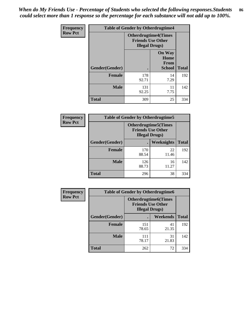*When do My Friends Use - Percentage of Students who selected the following responses.Students could select more than 1 response so the percentage for each substance will not add up to 100%.* **86**

| <b>Frequency</b> | <b>Table of Gender by Otherdrugtime4</b> |                       |                                                         |              |
|------------------|------------------------------------------|-----------------------|---------------------------------------------------------|--------------|
| <b>Row Pct</b>   |                                          | <b>Illegal Drugs)</b> | <b>Otherdrugtime4(Times</b><br><b>Friends Use Other</b> |              |
|                  | <b>Gender</b> (Gender)                   |                       | <b>On Way</b><br>Home<br><b>From</b><br><b>School</b>   | <b>Total</b> |
|                  | <b>Female</b>                            | 178<br>92.71          | 14<br>7.29                                              | 192          |
|                  | <b>Male</b>                              | 131<br>92.25          | 11<br>7.75                                              | 142          |
|                  | Total                                    | 309                   | 25                                                      | 334          |

| Frequency      | <b>Table of Gender by Otherdrugtime5</b> |                                                                                    |                   |              |
|----------------|------------------------------------------|------------------------------------------------------------------------------------|-------------------|--------------|
| <b>Row Pct</b> |                                          | <b>Otherdrugtime5</b> (Times<br><b>Friends Use Other</b><br><b>Illegal Drugs</b> ) |                   |              |
|                | Gender(Gender)                           |                                                                                    | <b>Weeknights</b> | <b>Total</b> |
|                | <b>Female</b>                            | 170<br>88.54                                                                       | 22<br>11.46       | 192          |
|                | <b>Male</b>                              | 126<br>88.73                                                                       | 16<br>11.27       | 142          |
|                | <b>Total</b>                             | 296                                                                                | 38                | 334          |

| <b>Frequency</b> | <b>Table of Gender by Otherdrugtime6</b> |                                                                                   |             |              |
|------------------|------------------------------------------|-----------------------------------------------------------------------------------|-------------|--------------|
| <b>Row Pct</b>   |                                          | <b>Otherdrugtime6(Times</b><br><b>Friends Use Other</b><br><b>Illegal Drugs</b> ) |             |              |
|                  | Gender(Gender)                           |                                                                                   | Weekends    | <b>Total</b> |
|                  | <b>Female</b>                            | 151<br>78.65                                                                      | 41<br>21.35 | 192          |
|                  | <b>Male</b>                              | 111<br>78.17                                                                      | 31<br>21.83 | 142          |
|                  | <b>Total</b>                             | 262                                                                               | 72          | 334          |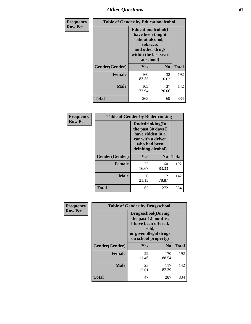# *Other Questions* **87**

| <b>Frequency</b> | <b>Table of Gender by Educationalcohol</b> |                                                                                                                                       |                |              |  |
|------------------|--------------------------------------------|---------------------------------------------------------------------------------------------------------------------------------------|----------------|--------------|--|
| <b>Row Pct</b>   |                                            | <b>Educationalcohol</b> (I<br>have been taught<br>about alcohol,<br>tobacco,<br>and other drugs<br>within the last year<br>at school) |                |              |  |
|                  | Gender(Gender)                             | Yes                                                                                                                                   | N <sub>0</sub> | <b>Total</b> |  |
|                  | <b>Female</b>                              | 160<br>83.33                                                                                                                          | 32<br>16.67    | 192          |  |
|                  | <b>Male</b>                                | 105<br>73.94                                                                                                                          | 37<br>26.06    | 142          |  |
|                  | <b>Total</b>                               | 265                                                                                                                                   | 69             | 334          |  |

| Frequency      | <b>Table of Gender by Rodedrinking</b> |                                                                                                                     |                |              |  |
|----------------|----------------------------------------|---------------------------------------------------------------------------------------------------------------------|----------------|--------------|--|
| <b>Row Pct</b> |                                        | Rodedrinking(In<br>the past 30 days I<br>have ridden in a<br>car with a driver<br>who had been<br>drinking alcohol) |                |              |  |
|                | Gender(Gender)                         | Yes                                                                                                                 | N <sub>0</sub> | <b>Total</b> |  |
|                | <b>Female</b>                          | 32<br>16.67                                                                                                         | 160<br>83.33   | 192          |  |
|                | <b>Male</b>                            | 30<br>21.13                                                                                                         | 112<br>78.87   | 142          |  |
|                | <b>Total</b>                           | 62                                                                                                                  | 272            | 334          |  |

| Frequency      | <b>Table of Gender by Drugsschool</b> |                                                                                                                                     |                |              |  |
|----------------|---------------------------------------|-------------------------------------------------------------------------------------------------------------------------------------|----------------|--------------|--|
| <b>Row Pct</b> |                                       | <b>Drugsschool</b> (During<br>the past 12 months,<br>I have been offered,<br>sold,<br>or given illegal drugs<br>on school property) |                |              |  |
|                | Gender(Gender)                        | Yes                                                                                                                                 | N <sub>0</sub> | <b>Total</b> |  |
|                | <b>Female</b>                         | 22<br>11.46                                                                                                                         | 170<br>88.54   | 192          |  |
|                | <b>Male</b>                           | 25<br>17.61                                                                                                                         | 117<br>82.39   | 142          |  |
|                | <b>Total</b>                          | 47                                                                                                                                  | 287            | 334          |  |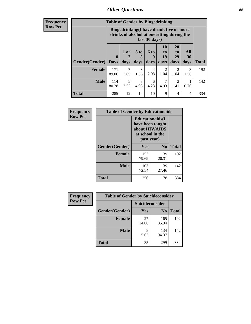# *Other Questions* **88**

**Frequency Row Pct**

| <b>Table of Gender by Bingedrinking</b> |                                                                                                         |              |                   |                          |                        |                               |                   |              |
|-----------------------------------------|---------------------------------------------------------------------------------------------------------|--------------|-------------------|--------------------------|------------------------|-------------------------------|-------------------|--------------|
|                                         | Bingedrinking(I have drunk five or more<br>drinks of alcohol at one sitting during the<br>last 30 days) |              |                   |                          |                        |                               |                   |              |
| <b>Gender</b> (Gender)                  | $\bf{0}$<br><b>Days</b>                                                                                 | 1 or<br>days | 3 to<br>5<br>days | <b>6 to</b><br>9<br>days | 10<br>to<br>19<br>days | <b>20</b><br>to<br>29<br>days | All<br>30<br>days | <b>Total</b> |
|                                         |                                                                                                         |              |                   |                          |                        |                               |                   |              |
| <b>Female</b>                           | 171<br>89.06                                                                                            | 7<br>3.65    | 3<br>1.56         | 4<br>2.08                | $\overline{2}$<br>1.04 | 2<br>1.04                     | 3<br>1.56         | 192          |
| <b>Male</b>                             | 114<br>80.28                                                                                            | 5<br>3.52    | 7<br>4.93         | 6<br>4.23                | 4.93                   | 2<br>1.41                     | 0.70              | 142          |

| Frequency      | <b>Table of Gender by Educationaids</b> |                                                                                                 |                |              |  |
|----------------|-----------------------------------------|-------------------------------------------------------------------------------------------------|----------------|--------------|--|
| <b>Row Pct</b> |                                         | <b>Educationaids</b> (I<br>have been taught<br>about HIV/AIDS<br>at school in the<br>past year) |                |              |  |
|                | Gender(Gender)                          | Yes                                                                                             | $\mathbf{N_0}$ | <b>Total</b> |  |
|                | <b>Female</b>                           | 153<br>79.69                                                                                    | 39<br>20.31    | 192          |  |
|                | <b>Male</b>                             | 103<br>72.54                                                                                    | 39<br>27.46    | 142          |  |
|                | <b>Total</b>                            | 256                                                                                             | 78             | 334          |  |

| <b>Frequency</b> | <b>Table of Gender by Suicideconsider</b> |                 |                |       |  |
|------------------|-------------------------------------------|-----------------|----------------|-------|--|
| <b>Row Pct</b>   |                                           | Suicideconsider |                |       |  |
|                  | Gender(Gender)                            | Yes             | N <sub>0</sub> | Total |  |
|                  | <b>Female</b>                             | 27<br>14.06     | 165<br>85.94   | 192   |  |
|                  | <b>Male</b>                               | 8<br>5.63       | 134<br>94.37   | 142   |  |
|                  | <b>Total</b>                              | 35              | 299            | 334   |  |